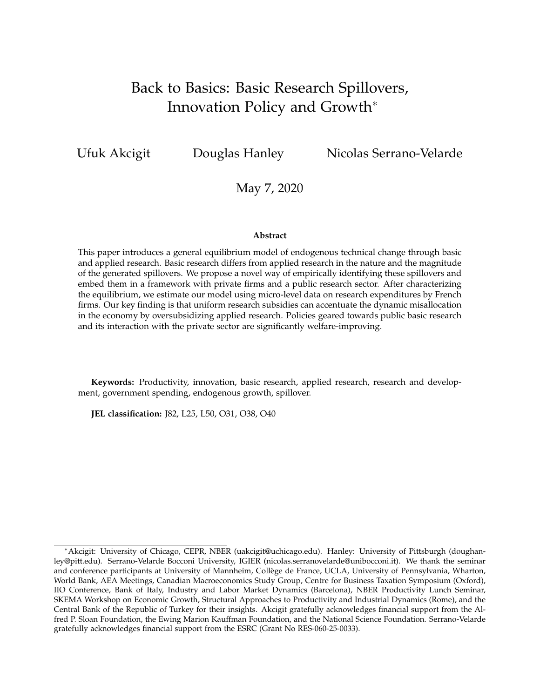# Back to Basics: Basic Research Spillovers, Innovation Policy and Growth<sup>∗</sup>

Ufuk Akcigit Douglas Hanley Nicolas Serrano-Velarde

May 7, 2020

#### **Abstract**

This paper introduces a general equilibrium model of endogenous technical change through basic and applied research. Basic research differs from applied research in the nature and the magnitude of the generated spillovers. We propose a novel way of empirically identifying these spillovers and embed them in a framework with private firms and a public research sector. After characterizing the equilibrium, we estimate our model using micro-level data on research expenditures by French firms. Our key finding is that uniform research subsidies can accentuate the dynamic misallocation in the economy by oversubsidizing applied research. Policies geared towards public basic research and its interaction with the private sector are significantly welfare-improving.

**Keywords:** Productivity, innovation, basic research, applied research, research and development, government spending, endogenous growth, spillover.

**JEL classification:** J82, L25, L50, O31, O38, O40

<sup>∗</sup>Akcigit: University of Chicago, CEPR, NBER (uakcigit@uchicago.edu). Hanley: University of Pittsburgh (doughanley@pitt.edu). Serrano-Velarde Bocconi University, IGIER (nicolas.serranovelarde@unibocconi.it). We thank the seminar and conference participants at University of Mannheim, Collège de France, UCLA, University of Pennsylvania, Wharton, World Bank, AEA Meetings, Canadian Macroeconomics Study Group, Centre for Business Taxation Symposium (Oxford), IIO Conference, Bank of Italy, Industry and Labor Market Dynamics (Barcelona), NBER Productivity Lunch Seminar, SKEMA Workshop on Economic Growth, Structural Approaches to Productivity and Industrial Dynamics (Rome), and the Central Bank of the Republic of Turkey for their insights. Akcigit gratefully acknowledges financial support from the Alfred P. Sloan Foundation, the Ewing Marion Kauffman Foundation, and the National Science Foundation. Serrano-Velarde gratefully acknowledges financial support from the ESRC (Grant No RES-060-25-0033).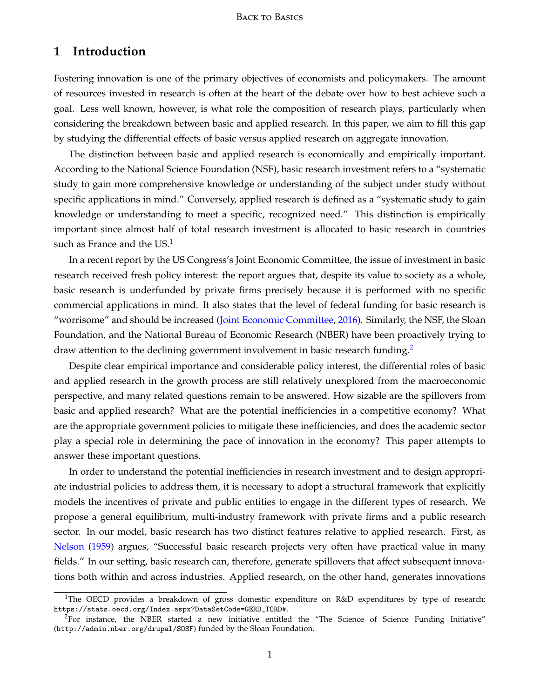## **1 Introduction**

Fostering innovation is one of the primary objectives of economists and policymakers. The amount of resources invested in research is often at the heart of the debate over how to best achieve such a goal. Less well known, however, is what role the composition of research plays, particularly when considering the breakdown between basic and applied research. In this paper, we aim to fill this gap by studying the differential effects of basic versus applied research on aggregate innovation.

The distinction between basic and applied research is economically and empirically important. According to the National Science Foundation (NSF), basic research investment refers to a "systematic study to gain more comprehensive knowledge or understanding of the subject under study without specific applications in mind." Conversely, applied research is defined as a "systematic study to gain knowledge or understanding to meet a specific, recognized need." This distinction is empirically important since almost half of total research investment is allocated to basic research in countries such as France and the US.<sup>[1](#page-1-0)</sup>

In a recent report by the US Congress's Joint Economic Committee, the issue of investment in basic research received fresh policy interest: the report argues that, despite its value to society as a whole, basic research is underfunded by private firms precisely because it is performed with no specific commercial applications in mind. It also states that the level of federal funding for basic research is "worrisome" and should be increased [\(Joint Economic Committee,](#page-46-0) [2016\)](#page-46-0). Similarly, the NSF, the Sloan Foundation, and the National Bureau of Economic Research (NBER) have been proactively trying to draw attention to the declining government involvement in basic research funding.<sup>[2](#page-1-1)</sup>

Despite clear empirical importance and considerable policy interest, the differential roles of basic and applied research in the growth process are still relatively unexplored from the macroeconomic perspective, and many related questions remain to be answered. How sizable are the spillovers from basic and applied research? What are the potential inefficiencies in a competitive economy? What are the appropriate government policies to mitigate these inefficiencies, and does the academic sector play a special role in determining the pace of innovation in the economy? This paper attempts to answer these important questions.

In order to understand the potential inefficiencies in research investment and to design appropriate industrial policies to address them, it is necessary to adopt a structural framework that explicitly models the incentives of private and public entities to engage in the different types of research. We propose a general equilibrium, multi-industry framework with private firms and a public research sector. In our model, basic research has two distinct features relative to applied research. First, as [Nelson](#page-47-0) [\(1959\)](#page-47-0) argues, "Successful basic research projects very often have practical value in many fields." In our setting, basic research can, therefore, generate spillovers that affect subsequent innovations both within and across industries. Applied research, on the other hand, generates innovations

<span id="page-1-0"></span><sup>&</sup>lt;sup>1</sup>The OECD provides a breakdown of gross domestic expenditure on R&D expenditures by type of research: https://stats.oecd.org/Index.aspx?DataSetCode=GERD\_TORD#.

<span id="page-1-1"></span><sup>&</sup>lt;sup>2</sup>For instance, the NBER started a new initiative entitled the "The Science of Science Funding Initiative" (http://admin.nber.org/drupal/SOSF) funded by the Sloan Foundation.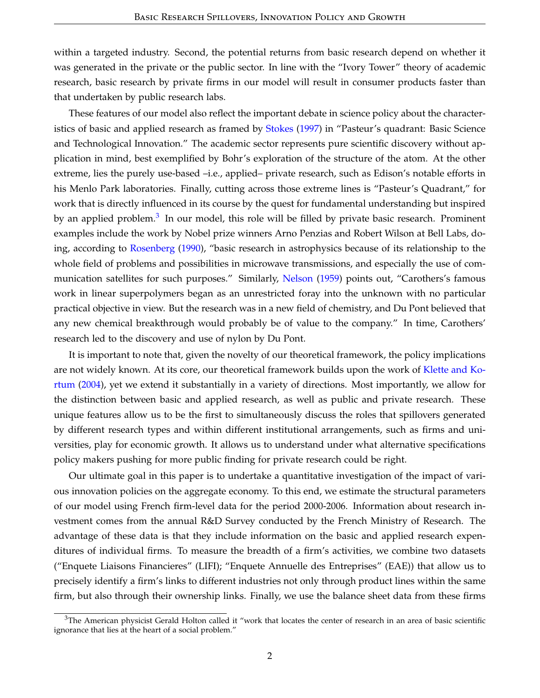within a targeted industry. Second, the potential returns from basic research depend on whether it was generated in the private or the public sector. In line with the "Ivory Tower" theory of academic research, basic research by private firms in our model will result in consumer products faster than that undertaken by public research labs.

These features of our model also reflect the important debate in science policy about the characteristics of basic and applied research as framed by [Stokes](#page-47-1) [\(1997\)](#page-47-1) in "Pasteur's quadrant: Basic Science and Technological Innovation." The academic sector represents pure scientific discovery without application in mind, best exemplified by Bohr's exploration of the structure of the atom. At the other extreme, lies the purely use-based –i.e., applied– private research, such as Edison's notable efforts in his Menlo Park laboratories. Finally, cutting across those extreme lines is "Pasteur's Quadrant," for work that is directly influenced in its course by the quest for fundamental understanding but inspired by an applied problem.<sup>[3](#page-2-0)</sup> In our model, this role will be filled by private basic research. Prominent examples include the work by Nobel prize winners Arno Penzias and Robert Wilson at Bell Labs, doing, according to [Rosenberg](#page-47-2) [\(1990\)](#page-47-2), "basic research in astrophysics because of its relationship to the whole field of problems and possibilities in microwave transmissions, and especially the use of com-munication satellites for such purposes." Similarly, [Nelson](#page-47-0) [\(1959\)](#page-47-0) points out, "Carothers's famous work in linear superpolymers began as an unrestricted foray into the unknown with no particular practical objective in view. But the research was in a new field of chemistry, and Du Pont believed that any new chemical breakthrough would probably be of value to the company." In time, Carothers' research led to the discovery and use of nylon by Du Pont.

It is important to note that, given the novelty of our theoretical framework, the policy implications are not widely known. At its core, our theoretical framework builds upon the work of [Klette and Ko](#page-46-1)[rtum](#page-46-1) [\(2004\)](#page-46-1), yet we extend it substantially in a variety of directions. Most importantly, we allow for the distinction between basic and applied research, as well as public and private research. These unique features allow us to be the first to simultaneously discuss the roles that spillovers generated by different research types and within different institutional arrangements, such as firms and universities, play for economic growth. It allows us to understand under what alternative specifications policy makers pushing for more public finding for private research could be right.

Our ultimate goal in this paper is to undertake a quantitative investigation of the impact of various innovation policies on the aggregate economy. To this end, we estimate the structural parameters of our model using French firm-level data for the period 2000-2006. Information about research investment comes from the annual R&D Survey conducted by the French Ministry of Research. The advantage of these data is that they include information on the basic and applied research expenditures of individual firms. To measure the breadth of a firm's activities, we combine two datasets ("Enquete Liaisons Financieres" (LIFI); "Enquete Annuelle des Entreprises" (EAE)) that allow us to precisely identify a firm's links to different industries not only through product lines within the same firm, but also through their ownership links. Finally, we use the balance sheet data from these firms

<span id="page-2-0"></span> $3$ The American physicist Gerald Holton called it "work that locates the center of research in an area of basic scientific ignorance that lies at the heart of a social problem."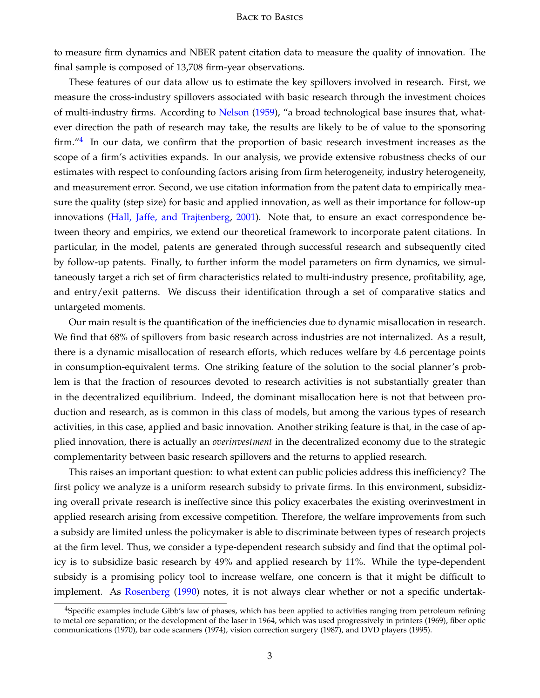to measure firm dynamics and NBER patent citation data to measure the quality of innovation. The final sample is composed of 13,708 firm-year observations.

These features of our data allow us to estimate the key spillovers involved in research. First, we measure the cross-industry spillovers associated with basic research through the investment choices of multi-industry firms. According to [Nelson](#page-47-0) [\(1959\)](#page-47-0), "a broad technological base insures that, whatever direction the path of research may take, the results are likely to be of value to the sponsoring firm."<sup>[4](#page-3-0)</sup> In our data, we confirm that the proportion of basic research investment increases as the scope of a firm's activities expands. In our analysis, we provide extensive robustness checks of our estimates with respect to confounding factors arising from firm heterogeneity, industry heterogeneity, and measurement error. Second, we use citation information from the patent data to empirically measure the quality (step size) for basic and applied innovation, as well as their importance for follow-up innovations [\(Hall, Jaffe, and Trajtenberg,](#page-46-2) [2001\)](#page-46-2). Note that, to ensure an exact correspondence between theory and empirics, we extend our theoretical framework to incorporate patent citations. In particular, in the model, patents are generated through successful research and subsequently cited by follow-up patents. Finally, to further inform the model parameters on firm dynamics, we simultaneously target a rich set of firm characteristics related to multi-industry presence, profitability, age, and entry/exit patterns. We discuss their identification through a set of comparative statics and untargeted moments.

Our main result is the quantification of the inefficiencies due to dynamic misallocation in research. We find that 68% of spillovers from basic research across industries are not internalized. As a result, there is a dynamic misallocation of research efforts, which reduces welfare by 4.6 percentage points in consumption-equivalent terms. One striking feature of the solution to the social planner's problem is that the fraction of resources devoted to research activities is not substantially greater than in the decentralized equilibrium. Indeed, the dominant misallocation here is not that between production and research, as is common in this class of models, but among the various types of research activities, in this case, applied and basic innovation. Another striking feature is that, in the case of applied innovation, there is actually an *overinvestment* in the decentralized economy due to the strategic complementarity between basic research spillovers and the returns to applied research.

This raises an important question: to what extent can public policies address this inefficiency? The first policy we analyze is a uniform research subsidy to private firms. In this environment, subsidizing overall private research is ineffective since this policy exacerbates the existing overinvestment in applied research arising from excessive competition. Therefore, the welfare improvements from such a subsidy are limited unless the policymaker is able to discriminate between types of research projects at the firm level. Thus, we consider a type-dependent research subsidy and find that the optimal policy is to subsidize basic research by 49% and applied research by 11%. While the type-dependent subsidy is a promising policy tool to increase welfare, one concern is that it might be difficult to implement. As [Rosenberg](#page-47-2) [\(1990\)](#page-47-2) notes, it is not always clear whether or not a specific undertak-

<span id="page-3-0"></span><sup>&</sup>lt;sup>4</sup>Specific examples include Gibb's law of phases, which has been applied to activities ranging from petroleum refining to metal ore separation; or the development of the laser in 1964, which was used progressively in printers (1969), fiber optic communications (1970), bar code scanners (1974), vision correction surgery (1987), and DVD players (1995).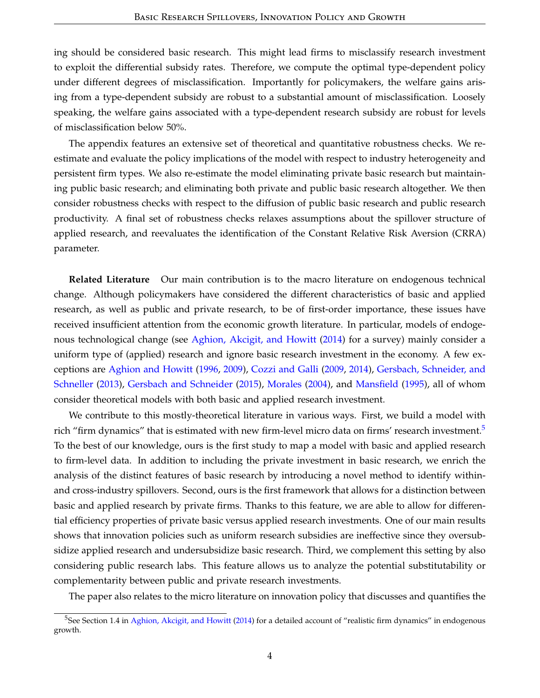ing should be considered basic research. This might lead firms to misclassify research investment to exploit the differential subsidy rates. Therefore, we compute the optimal type-dependent policy under different degrees of misclassification. Importantly for policymakers, the welfare gains arising from a type-dependent subsidy are robust to a substantial amount of misclassification. Loosely speaking, the welfare gains associated with a type-dependent research subsidy are robust for levels of misclassification below 50%.

The appendix features an extensive set of theoretical and quantitative robustness checks. We reestimate and evaluate the policy implications of the model with respect to industry heterogeneity and persistent firm types. We also re-estimate the model eliminating private basic research but maintaining public basic research; and eliminating both private and public basic research altogether. We then consider robustness checks with respect to the diffusion of public basic research and public research productivity. A final set of robustness checks relaxes assumptions about the spillover structure of applied research, and reevaluates the identification of the Constant Relative Risk Aversion (CRRA) parameter.

**Related Literature** Our main contribution is to the macro literature on endogenous technical change. Although policymakers have considered the different characteristics of basic and applied research, as well as public and private research, to be of first-order importance, these issues have received insufficient attention from the economic growth literature. In particular, models of endogenous technological change (see [Aghion, Akcigit, and Howitt](#page-45-0) [\(2014\)](#page-45-0) for a survey) mainly consider a uniform type of (applied) research and ignore basic research investment in the economy. A few exceptions are [Aghion and Howitt](#page-45-1) [\(1996,](#page-45-1) [2009\)](#page-45-2), [Cozzi and Galli](#page-46-3) [\(2009,](#page-46-3) [2014\)](#page-46-4), [Gersbach, Schneider, and](#page-46-5) [Schneller](#page-46-5) [\(2013\)](#page-46-5), [Gersbach and Schneider](#page-46-6) [\(2015\)](#page-46-6), [Morales](#page-47-3) [\(2004\)](#page-47-3), and [Mansfield](#page-47-4) [\(1995\)](#page-47-4), all of whom consider theoretical models with both basic and applied research investment.

We contribute to this mostly-theoretical literature in various ways. First, we build a model with rich "firm dynamics" that is estimated with new firm-level micro data on firms' research investment.<sup>[5](#page-4-0)</sup> To the best of our knowledge, ours is the first study to map a model with basic and applied research to firm-level data. In addition to including the private investment in basic research, we enrich the analysis of the distinct features of basic research by introducing a novel method to identify withinand cross-industry spillovers. Second, ours is the first framework that allows for a distinction between basic and applied research by private firms. Thanks to this feature, we are able to allow for differential efficiency properties of private basic versus applied research investments. One of our main results shows that innovation policies such as uniform research subsidies are ineffective since they oversubsidize applied research and undersubsidize basic research. Third, we complement this setting by also considering public research labs. This feature allows us to analyze the potential substitutability or complementarity between public and private research investments.

The paper also relates to the micro literature on innovation policy that discusses and quantifies the

<span id="page-4-0"></span><sup>&</sup>lt;sup>5</sup>See Section 1.4 in [Aghion, Akcigit, and Howitt](#page-45-0) [\(2014\)](#page-45-0) for a detailed account of "realistic firm dynamics" in endogenous growth.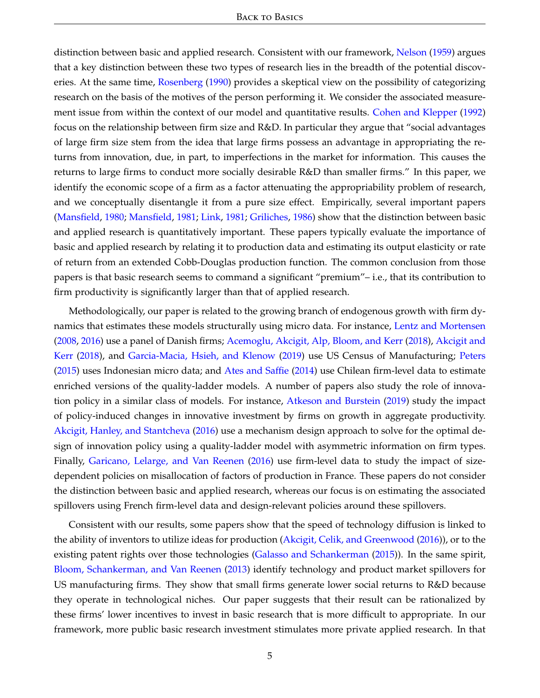distinction between basic and applied research. Consistent with our framework, [Nelson](#page-47-0) [\(1959\)](#page-47-0) argues that a key distinction between these two types of research lies in the breadth of the potential discoveries. At the same time, [Rosenberg](#page-47-2) [\(1990\)](#page-47-2) provides a skeptical view on the possibility of categorizing research on the basis of the motives of the person performing it. We consider the associated measurement issue from within the context of our model and quantitative results. [Cohen and Klepper](#page-45-3) [\(1992\)](#page-45-3) focus on the relationship between firm size and R&D. In particular they argue that "social advantages of large firm size stem from the idea that large firms possess an advantage in appropriating the returns from innovation, due, in part, to imperfections in the market for information. This causes the returns to large firms to conduct more socially desirable R&D than smaller firms." In this paper, we identify the economic scope of a firm as a factor attenuating the appropriability problem of research, and we conceptually disentangle it from a pure size effect. Empirically, several important papers [\(Mansfield,](#page-47-5) [1980;](#page-47-5) [Mansfield,](#page-47-6) [1981;](#page-47-6) [Link,](#page-47-7) [1981;](#page-47-7) [Griliches,](#page-46-7) [1986\)](#page-46-7) show that the distinction between basic and applied research is quantitatively important. These papers typically evaluate the importance of basic and applied research by relating it to production data and estimating its output elasticity or rate of return from an extended Cobb-Douglas production function. The common conclusion from those papers is that basic research seems to command a significant "premium"– i.e., that its contribution to firm productivity is significantly larger than that of applied research.

Methodologically, our paper is related to the growing branch of endogenous growth with firm dynamics that estimates these models structurally using micro data. For instance, [Lentz and Mortensen](#page-47-8) [\(2008,](#page-47-8) [2016\)](#page-47-9) use a panel of Danish firms; [Acemoglu, Akcigit, Alp, Bloom, and Kerr](#page-45-4) [\(2018\)](#page-45-4), [Akcigit and](#page-45-5) [Kerr](#page-45-5) [\(2018\)](#page-45-5), and [Garcia-Macia, Hsieh, and Klenow](#page-46-8) [\(2019\)](#page-46-8) use US Census of Manufacturing; [Peters](#page-47-10) [\(2015\)](#page-47-10) uses Indonesian micro data; and [Ates and Saffie](#page-45-6) [\(2014\)](#page-45-6) use Chilean firm-level data to estimate enriched versions of the quality-ladder models. A number of papers also study the role of innovation policy in a similar class of models. For instance, [Atkeson and Burstein](#page-45-7) [\(2019\)](#page-45-7) study the impact of policy-induced changes in innovative investment by firms on growth in aggregate productivity. [Akcigit, Hanley, and Stantcheva](#page-45-8) [\(2016\)](#page-45-8) use a mechanism design approach to solve for the optimal design of innovation policy using a quality-ladder model with asymmetric information on firm types. Finally, [Garicano, Lelarge, and Van Reenen](#page-46-9) [\(2016\)](#page-46-9) use firm-level data to study the impact of sizedependent policies on misallocation of factors of production in France. These papers do not consider the distinction between basic and applied research, whereas our focus is on estimating the associated spillovers using French firm-level data and design-relevant policies around these spillovers.

Consistent with our results, some papers show that the speed of technology diffusion is linked to the ability of inventors to utilize ideas for production [\(Akcigit, Celik, and Greenwood](#page-45-9) [\(2016\)](#page-45-9)), or to the existing patent rights over those technologies [\(Galasso and Schankerman](#page-46-10) [\(2015\)](#page-46-10)). In the same spirit, [Bloom, Schankerman, and Van Reenen](#page-45-10) [\(2013\)](#page-45-10) identify technology and product market spillovers for US manufacturing firms. They show that small firms generate lower social returns to R&D because they operate in technological niches. Our paper suggests that their result can be rationalized by these firms' lower incentives to invest in basic research that is more difficult to appropriate. In our framework, more public basic research investment stimulates more private applied research. In that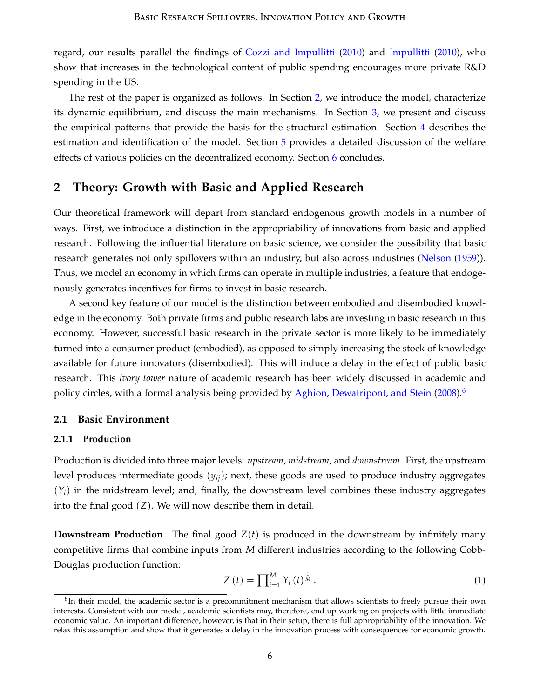regard, our results parallel the findings of [Cozzi and Impullitti](#page-46-11) [\(2010\)](#page-46-12) and [Impullitti](#page-46-12) (2010), who show that increases in the technological content of public spending encourages more private R&D spending in the US.

The rest of the paper is organized as follows. In Section [2,](#page-6-0) we introduce the model, characterize its dynamic equilibrium, and discuss the main mechanisms. In Section [3,](#page-20-0) we present and discuss the empirical patterns that provide the basis for the structural estimation. Section [4](#page-27-0) describes the estimation and identification of the model. Section [5](#page-36-0) provides a detailed discussion of the welfare effects of various policies on the decentralized economy. Section [6](#page-43-0) concludes.

## <span id="page-6-0"></span>**2 Theory: Growth with Basic and Applied Research**

Our theoretical framework will depart from standard endogenous growth models in a number of ways. First, we introduce a distinction in the appropriability of innovations from basic and applied research. Following the influential literature on basic science, we consider the possibility that basic research generates not only spillovers within an industry, but also across industries [\(Nelson](#page-47-0) [\(1959\)](#page-47-0)). Thus, we model an economy in which firms can operate in multiple industries, a feature that endogenously generates incentives for firms to invest in basic research.

A second key feature of our model is the distinction between embodied and disembodied knowledge in the economy. Both private firms and public research labs are investing in basic research in this economy. However, successful basic research in the private sector is more likely to be immediately turned into a consumer product (embodied), as opposed to simply increasing the stock of knowledge available for future innovators (disembodied). This will induce a delay in the effect of public basic research. This *ivory tower* nature of academic research has been widely discussed in academic and policy circles, with a formal analysis being provided by [Aghion, Dewatripont, and Stein](#page-45-11) [\(2008\)](#page-45-11).<sup>[6](#page-6-1)</sup>

## **2.1 Basic Environment**

## **2.1.1 Production**

Production is divided into three major levels: *upstream*, *midstream,* and *downstream*. First, the upstream level produces intermediate goods  $(y_{ii})$ ; next, these goods are used to produce industry aggregates  $(Y_i)$  in the midstream level; and, finally, the downstream level combines these industry aggregates into the final good (*Z*). We will now describe them in detail.

**Downstream Production** The final good  $Z(t)$  is produced in the downstream by infinitely many competitive firms that combine inputs from *M* different industries according to the following Cobb-Douglas production function:

<span id="page-6-2"></span>
$$
Z\left(t\right) = \prod\nolimits_{i=1}^{M} Y_i\left(t\right)^{\frac{1}{M}}.\tag{1}
$$

<span id="page-6-1"></span><sup>&</sup>lt;sup>6</sup>In their model, the academic sector is a precommitment mechanism that allows scientists to freely pursue their own interests. Consistent with our model, academic scientists may, therefore, end up working on projects with little immediate economic value. An important difference, however, is that in their setup, there is full appropriability of the innovation. We relax this assumption and show that it generates a delay in the innovation process with consequences for economic growth.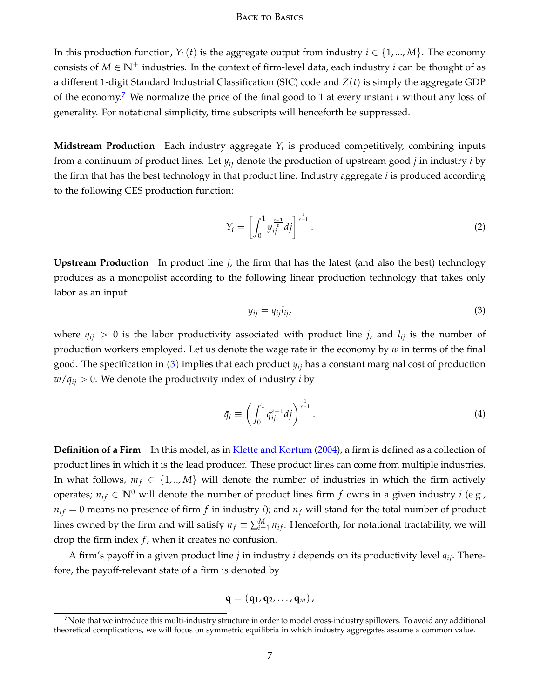In this production function,  $Y_i(t)$  is the aggregate output from industry  $i \in \{1, ..., M\}$ . The economy consists of  $M \in \mathbb{N}^+$  industries. In the context of firm-level data, each industry *i* can be thought of as a different 1-digit Standard Industrial Classification (SIC) code and *Z*(*t*) is simply the aggregate GDP of the economy.[7](#page-7-0) We normalize the price of the final good to 1 at every instant *t* without any loss of generality. For notational simplicity, time subscripts will henceforth be suppressed.

**Midstream Production** Each industry aggregate  $Y_i$  is produced competitively, combining inputs from a continuum of product lines. Let *yij* denote the production of upstream good *j* in industry *i* by the firm that has the best technology in that product line. Industry aggregate *i* is produced according to the following CES production function:

<span id="page-7-3"></span>
$$
Y_i = \left[ \int_0^1 y_{ij}^{\frac{\varepsilon - 1}{\varepsilon}} dj \right]^{\frac{\varepsilon}{\varepsilon - 1}}.
$$
 (2)

**Upstream Production** In product line *j*, the firm that has the latest (and also the best) technology produces as a monopolist according to the following linear production technology that takes only labor as an input:

<span id="page-7-1"></span>
$$
y_{ij} = q_{ij}l_{ij}, \tag{3}
$$

where  $q_{ij} > 0$  is the labor productivity associated with product line *j*, and  $l_{ij}$  is the number of production workers employed. Let us denote the wage rate in the economy by *w* in terms of the final good. The specification in ([3](#page-7-1)) implies that each product *yij* has a constant marginal cost of production  $w/q_{ij} > 0$ . We denote the productivity index of industry *i* by

<span id="page-7-2"></span>
$$
\bar{q}_i \equiv \left( \int_0^1 q_{ij}^{\varepsilon - 1} dj \right)^{\frac{1}{\varepsilon - 1}}.
$$
\n(4)

**Definition of a Firm** In this model, as in [Klette and Kortum](#page-46-1) [\(2004\)](#page-46-1), a firm is defined as a collection of product lines in which it is the lead producer. These product lines can come from multiple industries. In what follows,  $m_f \in \{1,..,M\}$  will denote the number of industries in which the firm actively operates;  $n_{if} \in \mathbb{N}^0$  will denote the number of product lines firm *f* owns in a given industry *i* (e.g.,  $n_{if} = 0$  means no presence of firm *f* in industry *i*); and  $n_f$  will stand for the total number of product lines owned by the firm and will satisfy  $n_f \equiv \sum_{i=1}^{M} n_{if}$ . Henceforth, for notational tractability, we will drop the firm index *f* , when it creates no confusion.

A firm's payoff in a given product line *j* in industry *i* depends on its productivity level *qij*. Therefore, the payoff-relevant state of a firm is denoted by

$$
\mathbf{q}=(\mathbf{q}_1,\mathbf{q}_2,\ldots,\mathbf{q}_m),
$$

<span id="page-7-0"></span> $^7$ Note that we introduce this multi-industry structure in order to model cross-industry spillovers. To avoid any additional theoretical complications, we will focus on symmetric equilibria in which industry aggregates assume a common value.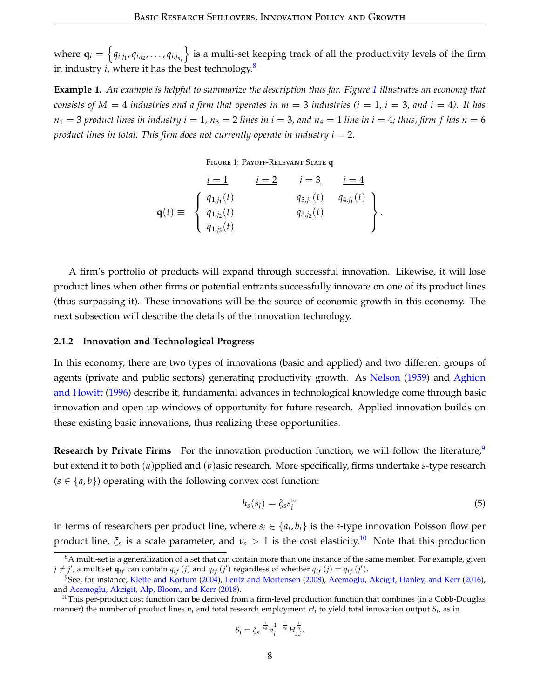where  ${\bf q}_i=\left\{q_{i,j_1},q_{i,j_2},\ldots,q_{i,j_{n_i}}\right\}$  is a multi-set keeping track of all the productivity levels of the firm in industry *i*, where it has the best technology.<sup>[8](#page-8-0)</sup>

<span id="page-8-1"></span>**Example 1.** *An example is helpful to summarize the description thus far. Figure [1](#page-8-1) illustrates an economy that consists of*  $M = 4$  *industries and a firm that operates in*  $m = 3$  *industries (i* = 1, *i* = 3, *and i* = 4). It has  $n_1 = 3$  product lines in industry  $i = 1$ ,  $n_3 = 2$  lines in  $i = 3$ , and  $n_4 = 1$  line in  $i = 4$ ; thus, firm f has  $n = 6$ *product lines in total. This firm does not currently operate in industry i* = 2*.* 

Figure 1: Payoff-Relevant State **q**

$$
\mathbf{q}(t) \equiv \begin{cases} \n\frac{i=1}{q_{1,j_1}(t)} & \frac{i=2}{q_{3,j_1}(t)} & \frac{i=4}{q_{4,j_1}(t)} \\ \nq_{1,j_2}(t) & \frac{q_{3,j_2}(t)}{q_{1,j_3}(t)} \n\end{cases} .
$$

A firm's portfolio of products will expand through successful innovation. Likewise, it will lose product lines when other firms or potential entrants successfully innovate on one of its product lines (thus surpassing it). These innovations will be the source of economic growth in this economy. The next subsection will describe the details of the innovation technology.

### **2.1.2 Innovation and Technological Progress**

In this economy, there are two types of innovations (basic and applied) and two different groups of agents (private and public sectors) generating productivity growth. As [Nelson](#page-47-0) [\(1959\)](#page-47-0) and [Aghion](#page-45-1) [and Howitt](#page-45-1) [\(1996\)](#page-45-1) describe it, fundamental advances in technological knowledge come through basic innovation and open up windows of opportunity for future research. Applied innovation builds on these existing basic innovations, thus realizing these opportunities.

**Research by Private Firms** For the innovation production function, we will follow the literature,<sup>[9](#page-8-2)</sup> but extend it to both (*a*)pplied and (*b*)asic research. More specifically, firms undertake *s*-type research  $(s \in \{a, b\})$  operating with the following convex cost function:

<span id="page-8-4"></span>
$$
h_s(s_i) = \xi_s s_i^{v_s} \tag{5}
$$

in terms of researchers per product line, where  $s_i \in \{a_i, b_i\}$  is the *s*-type innovation Poisson flow per product line, *ξ<sup>s</sup>* is a scale parameter, and *ν<sup>s</sup>* > 1 is the cost elasticity.[10](#page-8-3) Note that this production

$$
S_i = \xi_s^{-\frac{1}{v_s}} n_i^{1-\frac{1}{v_s}} H_{s,i}^{\frac{1}{v_s}}.
$$

<span id="page-8-0"></span> $8A$  multi-set is a generalization of a set that can contain more than one instance of the same member. For example, given  $j \neq j'$ , a multiset  $\mathbf{q}_{if}$  can contain  $q_{if}$  (*j*) and  $q_{if}$  (*j'*) regardless of whether  $q_{if}$  (*j*) =  $q_{if}$  (*j'*).

<span id="page-8-2"></span><sup>&</sup>lt;sup>9</sup>See, for instance, [Klette and Kortum](#page-46-1) [\(2004\)](#page-46-1), [Lentz and Mortensen](#page-47-8) [\(2008\)](#page-47-8), [Acemoglu, Akcigit, Hanley, and Kerr](#page-45-12) [\(2016\)](#page-45-12), and [Acemoglu, Akcigit, Alp, Bloom, and Kerr](#page-45-4) [\(2018\)](#page-45-4).

<span id="page-8-3"></span> $^{10}$ This per-product cost function can be derived from a firm-level production function that combines (in a Cobb-Douglas manner) the number of product lines  $n_i$  and total research employment  $H_i$  to yield total innovation output  $S_i$ , as in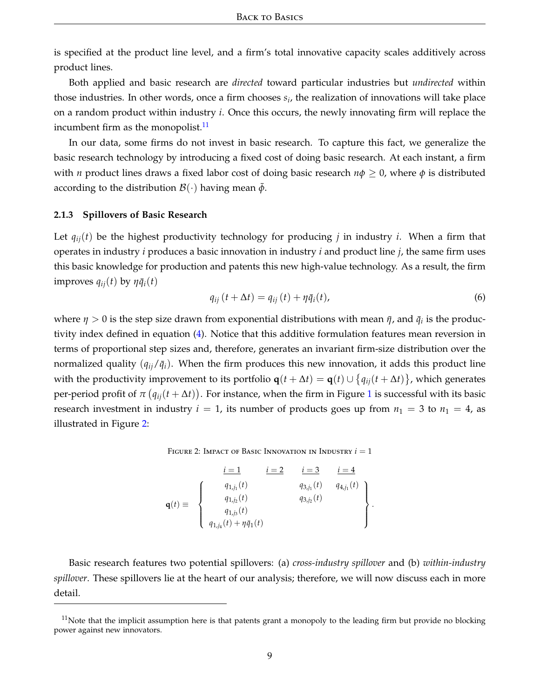is specified at the product line level, and a firm's total innovative capacity scales additively across product lines.

Both applied and basic research are *directed* toward particular industries but *undirected* within those industries. In other words, once a firm chooses *s<sup>i</sup>* , the realization of innovations will take place on a random product within industry *i*. Once this occurs, the newly innovating firm will replace the incumbent firm as the monopolist. $<sup>11</sup>$  $<sup>11</sup>$  $<sup>11</sup>$ </sup>

In our data, some firms do not invest in basic research. To capture this fact, we generalize the basic research technology by introducing a fixed cost of doing basic research. At each instant, a firm with *n* product lines draws a fixed labor cost of doing basic research *nφ* ≥ 0, where *φ* is distributed according to the distribution  $\mathcal{B}(\cdot)$  having mean  $\bar{\phi}$ .

### **2.1.3 Spillovers of Basic Research**

Let  $q_{ij}(t)$  be the highest productivity technology for producing *j* in industry *i*. When a firm that operates in industry *i* produces a basic innovation in industry *i* and product line *j*, the same firm uses this basic knowledge for production and patents this new high-value technology. As a result, the firm  $improves q_{ij}(t)$  by  $\eta \bar{q}_i(t)$ 

<span id="page-9-2"></span>
$$
q_{ij}(t + \Delta t) = q_{ij}(t) + \eta \bar{q}_i(t), \qquad (6)
$$

.

where  $\eta > 0$  is the step size drawn from exponential distributions with mean  $\bar{\eta}$ , and  $\bar{q}_i$  is the productivity index defined in equation [\(4\)](#page-7-2). Notice that this additive formulation features mean reversion in terms of proportional step sizes and, therefore, generates an invariant firm-size distribution over the normalized quality  $(q_{ii}/\bar{q}_i)$ . When the firm produces this new innovation, it adds this product line with the productivity improvement to its portfolio  $\mathbf{q}(t + \Delta t) = \mathbf{q}(t) \cup \{q_{ij}(t + \Delta t)\}\text{, which generates }$ per-period profit of  $\pi\left(q_{ij}(t+\Delta t)\right)$ . For instance, when the firm in Figure [1](#page-8-1) is successful with its basic research investment in industry  $i = 1$ , its number of products goes up from  $n_1 = 3$  to  $n_1 = 4$ , as illustrated in Figure [2:](#page-9-1)

### FIGURE 2: IMPACT OF BASIC INNOVATION IN INDUSTRY  $i = 1$

<span id="page-9-1"></span>

|               | $i=1$                                                                                    | $i=2$ | $i=3$                            | $i=4$          |  |
|---------------|------------------------------------------------------------------------------------------|-------|----------------------------------|----------------|--|
| $q(t) \equiv$ | $q_{1,j_1}(t)$<br>$q_{1,j_2}(t)$<br>$q_{1,j_3}(t)$<br>$q_{1,j_4}(t) + \eta \bar{q}_1(t)$ |       | $q_{3,j_1}(t)$<br>$q_{3,j_2}(t)$ | $q_{4,j_1}(t)$ |  |

Basic research features two potential spillovers: (a) *cross-industry spillover* and (b) *within-industry spillover*. These spillovers lie at the heart of our analysis; therefore, we will now discuss each in more detail.

<span id="page-9-0"></span> $11$ Note that the implicit assumption here is that patents grant a monopoly to the leading firm but provide no blocking power against new innovators.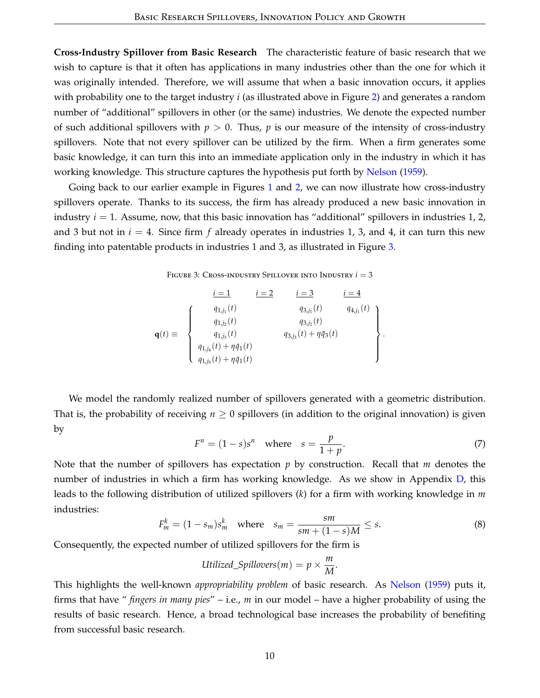**Cross-Industry Spillover from Basic Research** The characteristic feature of basic research that we wish to capture is that it often has applications in many industries other than the one for which it was originally intended. Therefore, we will assume that when a basic innovation occurs, it applies with probability one to the target industry *i* (as illustrated above in Figure [2\)](#page-9-1) and generates a random number of "additional" spillovers in other (or the same) industries. We denote the expected number of such additional spillovers with  $p > 0$ . Thus, p is our measure of the intensity of cross-industry spillovers. Note that not every spillover can be utilized by the firm. When a firm generates some basic knowledge, it can turn this into an immediate application only in the industry in which it has working knowledge. This structure captures the hypothesis put forth by [Nelson](#page-47-0) [\(1959\)](#page-47-0).

<span id="page-10-0"></span>Going back to our earlier example in Figures [1](#page-8-1) and [2,](#page-9-1) we can now illustrate how cross-industry spillovers operate. Thanks to its success, the firm has already produced a new basic innovation in industry  $i = 1$ . Assume, now, that this basic innovation has "additional" spillovers in industries 1, 2, and 3 but not in  $i = 4$ . Since firm f already operates in industries 1, 3, and 4, it can turn this new finding into patentable products in industries 1 and 3, as illustrated in Figure [3.](#page-10-0)

Figure 3: Cross-industry Spillover into Industry *i* = 3

$$
\mathbf{q}(t) \equiv \begin{bmatrix} \frac{i=1}{\eta_{1,j_1}(t)} & \frac{i=2}{\eta_{3,j_1}(t)} & \frac{i=4}{\eta_{4,j_1}(t)} \\ q_{1,j_2}(t) & q_{3,j_2}(t) & q_{4,j_1}(t) \\ q_{1,j_3}(t) & q_{3,j_3}(t) + \eta \bar{q}_3(t) \\ q_{1,j_4}(t) + \eta \bar{q}_1(t) & & \end{bmatrix}.
$$

We model the randomly realized number of spillovers generated with a geometric distribution. That is, the probability of receiving  $n \geq 0$  spillovers (in addition to the original innovation) is given by

$$
F^n = (1 - s)s^n \quad \text{where} \quad s = \frac{p}{1 + p}.\tag{7}
$$

Note that the number of spillovers has expectation *p* by construction. Recall that *m* denotes the number of industries in which a firm has working knowledge. As we show in Appendix [D,](#page-56-0) this leads to the following distribution of utilized spillovers (*k*) for a firm with working knowledge in *m* industries:

$$
F_m^k = (1 - s_m)s_m^k \quad \text{where} \quad s_m = \frac{sm}{sm + (1 - s)M} \leq s. \tag{8}
$$

.

Consequently, the expected number of utilized spillovers for the firm is

$$
Utilized\_Spillovers(m) = p \times \frac{m}{M}
$$

This highlights the well-known *appropriability problem* of basic research. As [Nelson](#page-47-0) [\(1959\)](#page-47-0) puts it, firms that have " *fingers in many pies*" – i.e., *m* in our model – have a higher probability of using the results of basic research. Hence, a broad technological base increases the probability of benefiting from successful basic research.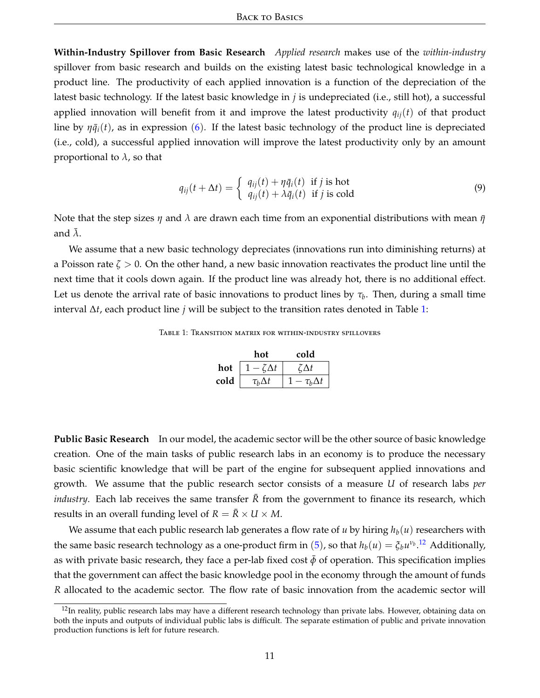**Within-Industry Spillover from Basic Research** *Applied research* makes use of the *within-industry* spillover from basic research and builds on the existing latest basic technological knowledge in a product line. The productivity of each applied innovation is a function of the depreciation of the latest basic technology. If the latest basic knowledge in *j* is undepreciated (i.e., still hot), a successful applied innovation will benefit from it and improve the latest productivity  $q_{ij}(t)$  of that product line by  $\eta \bar{q}_i(t)$ , as in expression ([6](#page-9-2)). If the latest basic technology of the product line is depreciated (i.e., cold), a successful applied innovation will improve the latest productivity only by an amount proportional to *λ*, so that

$$
q_{ij}(t + \Delta t) = \begin{cases} q_{ij}(t) + \eta \bar{q}_i(t) & \text{if } j \text{ is hot} \\ q_{ij}(t) + \lambda \bar{q}_i(t) & \text{if } j \text{ is cold} \end{cases}
$$
(9)

Note that the step sizes *η* and *λ* are drawn each time from an exponential distributions with mean *η*¯ and  $\bar{\lambda}$ .

<span id="page-11-0"></span>We assume that a new basic technology depreciates (innovations run into diminishing returns) at a Poisson rate  $\zeta > 0$ . On the other hand, a new basic innovation reactivates the product line until the next time that it cools down again. If the product line was already hot, there is no additional effect. Let us denote the arrival rate of basic innovations to product lines by  $\tau_b.$  Then, during a small time interval ∆*t*, each product line *j* will be subject to the transition rates denoted in Table [1:](#page-11-0)

Table 1: Transition matrix for within-industry spillovers

|      | hot               | cold              |
|------|-------------------|-------------------|
| hot  | $\zeta \Delta t$  | $\angle \Delta t$ |
| cold | $\tau_h \Delta t$ | $\tau_h \Delta t$ |

**Public Basic Research** In our model, the academic sector will be the other source of basic knowledge creation. One of the main tasks of public research labs in an economy is to produce the necessary basic scientific knowledge that will be part of the engine for subsequent applied innovations and growth. We assume that the public research sector consists of a measure *U* of research labs *per industry*. Each lab receives the same transfer  $\bar{R}$  from the government to finance its research, which results in an overall funding level of  $R = \bar{R} \times U \times M$ .

We assume that each public research lab generates a flow rate of *u* by hiring  $h_b(u)$  researchers with the same basic research technology as a one-product firm in  $(5)$  $(5)$  $(5)$ , so that  $h_b(u) = \zeta_b u^{\nu_b}$ .<sup>[12](#page-11-1)</sup> Additionally, as with private basic research, they face a per-lab fixed cost  $\bar{\phi}$  of operation. This specification implies that the government can affect the basic knowledge pool in the economy through the amount of funds *R* allocated to the academic sector. The flow rate of basic innovation from the academic sector will

<span id="page-11-1"></span> $12$ In reality, public research labs may have a different research technology than private labs. However, obtaining data on both the inputs and outputs of individual public labs is difficult. The separate estimation of public and private innovation production functions is left for future research.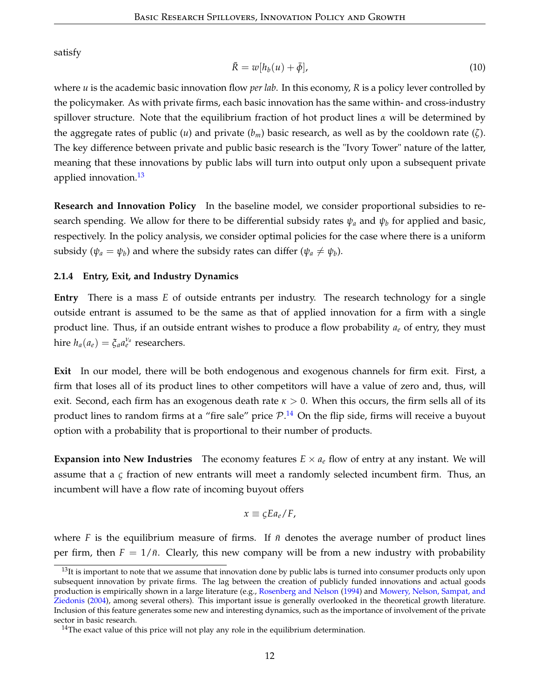satisfy

$$
\bar{R} = w[h_b(u) + \bar{\phi}], \tag{10}
$$

where *u* is the academic basic innovation flow *per lab*. In this economy, *R* is a policy lever controlled by the policymaker. As with private firms, each basic innovation has the same within- and cross-industry spillover structure. Note that the equilibrium fraction of hot product lines *α* will be determined by the aggregate rates of public (*u*) and private ( $b_m$ ) basic research, as well as by the cooldown rate ( $\zeta$ ). The key difference between private and public basic research is the "Ivory Tower" nature of the latter, meaning that these innovations by public labs will turn into output only upon a subsequent private applied innovation.<sup>[13](#page-12-0)</sup>

**Research and Innovation Policy** In the baseline model, we consider proportional subsidies to research spending. We allow for there to be differential subsidy rates *ψ<sup>a</sup>* and *ψ<sup>b</sup>* for applied and basic, respectively. In the policy analysis, we consider optimal policies for the case where there is a uniform subsidy ( $\psi_a = \psi_b$ ) and where the subsidy rates can differ ( $\psi_a \neq \psi_b$ ).

## **2.1.4 Entry, Exit, and Industry Dynamics**

**Entry** There is a mass *E* of outside entrants per industry. The research technology for a single outside entrant is assumed to be the same as that of applied innovation for a firm with a single product line. Thus, if an outside entrant wishes to produce a flow probability *a<sup>e</sup>* of entry, they must hire  $h_a(a_e) = \xi_a a_e^{\nu_a}$  researchers.

**Exit** In our model, there will be both endogenous and exogenous channels for firm exit. First, a firm that loses all of its product lines to other competitors will have a value of zero and, thus, will exit. Second, each firm has an exogenous death rate  $\kappa > 0$ . When this occurs, the firm sells all of its product lines to random firms at a "fire sale" price  $\mathcal{P}.^{14}$  $\mathcal{P}.^{14}$  $\mathcal{P}.^{14}$  On the flip side, firms will receive a buyout option with a probability that is proportional to their number of products.

**Expansion into New Industries** The economy features  $E \times a_e$  flow of entry at any instant. We will assume that a *ς* fraction of new entrants will meet a randomly selected incumbent firm. Thus, an incumbent will have a flow rate of incoming buyout offers

$$
x\equiv \varsigma E a_e/F,
$$

where *F* is the equilibrium measure of firms. If  $\bar{n}$  denotes the average number of product lines per firm, then  $F = 1/\bar{n}$ . Clearly, this new company will be from a new industry with probability

<span id="page-12-0"></span> $13$ It is important to note that we assume that innovation done by public labs is turned into consumer products only upon subsequent innovation by private firms. The lag between the creation of publicly funded innovations and actual goods production is empirically shown in a large literature (e.g., [Rosenberg and Nelson](#page-47-11) [\(1994\)](#page-47-11) and [Mowery, Nelson, Sampat, and](#page-47-12) [Ziedonis](#page-47-12) [\(2004\)](#page-47-12), among several others). This important issue is generally overlooked in the theoretical growth literature. Inclusion of this feature generates some new and interesting dynamics, such as the importance of involvement of the private sector in basic research.

<span id="page-12-1"></span> $14$ The exact value of this price will not play any role in the equilibrium determination.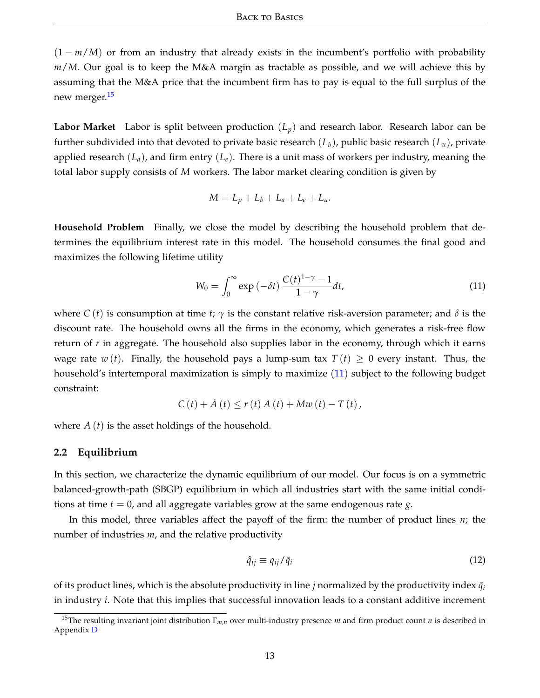(1 − *m*/*M*) or from an industry that already exists in the incumbent's portfolio with probability *m*/*M*. Our goal is to keep the M&A margin as tractable as possible, and we will achieve this by assuming that the M&A price that the incumbent firm has to pay is equal to the full surplus of the new merger.<sup>[15](#page-13-0)</sup>

**Labor Market** Labor is split between production (*Lp*) and research labor. Research labor can be further subdivided into that devoted to private basic research (*Lb*), public basic research (*Lu*), private applied research  $(L_a)$ , and firm entry  $(L_e)$ . There is a unit mass of workers per industry, meaning the total labor supply consists of *M* workers. The labor market clearing condition is given by

$$
M=L_p+L_b+L_a+L_e+L_u.
$$

**Household Problem** Finally, we close the model by describing the household problem that determines the equilibrium interest rate in this model. The household consumes the final good and maximizes the following lifetime utility

<span id="page-13-1"></span>
$$
W_0 = \int_0^\infty \exp\left(-\delta t\right) \frac{C(t)^{1-\gamma} - 1}{1-\gamma} dt,\tag{11}
$$

where  $C(t)$  is consumption at time *t*;  $\gamma$  is the constant relative risk-aversion parameter; and  $\delta$  is the discount rate. The household owns all the firms in the economy, which generates a risk-free flow return of *r* in aggregate. The household also supplies labor in the economy, through which it earns wage rate  $w(t)$ . Finally, the household pays a lump-sum tax  $T(t) \geq 0$  every instant. Thus, the household's intertemporal maximization is simply to maximize ([11](#page-13-1)) subject to the following budget constraint:

$$
C(t) + \dot{A}(t) \le r(t) A(t) + Mw(t) - T(t)
$$
,

where *A* (*t*) is the asset holdings of the household.

### **2.2 Equilibrium**

In this section, we characterize the dynamic equilibrium of our model. Our focus is on a symmetric balanced-growth-path (SBGP) equilibrium in which all industries start with the same initial conditions at time *t* = 0, and all aggregate variables grow at the same endogenous rate *g*.

In this model, three variables affect the payoff of the firm: the number of product lines *n*; the number of industries *m*, and the relative productivity

$$
\hat{q}_{ij} \equiv q_{ij}/\bar{q}_i \tag{12}
$$

of its product lines, which is the absolute productivity in line *j* normalized by the productivity index  $\bar{q}_i$ in industry *i*. Note that this implies that successful innovation leads to a constant additive increment

<span id="page-13-0"></span><sup>15</sup>The resulting invariant joint distribution Γ*m*,*<sup>n</sup>* over multi-industry presence *m* and firm product count *n* is described in Appendix [D](#page-56-0)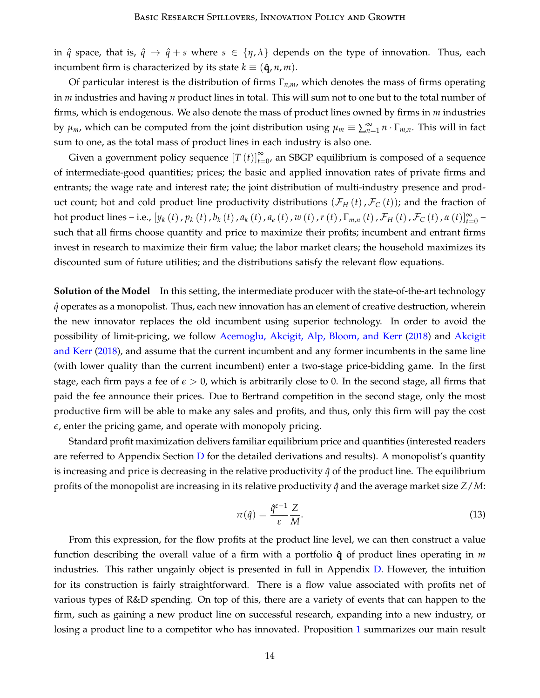in  $\hat{q}$  space, that is,  $\hat{q} \rightarrow \hat{q} + s$  where  $s \in \{\eta, \lambda\}$  depends on the type of innovation. Thus, each incumbent firm is characterized by its state  $k \equiv (\hat{\bf{q}}, n, m)$ .

Of particular interest is the distribution of firms Γ*n*,*m*, which denotes the mass of firms operating in *m* industries and having *n* product lines in total. This will sum not to one but to the total number of firms, which is endogenous. We also denote the mass of product lines owned by firms in *m* industries by  $\mu_m$ , which can be computed from the joint distribution using  $\mu_m \equiv \sum_{n=1}^{\infty} n \cdot \Gamma_{m,n}$ . This will in fact sum to one, as the total mass of product lines in each industry is also one.

Given a government policy sequence  $[T(t)]_{t=0}^{\infty}$ , an SBGP equilibrium is composed of a sequence of intermediate-good quantities; prices; the basic and applied innovation rates of private firms and entrants; the wage rate and interest rate; the joint distribution of multi-industry presence and product count; hot and cold product line productivity distributions  $(\mathcal{F}_H(t), \mathcal{F}_C(t))$ ; and the fraction of hot product lines – i.e.,  $[y_k(t)$ ,  $p_k(t)$ ,  $b_k(t)$ ,  $a_k(t)$ ,  $a_e(t)$ ,  $w(t)$ ,  $r(t)$ ,  $\Gamma_{m,n}(t)$ ,  $\mathcal{F}_H(t)$ ,  $\mathcal{F}_C(t)$ ,  $\alpha(t)|_{t=0}^{\infty}$ such that all firms choose quantity and price to maximize their profits; incumbent and entrant firms invest in research to maximize their firm value; the labor market clears; the household maximizes its discounted sum of future utilities; and the distributions satisfy the relevant flow equations.

**Solution of the Model** In this setting, the intermediate producer with the state-of-the-art technology *q*ˆ operates as a monopolist. Thus, each new innovation has an element of creative destruction, wherein the new innovator replaces the old incumbent using superior technology. In order to avoid the possibility of limit-pricing, we follow [Acemoglu, Akcigit, Alp, Bloom, and Kerr](#page-45-4) [\(2018\)](#page-45-4) and [Akcigit](#page-45-5) [and Kerr](#page-45-5) [\(2018\)](#page-45-5), and assume that the current incumbent and any former incumbents in the same line (with lower quality than the current incumbent) enter a two-stage price-bidding game. In the first stage, each firm pays a fee of  $\epsilon > 0$ , which is arbitrarily close to 0. In the second stage, all firms that paid the fee announce their prices. Due to Bertrand competition in the second stage, only the most productive firm will be able to make any sales and profits, and thus, only this firm will pay the cost *e*, enter the pricing game, and operate with monopoly pricing.

Standard profit maximization delivers familiar equilibrium price and quantities (interested readers are referred to Appendix Section  $D$  for the detailed derivations and results). A monopolist's quantity is increasing and price is decreasing in the relative productivity  $\hat{q}$  of the product line. The equilibrium profits of the monopolist are increasing in its relative productivity  $\hat{q}$  and the average market size  $Z/M$ :

$$
\pi(\hat{q}) = \frac{\hat{q}^{\varepsilon - 1}}{\varepsilon} \frac{Z}{M}.
$$
\n(13)

From this expression, for the flow profits at the product line level, we can then construct a value function describing the overall value of a firm with a portfolio **ˆq** of product lines operating in *m* industries. This rather ungainly object is presented in full in Appendix [D.](#page-56-0) However, the intuition for its construction is fairly straightforward. There is a flow value associated with profits net of various types of R&D spending. On top of this, there are a variety of events that can happen to the firm, such as gaining a new product line on successful research, expanding into a new industry, or losing a product line to a competitor who has innovated. Proposition [1](#page-15-0) summarizes our main result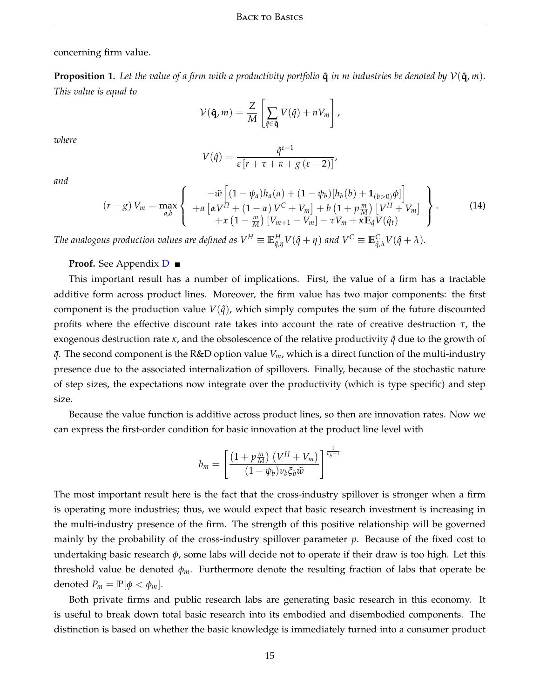concerning firm value.

<span id="page-15-0"></span>**Proposition 1.** Let the value of a firm with a productivity portfolio  $\hat{\mathbf{q}}$  *in m industries be denoted by*  $V(\hat{\mathbf{q}}, m)$ . *This value is equal to*

$$
\mathcal{V}(\mathbf{\hat{q}},m)=\frac{Z}{M}\left[\sum_{\hat{q}\in\mathbf{\hat{q}}}V(\hat{q})+nV_m\right],
$$

*where*

$$
V(\hat{q}) = \frac{\hat{q}^{\varepsilon - 1}}{\varepsilon \left[ r + \tau + \kappa + g\left(\varepsilon - 2\right) \right]},
$$

*and*

$$
(r-g) V_m = \max_{a,b} \left\{ \begin{array}{c} -\tilde{w} \left[ (1-\psi_a) h_a(a) + (1-\psi_b) [h_b(b) + \mathbf{1}_{(b>0)} \phi] \right] \\ +a \left[ \alpha V^H + (1-\alpha) V^C + V_m \right] + b \left( 1 + p \frac{m}{M} \right) \left[ V^H + V_m \right] \\ +x \left( 1 - \frac{m}{M} \right) \left[ V_{m+1} - V_m \right] - \tau V_m + \kappa \mathbb{E}_{\hat{q}} V(\hat{q}_t) \end{array} \right\}.
$$
 (14)

The analogous production values are defined as  $V^H\equiv \mathbb{E}^H_{\hat{q},\eta}V(\hat{q}+\eta)$  and  $V^C\equiv \mathbb{E}^C_{\hat{q},\lambda}V(\hat{q}+\lambda).$ 

### **Proof.** See Appendix **[D](#page-56-0)** ■

This important result has a number of implications. First, the value of a firm has a tractable additive form across product lines. Moreover, the firm value has two major components: the first component is the production value  $V(\hat{q})$ , which simply computes the sum of the future discounted profits where the effective discount rate takes into account the rate of creative destruction *τ*, the exogenous destruction rate *κ*, and the obsolescence of the relative productivity *q*ˆ due to the growth of  $\bar{q}$ . The second component is the R&D option value  $V_m$ , which is a direct function of the multi-industry presence due to the associated internalization of spillovers. Finally, because of the stochastic nature of step sizes, the expectations now integrate over the productivity (which is type specific) and step size.

Because the value function is additive across product lines, so then are innovation rates. Now we can express the first-order condition for basic innovation at the product line level with

$$
b_m = \left[ \frac{\left(1 + p\frac{m}{M}\right)\left(V^H + V_m\right)}{(1 - \psi_b)v_b\xi_b\tilde{w}} \right]^{\frac{1}{v_b - 1}}
$$

The most important result here is the fact that the cross-industry spillover is stronger when a firm is operating more industries; thus, we would expect that basic research investment is increasing in the multi-industry presence of the firm. The strength of this positive relationship will be governed mainly by the probability of the cross-industry spillover parameter *p*. Because of the fixed cost to undertaking basic research *φ*, some labs will decide not to operate if their draw is too high. Let this threshold value be denoted *φm*. Furthermore denote the resulting fraction of labs that operate be denoted  $P_m = \mathbb{P}[\phi < \phi_m].$ 

Both private firms and public research labs are generating basic research in this economy. It is useful to break down total basic research into its embodied and disembodied components. The distinction is based on whether the basic knowledge is immediately turned into a consumer product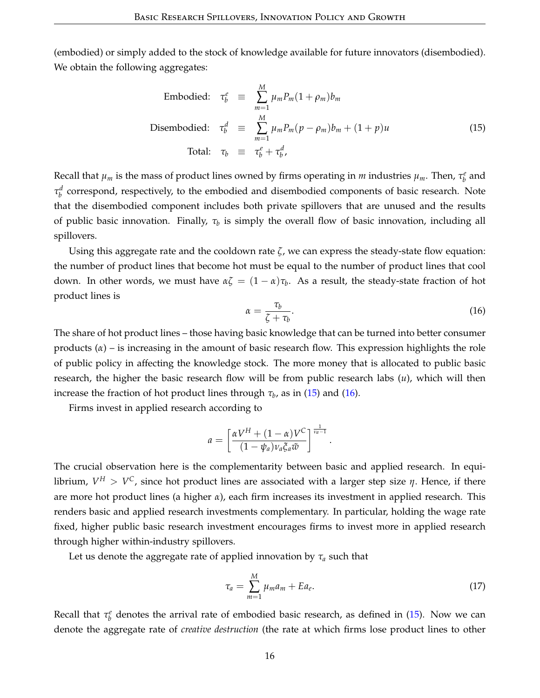(embodied) or simply added to the stock of knowledge available for future innovators (disembodied). We obtain the following aggregates:

<span id="page-16-0"></span>Embedied: 
$$
\tau_b^e \equiv \sum_{m=1}^M \mu_m P_m (1 + \rho_m) b_m
$$
  
Disembedded: 
$$
\tau_b^d \equiv \sum_{m=1}^M \mu_m P_m (p - \rho_m) b_m + (1 + p) u
$$
(15)  
Total: 
$$
\tau_b \equiv \tau_b^e + \tau_b^d,
$$

Recall that  $\mu_m$  is the mass of product lines owned by firms operating in *m* industries  $\mu_m$ . Then,  $\tau_b^e$  and  $\tau_b^d$  correspond, respectively, to the embodied and disembodied components of basic research. Note that the disembodied component includes both private spillovers that are unused and the results of public basic innovation. Finally,  $\tau_b$  is simply the overall flow of basic innovation, including all spillovers.

Using this aggregate rate and the cooldown rate  $\zeta$ , we can express the steady-state flow equation: the number of product lines that become hot must be equal to the number of product lines that cool down. In other words, we must have  $\alpha \zeta = (1 - \alpha)\tau_b$ . As a result, the steady-state fraction of hot product lines is

<span id="page-16-1"></span>
$$
\alpha = \frac{\tau_b}{\zeta + \tau_b}.\tag{16}
$$

The share of hot product lines – those having basic knowledge that can be turned into better consumer products (*α*) – is increasing in the amount of basic research flow. This expression highlights the role of public policy in affecting the knowledge stock. The more money that is allocated to public basic research, the higher the basic research flow will be from public research labs (*u*), which will then increase the fraction of hot product lines through  $\tau_b$ , as in [\(15\)](#page-16-0) and [\(16\)](#page-16-1).

Firms invest in applied research according to

$$
a = \left[ \frac{\alpha V^H + (1 - \alpha) V^C}{(1 - \psi_a) v_a \xi_a \tilde{w}} \right]^{\frac{1}{v_a - 1}}
$$

The crucial observation here is the complementarity between basic and applied research. In equilibrium,  $V^H > V^\mathsf{C}$ , since hot product lines are associated with a larger step size  $\eta.$  Hence, if there are more hot product lines (a higher *α*), each firm increases its investment in applied research. This renders basic and applied research investments complementary. In particular, holding the wage rate fixed, higher public basic research investment encourages firms to invest more in applied research through higher within-industry spillovers.

Let us denote the aggregate rate of applied innovation by  $\tau_a$  such that

$$
\tau_a = \sum_{m=1}^M \mu_m a_m + E a_e. \tag{17}
$$

.

Recall that  $\tau_b^e$  denotes the arrival rate of embodied basic research, as defined in [\(15\)](#page-16-0). Now we can denote the aggregate rate of *creative destruction* (the rate at which firms lose product lines to other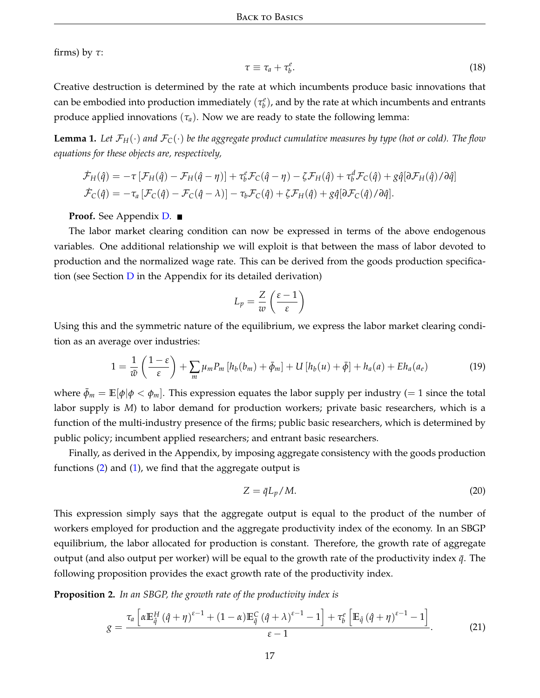firms) by *τ*:

$$
\tau \equiv \tau_a + \tau_b^e. \tag{18}
$$

Creative destruction is determined by the rate at which incumbents produce basic innovations that can be embodied into production immediately  $(\tau^e_b)$ , and by the rate at which incumbents and entrants produce applied innovations  $(\tau_a)$ . Now we are ready to state the following lemma:

**Lemma 1.** Let  $\mathcal{F}_H(\cdot)$  and  $\mathcal{F}_C(\cdot)$  be the aggregate product cumulative measures by type (hot or cold). The flow *equations for these objects are, respectively,*

$$
\dot{\mathcal{F}}_H(\hat{q}) = -\tau \left[ \mathcal{F}_H(\hat{q}) - \mathcal{F}_H(\hat{q} - \eta) \right] + \tau_b^e \mathcal{F}_C(\hat{q} - \eta) - \zeta \mathcal{F}_H(\hat{q}) + \tau_b^d \mathcal{F}_C(\hat{q}) + g\hat{q} [\partial \mathcal{F}_H(\hat{q})/\partial \hat{q}] \n\dot{\mathcal{F}}_C(\hat{q}) = -\tau_a \left[ \mathcal{F}_C(\hat{q}) - \mathcal{F}_C(\hat{q} - \lambda) \right] - \tau_b \mathcal{F}_C(\hat{q}) + \zeta \mathcal{F}_H(\hat{q}) + g\hat{q} [\partial \mathcal{F}_C(\hat{q})/\partial \hat{q}].
$$

### **Proof.** See Appendix **D**. ■

The labor market clearing condition can now be expressed in terms of the above endogenous variables. One additional relationship we will exploit is that between the mass of labor devoted to production and the normalized wage rate. This can be derived from the goods production specification (see Section [D](#page-56-0) in the Appendix for its detailed derivation)

$$
L_p = \frac{Z}{w} \left( \frac{\varepsilon - 1}{\varepsilon} \right)
$$

Using this and the symmetric nature of the equilibrium, we express the labor market clearing condition as an average over industries:

$$
1 = \frac{1}{\tilde{w}} \left( \frac{1 - \varepsilon}{\varepsilon} \right) + \sum_{m} \mu_m P_m \left[ h_b(b_m) + \bar{\phi}_m \right] + U \left[ h_b(u) + \bar{\phi} \right] + h_a(a) + E h_a(a_e) \tag{19}
$$

where  $\bar{\phi}_m = \mathbb{E}[\phi | \phi < \phi_m]$ . This expression equates the labor supply per industry (= 1 since the total labor supply is *M*) to labor demand for production workers; private basic researchers, which is a function of the multi-industry presence of the firms; public basic researchers, which is determined by public policy; incumbent applied researchers; and entrant basic researchers.

Finally, as derived in the Appendix, by imposing aggregate consistency with the goods production functions  $(2)$  and  $(1)$ , we find that the aggregate output is

<span id="page-17-0"></span>
$$
Z = \bar{q}L_p/M. \tag{20}
$$

This expression simply says that the aggregate output is equal to the product of the number of workers employed for production and the aggregate productivity index of the economy. In an SBGP equilibrium, the labor allocated for production is constant. Therefore, the growth rate of aggregate output (and also output per worker) will be equal to the growth rate of the productivity index  $\bar{q}$ . The following proposition provides the exact growth rate of the productivity index.

**Proposition 2.** *In an SBGP, the growth rate of the productivity index is*

<span id="page-17-1"></span>
$$
g = \frac{\tau_a \left[ \alpha \mathbb{E}_{\hat{q}}^H \left( \hat{q} + \eta \right)^{\varepsilon - 1} + (1 - \alpha) \mathbb{E}_{\hat{q}}^C \left( \hat{q} + \lambda \right)^{\varepsilon - 1} - 1 \right] + \tau_b^e \left[ \mathbb{E}_{\hat{q}} \left( \hat{q} + \eta \right)^{\varepsilon - 1} - 1 \right]}{\varepsilon - 1}.
$$
 (21)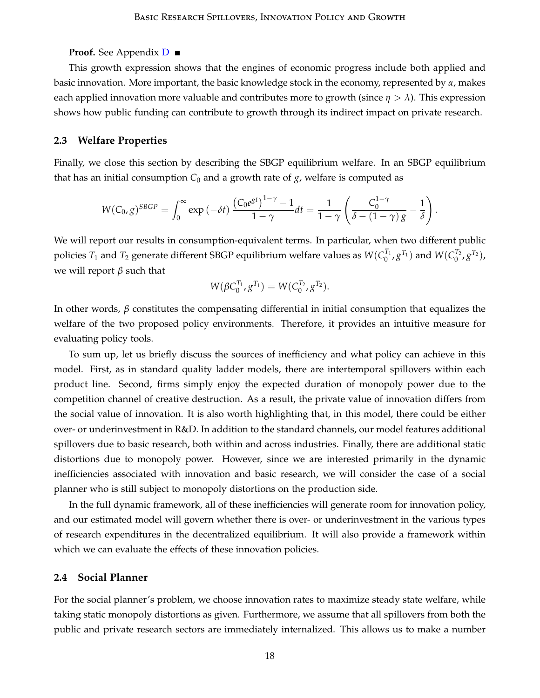### **Proof.** See Appendix [D](#page-56-0)

This growth expression shows that the engines of economic progress include both applied and basic innovation. More important, the basic knowledge stock in the economy, represented by *α*, makes each applied innovation more valuable and contributes more to growth (since  $\eta > \lambda$ ). This expression shows how public funding can contribute to growth through its indirect impact on private research.

## **2.3 Welfare Properties**

Finally, we close this section by describing the SBGP equilibrium welfare. In an SBGP equilibrium that has an initial consumption  $C_0$  and a growth rate of *g*, welfare is computed as

$$
W(C_0,g)^{SBGP} = \int_0^\infty \exp\left(-\delta t\right) \frac{\left(C_0 e^{gt}\right)^{1-\gamma} - 1}{1-\gamma} dt = \frac{1}{1-\gamma} \left(\frac{C_0^{1-\gamma}}{\delta - (1-\gamma)g} - \frac{1}{\delta}\right).
$$

We will report our results in consumption-equivalent terms. In particular, when two different public policies  $T_1$  and  $T_2$  generate different SBGP equilibrium welfare values as  $W(C_0^{T_1}, g^{T_1})$  and  $W(C_0^{T_2}, g^{T_2})$ , we will report *β* such that

$$
W(\beta C_0^{T_1}, g^{T_1}) = W(C_0^{T_2}, g^{T_2}).
$$

In other words,  $\beta$  constitutes the compensating differential in initial consumption that equalizes the welfare of the two proposed policy environments. Therefore, it provides an intuitive measure for evaluating policy tools.

To sum up, let us briefly discuss the sources of inefficiency and what policy can achieve in this model. First, as in standard quality ladder models, there are intertemporal spillovers within each product line. Second, firms simply enjoy the expected duration of monopoly power due to the competition channel of creative destruction. As a result, the private value of innovation differs from the social value of innovation. It is also worth highlighting that, in this model, there could be either over- or underinvestment in R&D. In addition to the standard channels, our model features additional spillovers due to basic research, both within and across industries. Finally, there are additional static distortions due to monopoly power. However, since we are interested primarily in the dynamic inefficiencies associated with innovation and basic research, we will consider the case of a social planner who is still subject to monopoly distortions on the production side.

In the full dynamic framework, all of these inefficiencies will generate room for innovation policy, and our estimated model will govern whether there is over- or underinvestment in the various types of research expenditures in the decentralized equilibrium. It will also provide a framework within which we can evaluate the effects of these innovation policies.

## **2.4 Social Planner**

For the social planner's problem, we choose innovation rates to maximize steady state welfare, while taking static monopoly distortions as given. Furthermore, we assume that all spillovers from both the public and private research sectors are immediately internalized. This allows us to make a number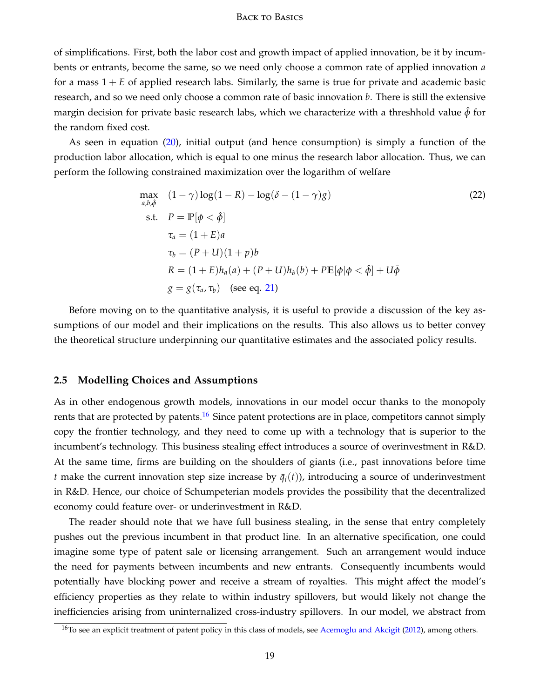of simplifications. First, both the labor cost and growth impact of applied innovation, be it by incumbents or entrants, become the same, so we need only choose a common rate of applied innovation *a* for a mass  $1 + E$  of applied research labs. Similarly, the same is true for private and academic basic research, and so we need only choose a common rate of basic innovation *b*. There is still the extensive margin decision for private basic research labs, which we characterize with a threshhold value *φ*ˆ for the random fixed cost.

As seen in equation [\(20\)](#page-17-0), initial output (and hence consumption) is simply a function of the production labor allocation, which is equal to one minus the research labor allocation. Thus, we can perform the following constrained maximization over the logarithm of welfare

$$
\max_{a,b,\hat{\phi}} (1-\gamma)\log(1-R) - \log(\delta - (1-\gamma)g)
$$
\n
$$
\text{s.t.} \quad P = \mathbb{P}[\phi < \hat{\phi}]
$$
\n
$$
\tau_a = (1+E)a
$$
\n
$$
\tau_b = (P+U)(1+p)b
$$
\n
$$
R = (1+E)h_a(a) + (P+U)h_b(b) + P\mathbb{E}[\phi|\phi < \hat{\phi}] + U\bar{\phi}
$$
\n
$$
g = g(\tau_a, \tau_b) \quad \text{(see eq. 21)}
$$
\n(22)

Before moving on to the quantitative analysis, it is useful to provide a discussion of the key assumptions of our model and their implications on the results. This also allows us to better convey the theoretical structure underpinning our quantitative estimates and the associated policy results.

### **2.5 Modelling Choices and Assumptions**

As in other endogenous growth models, innovations in our model occur thanks to the monopoly rents that are protected by patents.<sup>[16](#page-19-0)</sup> Since patent protections are in place, competitors cannot simply copy the frontier technology, and they need to come up with a technology that is superior to the incumbent's technology. This business stealing effect introduces a source of overinvestment in R&D. At the same time, firms are building on the shoulders of giants (i.e., past innovations before time *t* make the current innovation step size increase by  $\bar{q}_i(t)$ , introducing a source of underinvestment in R&D. Hence, our choice of Schumpeterian models provides the possibility that the decentralized economy could feature over- or underinvestment in R&D.

The reader should note that we have full business stealing, in the sense that entry completely pushes out the previous incumbent in that product line. In an alternative specification, one could imagine some type of patent sale or licensing arrangement. Such an arrangement would induce the need for payments between incumbents and new entrants. Consequently incumbents would potentially have blocking power and receive a stream of royalties. This might affect the model's efficiency properties as they relate to within industry spillovers, but would likely not change the inefficiencies arising from uninternalized cross-industry spillovers. In our model, we abstract from

<span id="page-19-0"></span><sup>&</sup>lt;sup>16</sup>To see an explicit treatment of patent policy in this class of models, see [Acemoglu and Akcigit](#page-45-13) [\(2012\)](#page-45-13), among others.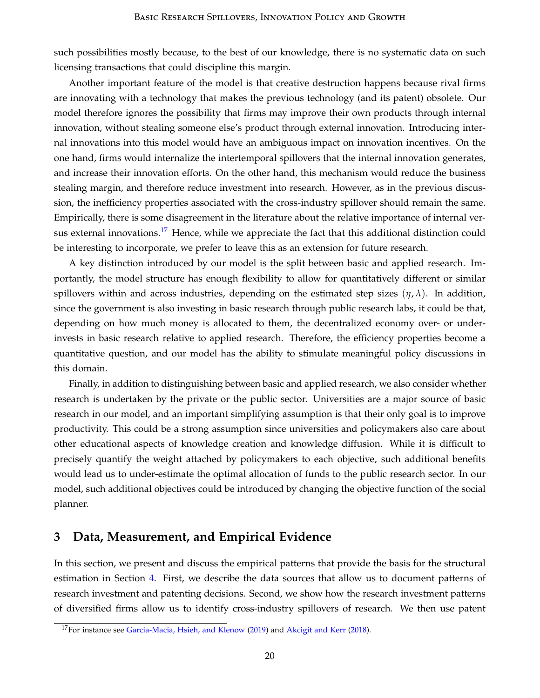such possibilities mostly because, to the best of our knowledge, there is no systematic data on such licensing transactions that could discipline this margin.

Another important feature of the model is that creative destruction happens because rival firms are innovating with a technology that makes the previous technology (and its patent) obsolete. Our model therefore ignores the possibility that firms may improve their own products through internal innovation, without stealing someone else's product through external innovation. Introducing internal innovations into this model would have an ambiguous impact on innovation incentives. On the one hand, firms would internalize the intertemporal spillovers that the internal innovation generates, and increase their innovation efforts. On the other hand, this mechanism would reduce the business stealing margin, and therefore reduce investment into research. However, as in the previous discussion, the inefficiency properties associated with the cross-industry spillover should remain the same. Empirically, there is some disagreement in the literature about the relative importance of internal ver-sus external innovations.<sup>[17](#page-20-1)</sup> Hence, while we appreciate the fact that this additional distinction could be interesting to incorporate, we prefer to leave this as an extension for future research.

A key distinction introduced by our model is the split between basic and applied research. Importantly, the model structure has enough flexibility to allow for quantitatively different or similar spillovers within and across industries, depending on the estimated step sizes  $(\eta, \lambda)$ . In addition, since the government is also investing in basic research through public research labs, it could be that, depending on how much money is allocated to them, the decentralized economy over- or underinvests in basic research relative to applied research. Therefore, the efficiency properties become a quantitative question, and our model has the ability to stimulate meaningful policy discussions in this domain.

Finally, in addition to distinguishing between basic and applied research, we also consider whether research is undertaken by the private or the public sector. Universities are a major source of basic research in our model, and an important simplifying assumption is that their only goal is to improve productivity. This could be a strong assumption since universities and policymakers also care about other educational aspects of knowledge creation and knowledge diffusion. While it is difficult to precisely quantify the weight attached by policymakers to each objective, such additional benefits would lead us to under-estimate the optimal allocation of funds to the public research sector. In our model, such additional objectives could be introduced by changing the objective function of the social planner.

## <span id="page-20-0"></span>**3 Data, Measurement, and Empirical Evidence**

In this section, we present and discuss the empirical patterns that provide the basis for the structural estimation in Section [4.](#page-27-0) First, we describe the data sources that allow us to document patterns of research investment and patenting decisions. Second, we show how the research investment patterns of diversified firms allow us to identify cross-industry spillovers of research. We then use patent

<span id="page-20-1"></span><sup>&</sup>lt;sup>17</sup>For instance see [Garcia-Macia, Hsieh, and Klenow](#page-46-8) [\(2019\)](#page-46-8) and [Akcigit and Kerr](#page-45-5) [\(2018\)](#page-45-5).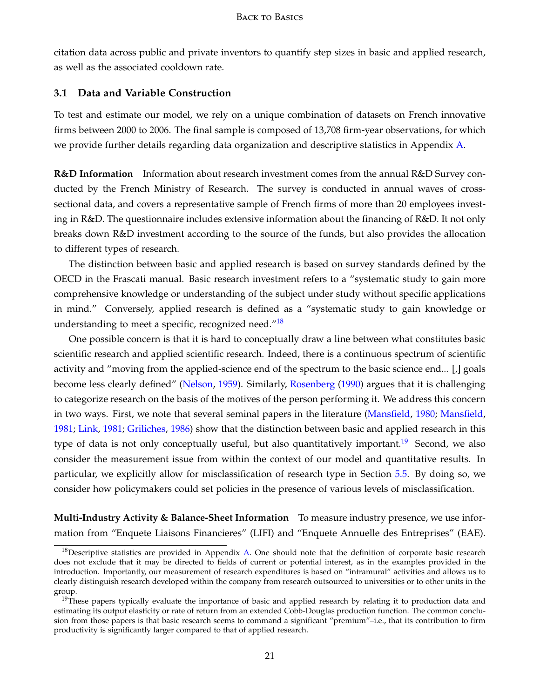citation data across public and private inventors to quantify step sizes in basic and applied research, as well as the associated cooldown rate.

## **3.1 Data and Variable Construction**

To test and estimate our model, we rely on a unique combination of datasets on French innovative firms between 2000 to 2006. The final sample is composed of 13,708 firm-year observations, for which we provide further details regarding data organization and descriptive statistics in Appendix [A.](#page-49-0)

**R&D Information** Information about research investment comes from the annual R&D Survey conducted by the French Ministry of Research. The survey is conducted in annual waves of crosssectional data, and covers a representative sample of French firms of more than 20 employees investing in R&D. The questionnaire includes extensive information about the financing of R&D. It not only breaks down R&D investment according to the source of the funds, but also provides the allocation to different types of research.

The distinction between basic and applied research is based on survey standards defined by the OECD in the Frascati manual. Basic research investment refers to a "systematic study to gain more comprehensive knowledge or understanding of the subject under study without specific applications in mind." Conversely, applied research is defined as a "systematic study to gain knowledge or understanding to meet a specific, recognized need."<sup>[18](#page-21-0)</sup>

One possible concern is that it is hard to conceptually draw a line between what constitutes basic scientific research and applied scientific research. Indeed, there is a continuous spectrum of scientific activity and "moving from the applied-science end of the spectrum to the basic science end... [,] goals become less clearly defined" [\(Nelson,](#page-47-0) [1959\)](#page-47-0). Similarly, [Rosenberg](#page-47-2) [\(1990\)](#page-47-2) argues that it is challenging to categorize research on the basis of the motives of the person performing it. We address this concern in two ways. First, we note that several seminal papers in the literature [\(Mansfield,](#page-47-5) [1980;](#page-47-5) [Mansfield,](#page-47-6) [1981;](#page-47-6) [Link,](#page-47-7) [1981;](#page-47-7) [Griliches,](#page-46-7) [1986\)](#page-46-7) show that the distinction between basic and applied research in this type of data is not only conceptually useful, but also quantitatively important.<sup>[19](#page-21-1)</sup> Second, we also consider the measurement issue from within the context of our model and quantitative results. In particular, we explicitly allow for misclassification of research type in Section [5.5.](#page-39-0) By doing so, we consider how policymakers could set policies in the presence of various levels of misclassification.

**Multi-Industry Activity & Balance-Sheet Information** To measure industry presence, we use information from "Enquete Liaisons Financieres" (LIFI) and "Enquete Annuelle des Entreprises" (EAE).

<span id="page-21-0"></span> $18$ Descriptive statistics are provided in Appendix [A.](#page-49-0) One should note that the definition of corporate basic research does not exclude that it may be directed to fields of current or potential interest, as in the examples provided in the introduction. Importantly, our measurement of research expenditures is based on "intramural" activities and allows us to clearly distinguish research developed within the company from research outsourced to universities or to other units in the group.

<span id="page-21-1"></span> $19$ These papers typically evaluate the importance of basic and applied research by relating it to production data and estimating its output elasticity or rate of return from an extended Cobb-Douglas production function. The common conclusion from those papers is that basic research seems to command a significant "premium"–i.e., that its contribution to firm productivity is significantly larger compared to that of applied research.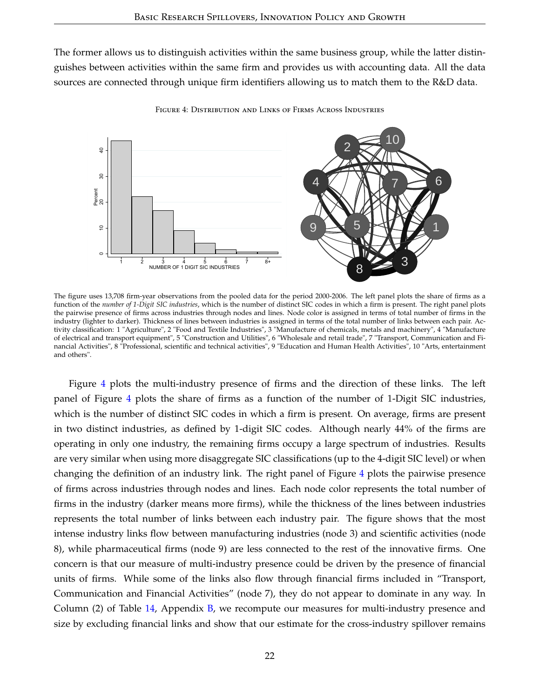The former allows us to distinguish activities within the same business group, while the latter distinguishes between activities within the same firm and provides us with accounting data. All the data sources are connected through unique firm identifiers allowing us to match them to the R&D data.

<span id="page-22-0"></span>

Figure 4: Distribution and Links of Firms Across Industries

The figure uses 13,708 firm-year observations from the pooled data for the period 2000-2006. The left panel plots the share of firms as a function of the *number of 1-Digit SIC industries*, which is the number of distinct SIC codes in which a firm is present. The right panel plots the pairwise presence of firms across industries through nodes and lines. Node color is assigned in terms of total number of firms in the industry (lighter to darker). Thickness of lines between industries is assigned in terms of the total number of links between each pair. Activity classification: 1 "Agriculture", 2 "Food and Textile Industries", 3 "Manufacture of chemicals, metals and machinery", 4 "Manufacture of electrical and transport equipment", 5 "Construction and Utilities", 6 "Wholesale and retail trade", 7 "Transport, Communication and Financial Activities", 8 "Professional, scientific and technical activities", 9 "Education and Human Health Activities", 10 "Arts, entertainment and others".

Figure [4](#page-22-0) plots the multi-industry presence of firms and the direction of these links. The left panel of Figure [4](#page-22-0) plots the share of firms as a function of the number of 1-Digit SIC industries, which is the number of distinct SIC codes in which a firm is present. On average, firms are present in two distinct industries, as defined by 1-digit SIC codes. Although nearly 44% of the firms are operating in only one industry, the remaining firms occupy a large spectrum of industries. Results are very similar when using more disaggregate SIC classifications (up to the 4-digit SIC level) or when changing the definition of an industry link. The right panel of Figure [4](#page-22-0) plots the pairwise presence of firms across industries through nodes and lines. Each node color represents the total number of firms in the industry (darker means more firms), while the thickness of the lines between industries represents the total number of links between each industry pair. The figure shows that the most intense industry links flow between manufacturing industries (node 3) and scientific activities (node 8), while pharmaceutical firms (node 9) are less connected to the rest of the innovative firms. One concern is that our measure of multi-industry presence could be driven by the presence of financial units of firms. While some of the links also flow through financial firms included in "Transport, Communication and Financial Activities" (node 7), they do not appear to dominate in any way. In Column (2) of Table [14,](#page-53-0) Appendix [B,](#page-53-1) we recompute our measures for multi-industry presence and size by excluding financial links and show that our estimate for the cross-industry spillover remains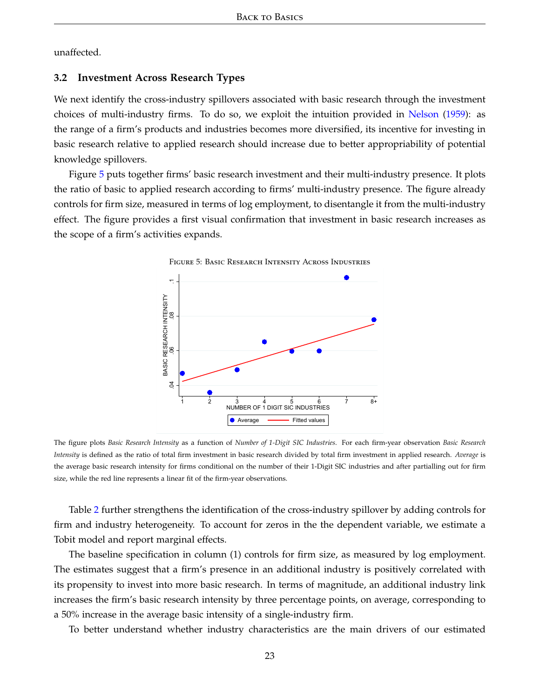<span id="page-23-1"></span>unaffected.

## **3.2 Investment Across Research Types**

We next identify the cross-industry spillovers associated with basic research through the investment choices of multi-industry firms. To do so, we exploit the intuition provided in [Nelson](#page-47-0) [\(1959\)](#page-47-0): as the range of a firm's products and industries becomes more diversified, its incentive for investing in basic research relative to applied research should increase due to better appropriability of potential knowledge spillovers.

<span id="page-23-0"></span>Figure [5](#page-23-0) puts together firms' basic research investment and their multi-industry presence. It plots the ratio of basic to applied research according to firms' multi-industry presence. The figure already controls for firm size, measured in terms of log employment, to disentangle it from the multi-industry effect. The figure provides a first visual confirmation that investment in basic research increases as the scope of a firm's activities expands.



The figure plots *Basic Research Intensity* as a function of *Number of 1-Digit SIC Industries*. For each firm-year observation *Basic Research Intensity* is defined as the ratio of total firm investment in basic research divided by total firm investment in applied research. *Average* is the average basic research intensity for firms conditional on the number of their 1-Digit SIC industries and after partialling out for firm size, while the red line represents a linear fit of the firm-year observations.

Table [2](#page-24-0) further strengthens the identification of the cross-industry spillover by adding controls for firm and industry heterogeneity. To account for zeros in the the dependent variable, we estimate a Tobit model and report marginal effects.

The baseline specification in column (1) controls for firm size, as measured by log employment. The estimates suggest that a firm's presence in an additional industry is positively correlated with its propensity to invest into more basic research. In terms of magnitude, an additional industry link increases the firm's basic research intensity by three percentage points, on average, corresponding to a 50% increase in the average basic intensity of a single-industry firm.

To better understand whether industry characteristics are the main drivers of our estimated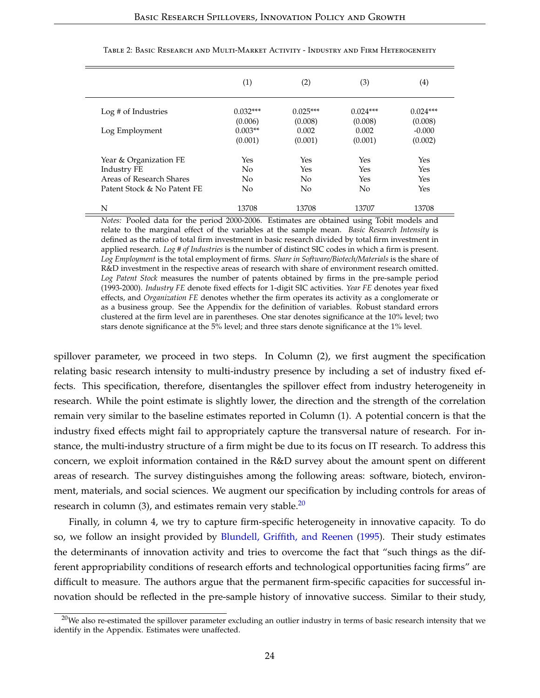<span id="page-24-0"></span>

|                             | (1)            | (2)        | (3)            | (4)        |
|-----------------------------|----------------|------------|----------------|------------|
| $Log$ # of Industries       | $0.032***$     | $0.025***$ | $0.024***$     | $0.024***$ |
|                             | (0.006)        | (0.008)    | (0.008)        | (0.008)    |
| Log Employment              | $0.003**$      | 0.002      | 0.002          | $-0.000$   |
|                             | (0.001)        | (0.001)    | (0.001)        | (0.002)    |
| Year & Organization FE      | Yes            | Yes        | Yes            | Yes        |
| Industry FE                 | N <sub>0</sub> | Yes        | Yes            | <b>Yes</b> |
| Areas of Research Shares    | N <sub>0</sub> | No         | Yes            | <b>Yes</b> |
| Patent Stock & No Patent FE | No             | No         | N <sub>0</sub> | Yes        |
| N                           | 13708          | 13708      | 13707          | 13708      |

Table 2: Basic Research and Multi-Market Activity - Industry and Firm Heterogeneity

*Notes:* Pooled data for the period 2000-2006. Estimates are obtained using Tobit models and relate to the marginal effect of the variables at the sample mean. *Basic Research Intensity* is defined as the ratio of total firm investment in basic research divided by total firm investment in applied research. *Log # of Industries* is the number of distinct SIC codes in which a firm is present. *Log Employment* is the total employment of firms. *Share in Software/Biotech/Materials* is the share of R&D investment in the respective areas of research with share of environment research omitted. *Log Patent Stock* measures the number of patents obtained by firms in the pre-sample period (1993-2000). *Industry FE* denote fixed effects for 1-digit SIC activities. *Year FE* denotes year fixed effects, and *Organization FE* denotes whether the firm operates its activity as a conglomerate or as a business group. See the Appendix for the definition of variables. Robust standard errors clustered at the firm level are in parentheses. One star denotes significance at the 10% level; two stars denote significance at the 5% level; and three stars denote significance at the 1% level.

spillover parameter, we proceed in two steps. In Column (2), we first augment the specification relating basic research intensity to multi-industry presence by including a set of industry fixed effects. This specification, therefore, disentangles the spillover effect from industry heterogeneity in research. While the point estimate is slightly lower, the direction and the strength of the correlation remain very similar to the baseline estimates reported in Column (1). A potential concern is that the industry fixed effects might fail to appropriately capture the transversal nature of research. For instance, the multi-industry structure of a firm might be due to its focus on IT research. To address this concern, we exploit information contained in the R&D survey about the amount spent on different areas of research. The survey distinguishes among the following areas: software, biotech, environment, materials, and social sciences. We augment our specification by including controls for areas of research in column  $(3)$ , and estimates remain very stable.<sup>[20](#page-24-1)</sup>

Finally, in column 4, we try to capture firm-specific heterogeneity in innovative capacity. To do so, we follow an insight provided by [Blundell, Griffith, and Reenen](#page-45-14) [\(1995\)](#page-45-14). Their study estimates the determinants of innovation activity and tries to overcome the fact that "such things as the different appropriability conditions of research efforts and technological opportunities facing firms" are difficult to measure. The authors argue that the permanent firm-specific capacities for successful innovation should be reflected in the pre-sample history of innovative success. Similar to their study,

<span id="page-24-1"></span> $20$ We also re-estimated the spillover parameter excluding an outlier industry in terms of basic research intensity that we identify in the Appendix. Estimates were unaffected.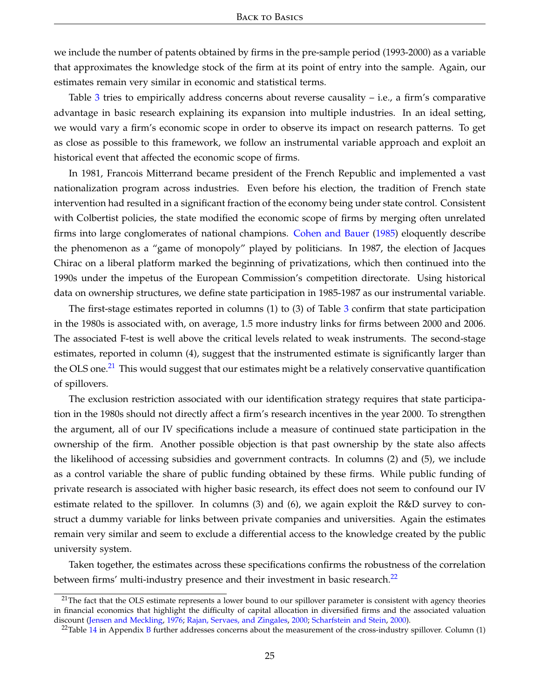we include the number of patents obtained by firms in the pre-sample period (1993-2000) as a variable that approximates the knowledge stock of the firm at its point of entry into the sample. Again, our estimates remain very similar in economic and statistical terms.

Table  $3$  tries to empirically address concerns about reverse causality  $-$  i.e., a firm's comparative advantage in basic research explaining its expansion into multiple industries. In an ideal setting, we would vary a firm's economic scope in order to observe its impact on research patterns. To get as close as possible to this framework, we follow an instrumental variable approach and exploit an historical event that affected the economic scope of firms.

In 1981, Francois Mitterrand became president of the French Republic and implemented a vast nationalization program across industries. Even before his election, the tradition of French state intervention had resulted in a significant fraction of the economy being under state control. Consistent with Colbertist policies, the state modified the economic scope of firms by merging often unrelated firms into large conglomerates of national champions. [Cohen and Bauer](#page-45-15) [\(1985\)](#page-45-15) eloquently describe the phenomenon as a "game of monopoly" played by politicians. In 1987, the election of Jacques Chirac on a liberal platform marked the beginning of privatizations, which then continued into the 1990s under the impetus of the European Commission's competition directorate. Using historical data on ownership structures, we define state participation in 1985-1987 as our instrumental variable.

The first-stage estimates reported in columns (1) to (3) of Table [3](#page-26-0) confirm that state participation in the 1980s is associated with, on average, 1.5 more industry links for firms between 2000 and 2006. The associated F-test is well above the critical levels related to weak instruments. The second-stage estimates, reported in column (4), suggest that the instrumented estimate is significantly larger than the OLS one.<sup>[21](#page-25-0)</sup> This would suggest that our estimates might be a relatively conservative quantification of spillovers.

The exclusion restriction associated with our identification strategy requires that state participation in the 1980s should not directly affect a firm's research incentives in the year 2000. To strengthen the argument, all of our IV specifications include a measure of continued state participation in the ownership of the firm. Another possible objection is that past ownership by the state also affects the likelihood of accessing subsidies and government contracts. In columns (2) and (5), we include as a control variable the share of public funding obtained by these firms. While public funding of private research is associated with higher basic research, its effect does not seem to confound our IV estimate related to the spillover. In columns (3) and (6), we again exploit the R&D survey to construct a dummy variable for links between private companies and universities. Again the estimates remain very similar and seem to exclude a differential access to the knowledge created by the public university system.

Taken together, the estimates across these specifications confirms the robustness of the correlation between firms' multi-industry presence and their investment in basic research.<sup>[22](#page-25-1)</sup>

<span id="page-25-2"></span><span id="page-25-0"></span> $21$ The fact that the OLS estimate represents a lower bound to our spillover parameter is consistent with agency theories in financial economics that highlight the difficulty of capital allocation in diversified firms and the associated valuation discount [\(Jensen and Meckling,](#page-46-13) [1976;](#page-46-13) [Rajan, Servaes, and Zingales,](#page-47-13) [2000;](#page-47-13) [Scharfstein and Stein,](#page-47-14) [2000\)](#page-47-14).

<span id="page-25-1"></span><sup>&</sup>lt;sup>22</sup>Table [14](#page-53-0) in Appendix [B](#page-53-1) further addresses concerns about the measurement of the cross-industry spillover. Column (1)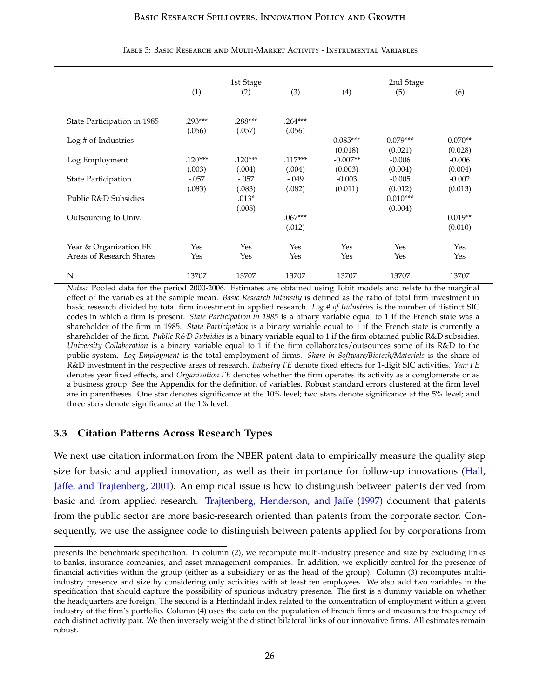<span id="page-26-0"></span>

|                             | 1st Stage |           |           |            | 2nd Stage  |           |
|-----------------------------|-----------|-----------|-----------|------------|------------|-----------|
|                             | (1)       | (2)       | (3)       | (4)        | (5)        | (6)       |
| State Participation in 1985 | $.293***$ | $.288***$ | $.264***$ |            |            |           |
|                             | (.056)    | (.057)    | (.056)    |            |            |           |
| Log # of Industries         |           |           |           | $0.085***$ | $0.079***$ | $0.070**$ |
|                             |           |           |           | (0.018)    | (0.021)    | (0.028)   |
| Log Employment              | $.120***$ | $.120***$ | $.117***$ | $-0.007**$ | $-0.006$   | $-0.006$  |
|                             | (.003)    | (.004)    | (.004)    | (0.003)    | (0.004)    | (0.004)   |
| State Participation         | $-.057$   | $-.057$   | $-.049$   | $-0.003$   | $-0.005$   | $-0.002$  |
|                             | (.083)    | (.083)    | (.082)    | (0.011)    | (0.012)    | (0.013)   |
| Public R&D Subsidies        |           | $.013*$   |           |            | $0.010***$ |           |
|                             |           | (.008)    |           |            | (0.004)    |           |
| Outsourcing to Univ.        |           |           | $.067***$ |            |            | $0.019**$ |
|                             |           |           | (.012)    |            |            | (0.010)   |
| Year & Organization FE      | Yes       | Yes       | Yes       | Yes        | <b>Yes</b> | Yes       |
| Areas of Research Shares    | Yes       | Yes       | Yes       | Yes        | Yes        | Yes       |
| N                           | 13707     | 13707     | 13707     | 13707      | 13707      | 13707     |

Table 3: Basic Research and Multi-Market Activity - Instrumental Variables

*Notes:* Pooled data for the period 2000-2006. Estimates are obtained using Tobit models and relate to the marginal effect of the variables at the sample mean. *Basic Research Intensity* is defined as the ratio of total firm investment in basic research divided by total firm investment in applied research. *Log # of Industries* is the number of distinct SIC codes in which a firm is present. *State Participation in 1985* is a binary variable equal to 1 if the French state was a shareholder of the firm in 1985. *State Participation* is a binary variable equal to 1 if the French state is currently a shareholder of the firm. *Public R&D Subsidies* is a binary variable equal to 1 if the firm obtained public R&D subsidies. *University Collaboration* is a binary variable equal to 1 if the firm collaborates/outsources some of its R&D to the public system. *Log Employment* is the total employment of firms. *Share in Software/Biotech/Materials* is the share of R&D investment in the respective areas of research. *Industry FE* denote fixed effects for 1-digit SIC activities. *Year FE* denotes year fixed effects, and *Organization FE* denotes whether the firm operates its activity as a conglomerate or as a business group. See the Appendix for the definition of variables. Robust standard errors clustered at the firm level are in parentheses. One star denotes significance at the 10% level; two stars denote significance at the 5% level; and three stars denote significance at the 1% level.

## **3.3 Citation Patterns Across Research Types**

We next use citation information from the NBER patent data to empirically measure the quality step size for basic and applied innovation, as well as their importance for follow-up innovations [\(Hall,](#page-46-2) [Jaffe, and Trajtenberg,](#page-46-2) [2001\)](#page-46-2). An empirical issue is how to distinguish between patents derived from basic and from applied research. [Trajtenberg, Henderson, and Jaffe](#page-48-0) [\(1997\)](#page-48-0) document that patents from the public sector are more basic-research oriented than patents from the corporate sector. Consequently, we use the assignee code to distinguish between patents applied for by corporations from

presents the benchmark specification. In column (2), we recompute multi-industry presence and size by excluding links to banks, insurance companies, and asset management companies. In addition, we explicitly control for the presence of financial activities within the group (either as a subsidiary or as the head of the group). Column (3) recomputes multiindustry presence and size by considering only activities with at least ten employees. We also add two variables in the specification that should capture the possibility of spurious industry presence. The first is a dummy variable on whether the headquarters are foreign. The second is a Herfindahl index related to the concentration of employment within a given industry of the firm's portfolio. Column (4) uses the data on the population of French firms and measures the frequency of each distinct activity pair. We then inversely weight the distinct bilateral links of our innovative firms. All estimates remain robust.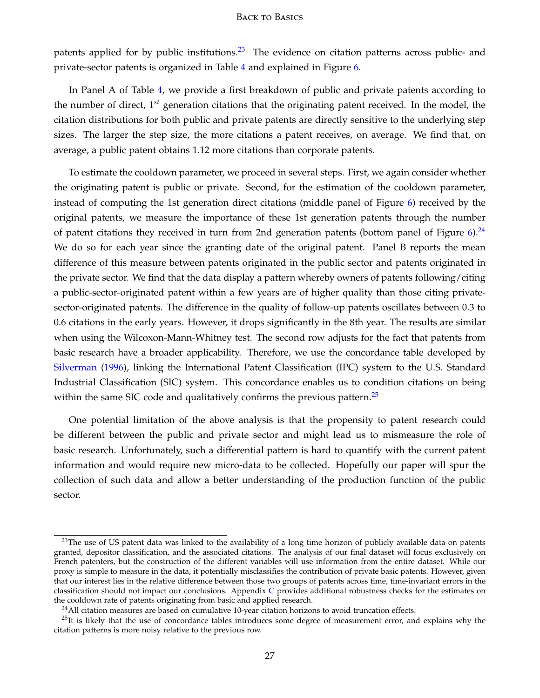patents applied for by public institutions.<sup>[23](#page-27-1)</sup> The evidence on citation patterns across public- and private-sector patents is organized in Table [4](#page-28-0) and explained in Figure [6.](#page-28-1)

In Panel A of Table [4,](#page-28-0) we provide a first breakdown of public and private patents according to the number of direct, 1*st* generation citations that the originating patent received. In the model, the citation distributions for both public and private patents are directly sensitive to the underlying step sizes. The larger the step size, the more citations a patent receives, on average. We find that, on average, a public patent obtains 1.12 more citations than corporate patents.

To estimate the cooldown parameter, we proceed in several steps. First, we again consider whether the originating patent is public or private. Second, for the estimation of the cooldown parameter, instead of computing the 1st generation direct citations (middle panel of Figure [6\)](#page-28-1) received by the original patents, we measure the importance of these 1st generation patents through the number of patent citations they received in turn from 2nd generation patents (bottom panel of Figure  $6$ ).<sup>[24](#page-27-2)</sup> We do so for each year since the granting date of the original patent. Panel B reports the mean difference of this measure between patents originated in the public sector and patents originated in the private sector. We find that the data display a pattern whereby owners of patents following/citing a public-sector-originated patent within a few years are of higher quality than those citing privatesector-originated patents. The difference in the quality of follow-up patents oscillates between 0.3 to 0.6 citations in the early years. However, it drops significantly in the 8th year. The results are similar when using the Wilcoxon-Mann-Whitney test. The second row adjusts for the fact that patents from basic research have a broader applicability. Therefore, we use the concordance table developed by [Silverman](#page-47-15) [\(1996\)](#page-47-15), linking the International Patent Classification (IPC) system to the U.S. Standard Industrial Classification (SIC) system. This concordance enables us to condition citations on being within the same SIC code and qualitatively confirms the previous pattern. $25$ 

One potential limitation of the above analysis is that the propensity to patent research could be different between the public and private sector and might lead us to mismeasure the role of basic research. Unfortunately, such a differential pattern is hard to quantify with the current patent information and would require new micro-data to be collected. Hopefully our paper will spur the collection of such data and allow a better understanding of the production function of the public sector.

<span id="page-27-1"></span><span id="page-27-0"></span> $23$ The use of US patent data was linked to the availability of a long time horizon of publicly available data on patents granted, depositor classification, and the associated citations. The analysis of our final dataset will focus exclusively on French patenters, but the construction of the different variables will use information from the entire dataset. While our proxy is simple to measure in the data, it potentially misclassifies the contribution of private basic patents. However, given that our interest lies in the relative difference between those two groups of patents across time, time-invariant errors in the classification should not impact our conclusions. Appendix [C](#page-55-0) provides additional robustness checks for the estimates on the cooldown rate of patents originating from basic and applied research.

<span id="page-27-3"></span><span id="page-27-2"></span><sup>&</sup>lt;sup>24</sup> All citation measures are based on cumulative 10-year citation horizons to avoid truncation effects.

 $25$ It is likely that the use of concordance tables introduces some degree of measurement error, and explains why the citation patterns is more noisy relative to the previous row.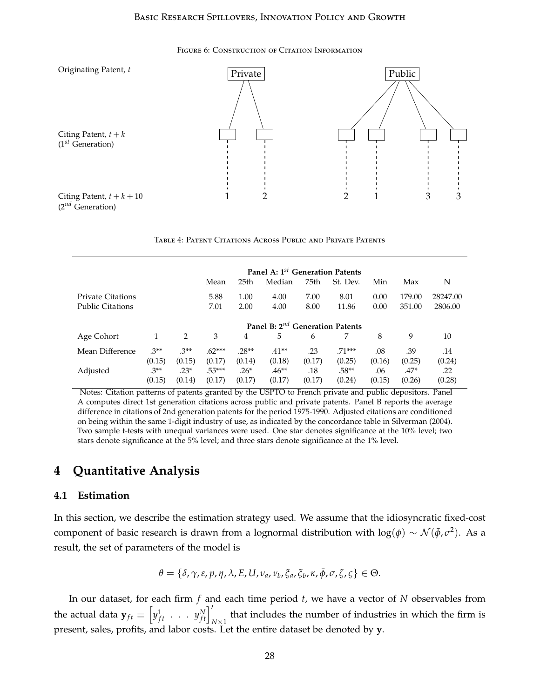#### FIGURE 6: CONSTRUCTION OF CITATION INFORMATION

<span id="page-28-1"></span>

<span id="page-28-0"></span>

|                          | Panel A: 1 <sup>st</sup> Generation Patents |        |          |                  |         |        |          |        |        |          |  |
|--------------------------|---------------------------------------------|--------|----------|------------------|---------|--------|----------|--------|--------|----------|--|
|                          |                                             |        | Mean     | 25 <sub>th</sub> | Median  | 75th   | St. Dev. | Min    | Max    | N        |  |
| <b>Private Citations</b> |                                             |        | 5.88     | 1.00             | 4.00    | 7.00   | 8.01     | 0.00   | 179.00 | 28247.00 |  |
| <b>Public Citations</b>  |                                             |        | 7.01     | 2.00             | 4.00    | 8.00   | 11.86    | 0.00   | 351.00 | 2806.00  |  |
|                          | Panel B: 2 <sup>nd</sup> Generation Patents |        |          |                  |         |        |          |        |        |          |  |
| Age Cohort               | 1                                           | 2      | 3        | 4                | 5       | 6      | 7        | 8      | 9      | 10       |  |
| Mean Difference          | $.3**$                                      | $.3**$ | $.62***$ | $.28**$          | $.41**$ | .23    | $.71***$ | .08    | .39    | .14      |  |
|                          | (0.15)                                      | (0.15) | (0.17)   | (0.14)           | (0.18)  | (0.17) | (0.25)   | (0.16) | (0.25) | (0.24)   |  |
| Adjusted                 | $.3**$                                      | $.23*$ | $.55***$ | $.26*$           | $.46**$ | .18    | $.58**$  | .06    | $.47*$ | .22      |  |
|                          | (0.15)                                      | (0.14) | (0.17)   | (0.17)           | (0.17)  | (0.17) | (0.24)   | (0.15) | (0.26) | (0.28)   |  |

Notes: Citation patterns of patents granted by the USPTO to French private and public depositors. Panel A computes direct 1st generation citations across public and private patents. Panel B reports the average difference in citations of 2nd generation patents for the period 1975-1990. Adjusted citations are conditioned on being within the same 1-digit industry of use, as indicated by the concordance table in Silverman (2004). Two sample t-tests with unequal variances were used. One star denotes significance at the 10% level; two stars denote significance at the 5% level; and three stars denote significance at the 1% level.

## **4 Quantitative Analysis**

## **4.1 Estimation**

In this section, we describe the estimation strategy used. We assume that the idiosyncratic fixed-cost component of basic research is drawn from a lognormal distribution with log $(\phi)\sim\mathcal{N}(\bar\phi,\sigma^2).$  As a result, the set of parameters of the model is

$$
\theta = \{\delta, \gamma, \varepsilon, p, \eta, \lambda, E, U, \nu_a, \nu_b, \xi_a, \xi_b, \kappa, \bar{\phi}, \sigma, \zeta, \zeta\} \in \Theta.
$$

In our dataset, for each firm *f* and each time period *t*, we have a vector of *N* observables from the actual data  $\mathbf{y}_{ft} \equiv \left[ y_{ft}^1 \ldots \hat{y}_{ft}^N \right]_{N \times 1}^{\prime}$  that includes the number of industries in which the firm is present, sales, profits, and labor costs. Let the entire dataset be denoted by **y**.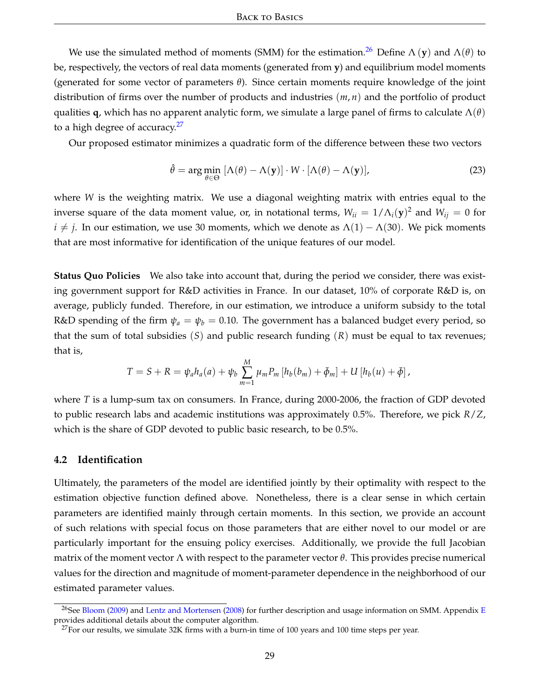We use the simulated method of moments (SMM) for the estimation.<sup>[26](#page-29-0)</sup> Define  $\Lambda$  (**y**) and  $\Lambda$ ( $\theta$ ) to be, respectively, the vectors of real data moments (generated from **y**) and equilibrium model moments (generated for some vector of parameters *θ*). Since certain moments require knowledge of the joint distribution of firms over the number of products and industries (*m*, *n*) and the portfolio of product qualities **q**, which has no apparent analytic form, we simulate a large panel of firms to calculate  $\Lambda(\theta)$ to a high degree of accuracy. $27$ 

Our proposed estimator minimizes a quadratic form of the difference between these two vectors

$$
\hat{\theta} = \arg\min_{\theta \in \Theta} [\Lambda(\theta) - \Lambda(\mathbf{y})] \cdot W \cdot [\Lambda(\theta) - \Lambda(\mathbf{y})], \tag{23}
$$

where *W* is the weighting matrix. We use a diagonal weighting matrix with entries equal to the inverse square of the data moment value, or, in notational terms,  $W_{ii} = 1/\Lambda_i(\mathbf{y})^2$  and  $W_{ij} = 0$  for  $i \neq j$ . In our estimation, we use 30 moments, which we denote as  $\Lambda(1) - \Lambda(30)$ . We pick moments that are most informative for identification of the unique features of our model.

**Status Quo Policies** We also take into account that, during the period we consider, there was existing government support for R&D activities in France. In our dataset, 10% of corporate R&D is, on average, publicly funded. Therefore, in our estimation, we introduce a uniform subsidy to the total R&D spending of the firm  $\psi_a = \psi_b = 0.10$ . The government has a balanced budget every period, so that the sum of total subsidies (*S*) and public research funding (*R*) must be equal to tax revenues; that is,

$$
T = S + R = \psi_a h_a(a) + \psi_b \sum_{m=1}^{M} \mu_m P_m [h_b(b_m) + \bar{\phi}_m] + U [h_b(u) + \bar{\phi}],
$$

where *T* is a lump-sum tax on consumers. In France, during 2000-2006, the fraction of GDP devoted to public research labs and academic institutions was approximately 0.5%. Therefore, we pick *R*/*Z*, which is the share of GDP devoted to public basic research, to be 0.5%.

## **4.2 Identification**

Ultimately, the parameters of the model are identified jointly by their optimality with respect to the estimation objective function defined above. Nonetheless, there is a clear sense in which certain parameters are identified mainly through certain moments. In this section, we provide an account of such relations with special focus on those parameters that are either novel to our model or are particularly important for the ensuing policy exercises. Additionally, we provide the full Jacobian matrix of the moment vector Λ with respect to the parameter vector *θ*. This provides precise numerical values for the direction and magnitude of moment-parameter dependence in the neighborhood of our estimated parameter values.

<span id="page-29-0"></span> $26$ See [Bloom](#page-45-16) [\(2009\)](#page-45-16) and [Lentz and Mortensen](#page-47-8) [\(2008\)](#page-47-8) for further description and usage information on SMM. Appendix [E](#page-61-0) provides additional details about the computer algorithm.

<span id="page-29-1"></span> $27$  For our results, we simulate 32K firms with a burn-in time of 100 years and 100 time steps per year.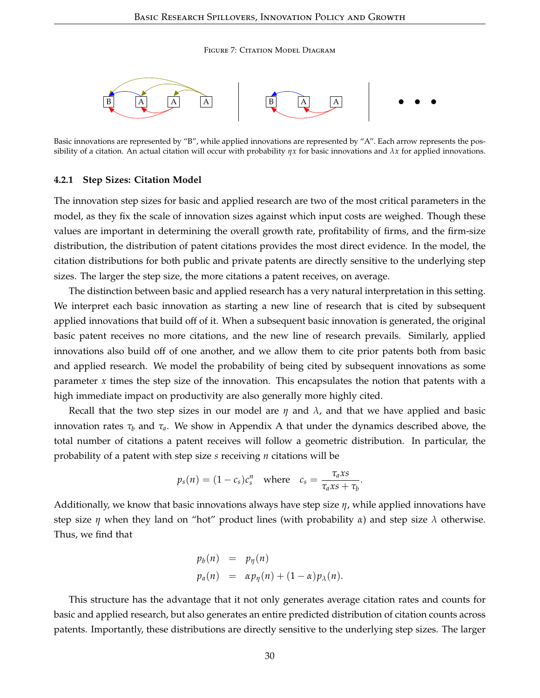Figure 7: Citation Model Diagram



Basic innovations are represented by "B", while applied innovations are represented by "A". Each arrow represents the possibility of a citation. An actual citation will occur with probability *ηx* for basic innovations and *λx* for applied innovations.

### **4.2.1 Step Sizes: Citation Model**

The innovation step sizes for basic and applied research are two of the most critical parameters in the model, as they fix the scale of innovation sizes against which input costs are weighed. Though these values are important in determining the overall growth rate, profitability of firms, and the firm-size distribution, the distribution of patent citations provides the most direct evidence. In the model, the citation distributions for both public and private patents are directly sensitive to the underlying step sizes. The larger the step size, the more citations a patent receives, on average.

The distinction between basic and applied research has a very natural interpretation in this setting. We interpret each basic innovation as starting a new line of research that is cited by subsequent applied innovations that build off of it. When a subsequent basic innovation is generated, the original basic patent receives no more citations, and the new line of research prevails. Similarly, applied innovations also build off of one another, and we allow them to cite prior patents both from basic and applied research. We model the probability of being cited by subsequent innovations as some parameter *x* times the step size of the innovation. This encapsulates the notion that patents with a high immediate impact on productivity are also generally more highly cited.

Recall that the two step sizes in our model are  $\eta$  and  $\lambda$ , and that we have applied and basic innovation rates  $\tau_b$  and  $\tau_a$ . We show in Appendix A that under the dynamics described above, the total number of citations a patent receives will follow a geometric distribution. In particular, the probability of a patent with step size *s* receiving *n* citations will be

$$
p_s(n) = (1 - c_s)c_s^n
$$
 where  $c_s = \frac{\tau_a xs}{\tau_a xs + \tau_b}$ .

Additionally, we know that basic innovations always have step size *η*, while applied innovations have step size *η* when they land on "hot" product lines (with probability  $\alpha$ ) and step size  $\lambda$  otherwise. Thus, we find that

$$
p_b(n) = p_\eta(n)
$$
  
\n
$$
p_a(n) = \alpha p_\eta(n) + (1-\alpha)p_\lambda(n).
$$

This structure has the advantage that it not only generates average citation rates and counts for basic and applied research, but also generates an entire predicted distribution of citation counts across patents. Importantly, these distributions are directly sensitive to the underlying step sizes. The larger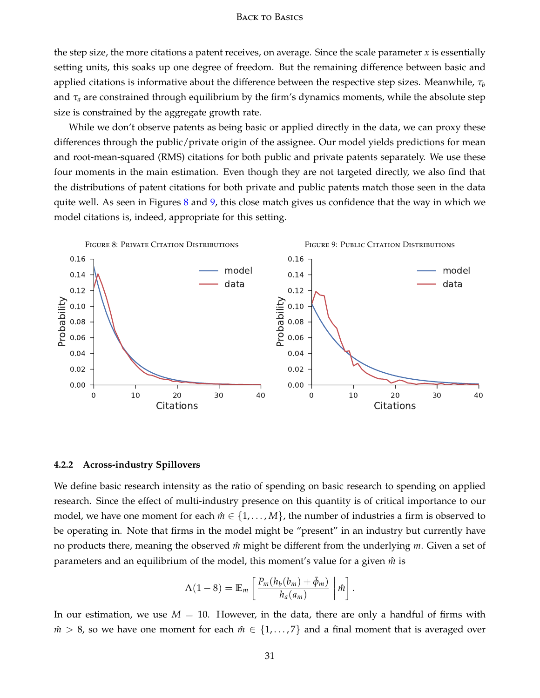the step size, the more citations a patent receives, on average. Since the scale parameter  $x$  is essentially setting units, this soaks up one degree of freedom. But the remaining difference between basic and applied citations is informative about the difference between the respective step sizes. Meanwhile, *τ<sup>b</sup>* and  $\tau_a$  are constrained through equilibrium by the firm's dynamics moments, while the absolute step size is constrained by the aggregate growth rate.

While we don't observe patents as being basic or applied directly in the data, we can proxy these differences through the public/private origin of the assignee. Our model yields predictions for mean and root-mean-squared (RMS) citations for both public and private patents separately. We use these four moments in the main estimation. Even though they are not targeted directly, we also find that the distributions of patent citations for both private and public patents match those seen in the data quite well. As seen in Figures [8](#page-31-0) and [9,](#page-31-0) this close match gives us confidence that the way in which we model citations is, indeed, appropriate for this setting.

<span id="page-31-0"></span>

### **4.2.2 Across-industry Spillovers**

We define basic research intensity as the ratio of spending on basic research to spending on applied research. Since the effect of multi-industry presence on this quantity is of critical importance to our model, we have one moment for each  $\hat{m} \in \{1, \dots, M\}$ , the number of industries a firm is observed to be operating in. Note that firms in the model might be "present" in an industry but currently have no products there, meaning the observed *m*ˆ might be different from the underlying *m*. Given a set of parameters and an equilibrium of the model, this moment's value for a given *m*ˆ is

$$
\Lambda(1-8) = \mathbb{E}_m \left[ \frac{P_m(h_b(b_m) + \bar{\phi}_m)}{h_a(a_m)} \middle| \hat{m} \right].
$$

In our estimation, we use  $M = 10$ . However, in the data, there are only a handful of firms with  $m > 8$ , so we have one moment for each  $\hat{m} \in \{1, ..., 7\}$  and a final moment that is averaged over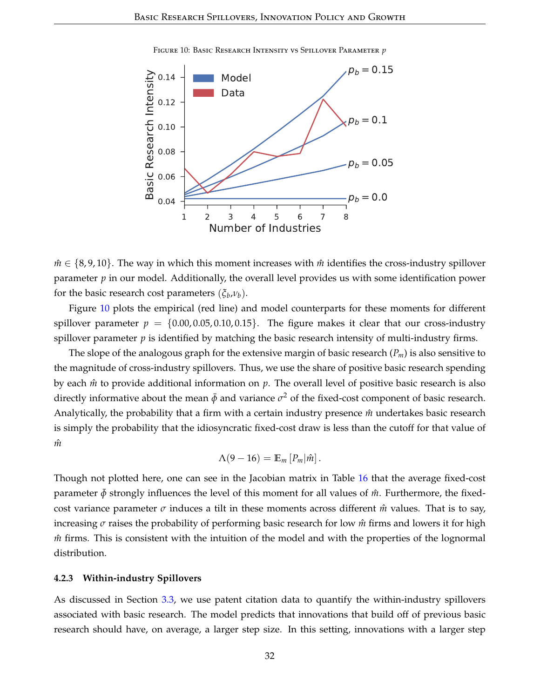<span id="page-32-0"></span>

Figure 10: Basic Research Intensity vs Spillover Parameter *p*

*m*̂ ∈ {8,9,10}. The way in which this moment increases with *m*̂ identifies the cross-industry spillover parameter *p* in our model. Additionally, the overall level provides us with some identification power for the basic research cost parameters (*ξ<sup>b</sup>* ,*νb*).

Figure [10](#page-32-0) plots the empirical (red line) and model counterparts for these moments for different spillover parameter  $p = \{0.00, 0.05, 0.10, 0.15\}$ . The figure makes it clear that our cross-industry spillover parameter *p* is identified by matching the basic research intensity of multi-industry firms.

The slope of the analogous graph for the extensive margin of basic research (*Pm*) is also sensitive to the magnitude of cross-industry spillovers. Thus, we use the share of positive basic research spending by each *m*ˆ to provide additional information on *p*. The overall level of positive basic research is also directly informative about the mean  $\bar{\phi}$  and variance  $\sigma^2$  of the fixed-cost component of basic research. Analytically, the probability that a firm with a certain industry presence  $\hat{m}$  undertakes basic research is simply the probability that the idiosyncratic fixed-cost draw is less than the cutoff for that value of *m*ˆ

$$
\Lambda(9-16) = \mathbb{E}_m [P_m | \hat{m}].
$$

Though not plotted here, one can see in the Jacobian matrix in Table [16](#page-63-0) that the average fixed-cost parameter  $\bar{\phi}$  strongly influences the level of this moment for all values of  $\hat{m}$ . Furthermore, the fixedcost variance parameter  $\sigma$  induces a tilt in these moments across different  $\hat{m}$  values. That is to say, increasing *σ* raises the probability of performing basic research for low *m*ˆ firms and lowers it for high  $\hat{m}$  firms. This is consistent with the intuition of the model and with the properties of the lognormal distribution.

### **4.2.3 Within-industry Spillovers**

As discussed in Section [3.3,](#page-25-2) we use patent citation data to quantify the within-industry spillovers associated with basic research. The model predicts that innovations that build off of previous basic research should have, on average, a larger step size. In this setting, innovations with a larger step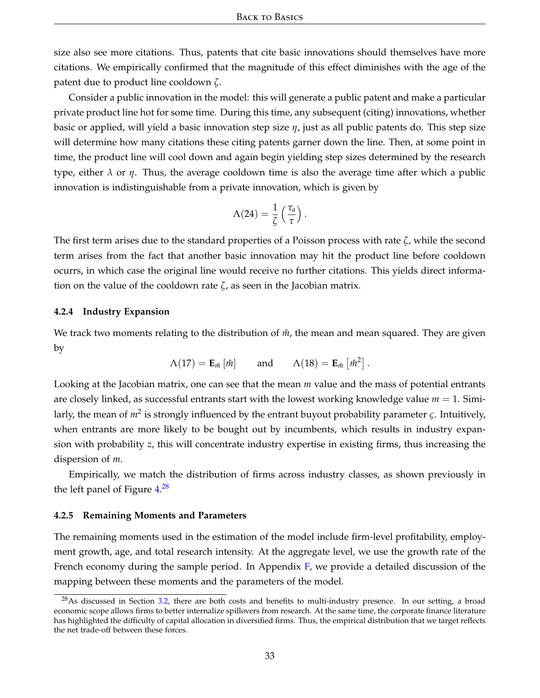size also see more citations. Thus, patents that cite basic innovations should themselves have more citations. We empirically confirmed that the magnitude of this effect diminishes with the age of the patent due to product line cooldown *ζ*.

Consider a public innovation in the model: this will generate a public patent and make a particular private product line hot for some time. During this time, any subsequent (citing) innovations, whether basic or applied, will yield a basic innovation step size *η*, just as all public patents do. This step size will determine how many citations these citing patents garner down the line. Then, at some point in time, the product line will cool down and again begin yielding step sizes determined by the research type, either *λ* or *η*. Thus, the average cooldown time is also the average time after which a public innovation is indistinguishable from a private innovation, which is given by

$$
\Lambda(24) = \frac{1}{\zeta} \left( \frac{\tau_a}{\tau} \right).
$$

The first term arises due to the standard properties of a Poisson process with rate *ζ*, while the second term arises from the fact that another basic innovation may hit the product line before cooldown ocurrs, in which case the original line would receive no further citations. This yields direct information on the value of the cooldown rate *ζ*, as seen in the Jacobian matrix.

### **4.2.4 Industry Expansion**

We track two moments relating to the distribution of  $\hat{m}$ , the mean and mean squared. They are given by

$$
\Lambda(17) = \mathbf{E}_{\hat{m}}\left[\hat{m}\right] \quad \text{and} \quad \Lambda(18) = \mathbf{E}_{\hat{m}}\left[\hat{m}^2\right].
$$

Looking at the Jacobian matrix, one can see that the mean *m* value and the mass of potential entrants are closely linked, as successful entrants start with the lowest working knowledge value *m* = 1. Similarly, the mean of  $m^2$  is strongly influenced by the entrant buyout probability parameter *ς*. Intuitively, when entrants are more likely to be bought out by incumbents, which results in industry expansion with probability *z*, this will concentrate industry expertise in existing firms, thus increasing the dispersion of *m*.

Empirically, we match the distribution of firms across industry classes, as shown previously in the left panel of Figure [4.](#page-22-0)<sup>[28](#page-33-0)</sup>

### **4.2.5 Remaining Moments and Parameters**

The remaining moments used in the estimation of the model include firm-level profitability, employment growth, age, and total research intensity. At the aggregate level, we use the growth rate of the French economy during the sample period. In Appendix [F,](#page-62-0) we provide a detailed discussion of the mapping between these moments and the parameters of the model.

<span id="page-33-0"></span> $28$ As discussed in Section [3.2,](#page-23-1) there are both costs and benefits to multi-industry presence. In our setting, a broad economic scope allows firms to better internalize spillovers from research. At the same time, the corporate finance literature has highlighted the difficulty of capital allocation in diversified firms. Thus, the empirical distribution that we target reflects the net trade-off between these forces.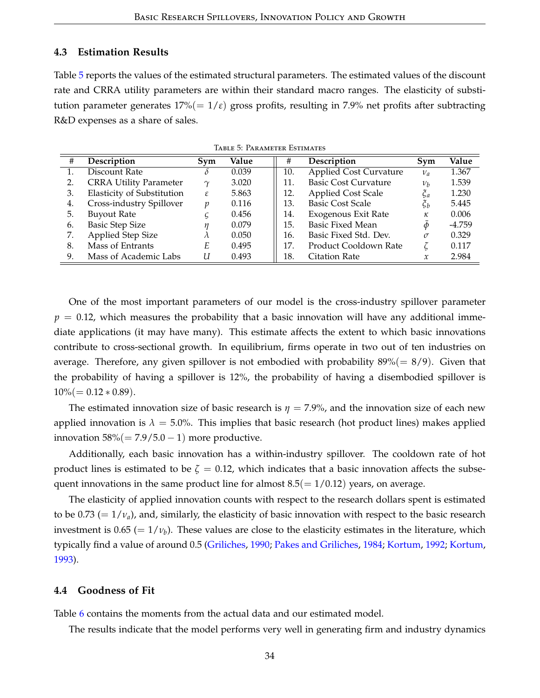### **4.3 Estimation Results**

Table [5](#page-34-0) reports the values of the estimated structural parameters. The estimated values of the discount rate and CRRA utility parameters are within their standard macro ranges. The elasticity of substitution parameter generates  $17\% (= 1/\epsilon)$  gross profits, resulting in 7.9% net profits after subtracting R&D expenses as a share of sales.

<span id="page-34-0"></span>

| #   | Description                       | Sym      | Value | #   | Description                   | Sym      | Value    |
|-----|-----------------------------------|----------|-------|-----|-------------------------------|----------|----------|
|     | Discount Rate                     |          | 0.039 | 10. | <b>Applied Cost Curvature</b> | $\nu_a$  | 1.367    |
| 2.  | <b>CRRA Utility Parameter</b>     | $\gamma$ | 3.020 | 11. | <b>Basic Cost Curvature</b>   | $\nu_h$  | 1.539    |
| 3.  | <b>Elasticity of Substitution</b> | ε        | 5.863 | 12. | <b>Applied Cost Scale</b>     | Ğа       | 1.230    |
| 4.  | Cross-industry Spillover          | n        | 0.116 | 13. | <b>Basic Cost Scale</b>       | Ğь       | 5.445    |
| .5. | <b>Buyout Rate</b>                |          | 0.456 | 14. | Exogenous Exit Rate           | к        | 0.006    |
| 6.  | <b>Basic Step Size</b>            |          | 0.079 | 15. | <b>Basic Fixed Mean</b>       | Ф        | $-4.759$ |
| 7.  | Applied Step Size                 | Λ        | 0.050 | 16. | Basic Fixed Std. Dev.         | $\sigma$ | 0.329    |
| 8.  | Mass of Entrants                  | Е        | 0.495 | 17. | Product Cooldown Rate         |          | 0.117    |
| 9.  | Mass of Academic Labs             | U        | 0.493 | 18. | Citation Rate                 | x        | 2.984    |

Table 5: Parameter Estimates

One of the most important parameters of our model is the cross-industry spillover parameter  $p = 0.12$ , which measures the probability that a basic innovation will have any additional immediate applications (it may have many). This estimate affects the extent to which basic innovations contribute to cross-sectional growth. In equilibrium, firms operate in two out of ten industries on average. Therefore, any given spillover is not embodied with probability  $89\% (= 8/9)$ . Given that the probability of having a spillover is 12%, the probability of having a disembodied spillover is  $10\% (= 0.12 * 0.89).$ 

The estimated innovation size of basic research is  $\eta = 7.9\%$ , and the innovation size of each new applied innovation is  $\lambda = 5.0\%$ . This implies that basic research (hot product lines) makes applied innovation  $58\% (= 7.9/5.0 - 1)$  more productive.

Additionally, each basic innovation has a within-industry spillover. The cooldown rate of hot product lines is estimated to be  $\zeta = 0.12$ , which indicates that a basic innovation affects the subsequent innovations in the same product line for almost  $8.5(= 1/0.12)$  years, on average.

The elasticity of applied innovation counts with respect to the research dollars spent is estimated to be  $0.73 (= 1/\nu_a)$ , and, similarly, the elasticity of basic innovation with respect to the basic research investment is  $0.65 (= 1/\nu_b)$ . These values are close to the elasticity estimates in the literature, which typically find a value of around 0.5 [\(Griliches,](#page-46-14) [1990;](#page-46-14) [Pakes and Griliches,](#page-47-16) [1984;](#page-47-16) [Kortum,](#page-46-15) [1992;](#page-46-15) [Kortum,](#page-46-16) [1993\)](#page-46-16).

### **4.4 Goodness of Fit**

Table [6](#page-35-0) contains the moments from the actual data and our estimated model.

The results indicate that the model performs very well in generating firm and industry dynamics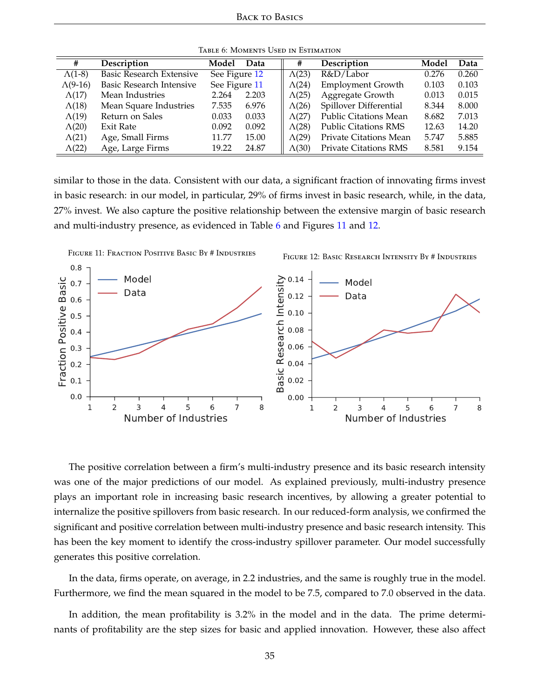<span id="page-35-0"></span>

| #                | Description                     | Model         | Data  | #              | Description                  | Model | Data  |
|------------------|---------------------------------|---------------|-------|----------------|------------------------------|-------|-------|
| $\Lambda$ (1-8)  | <b>Basic Research Extensive</b> | See Figure 12 |       | $\Lambda(23)$  | R&D/Labor                    | 0.276 | 0.260 |
| $\Lambda$ (9-16) | Basic Research Intensive        | See Figure 11 |       | $\Lambda(24)$  | <b>Employment Growth</b>     | 0.103 | 0.103 |
| $\Lambda(17)$    | Mean Industries                 | 2.264         | 2.203 | $\Lambda(25)$  | Aggregate Growth             | 0.013 | 0.015 |
| $\Lambda(18)$    | Mean Square Industries          | 7.535         | 6.976 | $\Lambda$ (26) | Spillover Differential       | 8.344 | 8.000 |
| $\Lambda(19)$    | Return on Sales                 | 0.033         | 0.033 | $\Lambda(27)$  | Public Citations Mean        | 8.682 | 7.013 |
| $\Lambda(20)$    | Exit Rate                       | 0.092         | 0.092 | $\Lambda(28)$  | <b>Public Citations RMS</b>  | 12.63 | 14.20 |
| $\Lambda(21)$    | Age, Small Firms                | 11.77         | 15.00 | $\Lambda$ (29) | Private Citations Mean       | 5.747 | 5.885 |
| $\Lambda(22)$    | Age, Large Firms                | 19.22         | 24.87 | $\Lambda$ (30) | <b>Private Citations RMS</b> | 8.581 | 9.154 |

Table 6: Moments Used in Estimation

similar to those in the data. Consistent with our data, a significant fraction of innovating firms invest in basic research: in our model, in particular, 29% of firms invest in basic research, while, in the data, 27% invest. We also capture the positive relationship between the extensive margin of basic research and multi-industry presence, as evidenced in Table [6](#page-35-0) and Figures [11](#page-35-1) and [12.](#page-35-1)

<span id="page-35-1"></span>

The positive correlation between a firm's multi-industry presence and its basic research intensity was one of the major predictions of our model. As explained previously, multi-industry presence plays an important role in increasing basic research incentives, by allowing a greater potential to internalize the positive spillovers from basic research. In our reduced-form analysis, we confirmed the significant and positive correlation between multi-industry presence and basic research intensity. This has been the key moment to identify the cross-industry spillover parameter. Our model successfully generates this positive correlation.

In the data, firms operate, on average, in 2.2 industries, and the same is roughly true in the model. Furthermore, we find the mean squared in the model to be 7.5, compared to 7.0 observed in the data.

In addition, the mean profitability is 3.2% in the model and in the data. The prime determinants of profitability are the step sizes for basic and applied innovation. However, these also affect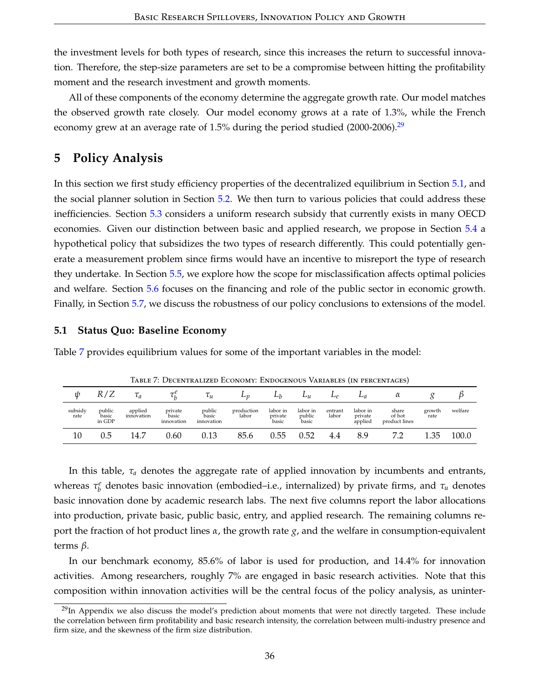the investment levels for both types of research, since this increases the return to successful innovation. Therefore, the step-size parameters are set to be a compromise between hitting the profitability moment and the research investment and growth moments.

All of these components of the economy determine the aggregate growth rate. Our model matches the observed growth rate closely. Our model economy grows at a rate of 1.3%, while the French economy grew at an average rate of  $1.5\%$  during the period studied (2000-2006).<sup>[29](#page-36-0)</sup>

# **5 Policy Analysis**

In this section we first study efficiency properties of the decentralized equilibrium in Section [5.1,](#page-36-1) and the social planner solution in Section [5.2.](#page-37-0) We then turn to various policies that could address these inefficiencies. Section [5.3](#page-37-1) considers a uniform research subsidy that currently exists in many OECD economies. Given our distinction between basic and applied research, we propose in Section [5.4](#page-38-0) a hypothetical policy that subsidizes the two types of research differently. This could potentially generate a measurement problem since firms would have an incentive to misreport the type of research they undertake. In Section [5.5,](#page-39-0) we explore how the scope for misclassification affects optimal policies and welfare. Section [5.6](#page-40-0) focuses on the financing and role of the public sector in economic growth. Finally, in Section [5.7,](#page-42-0) we discuss the robustness of our policy conclusions to extensions of the model.

### <span id="page-36-1"></span>**5.1 Status Quo: Baseline Economy**

Table [7](#page-36-2) provides equilibrium values for some of the important variables in the model:

<span id="page-36-2"></span>

| ψ               | R/Z                       | $\iota_a$             |                                | $\tau$<br>$\iota_u$           | Lγ                  | Lh                           | $-\mu$                      | $\Box \rho$      | $-a$                           | $\alpha$                         |                |         |
|-----------------|---------------------------|-----------------------|--------------------------------|-------------------------------|---------------------|------------------------------|-----------------------------|------------------|--------------------------------|----------------------------------|----------------|---------|
| subsidy<br>rate | public<br>basic<br>in GDP | applied<br>innovation | private<br>basic<br>innovation | public<br>basic<br>innovation | production<br>labor | labor in<br>private<br>basic | labor in<br>public<br>basic | entrant<br>labor | labor in<br>private<br>applied | share<br>of hot<br>product lines | growth<br>rate | welfare |
| 10              | $_{0.5}$                  | 14.7                  | 0.60                           | 0.13                          | 85.6                | 0.55                         | 0.52                        | 4.4              | 8.9                            | $-$                              | 1.35           | 100.0   |

Table 7: Decentralized Economy: Endogenous Variables (in percentages)

In this table, *τ<sup>a</sup>* denotes the aggregate rate of applied innovation by incumbents and entrants, whereas  $\tau_b^e$  denotes basic innovation (embodied–i.e., internalized) by private firms, and  $\tau_u$  denotes basic innovation done by academic research labs. The next five columns report the labor allocations into production, private basic, public basic, entry, and applied research. The remaining columns report the fraction of hot product lines *α*, the growth rate *g*, and the welfare in consumption-equivalent terms *β*.

In our benchmark economy, 85.6% of labor is used for production, and 14.4% for innovation activities. Among researchers, roughly 7% are engaged in basic research activities. Note that this composition within innovation activities will be the central focus of the policy analysis, as uninter-

<span id="page-36-0"></span><sup>&</sup>lt;sup>29</sup>In Appendix we also discuss the model's prediction about moments that were not directly targeted. These include the correlation between firm profitability and basic research intensity, the correlation between multi-industry presence and firm size, and the skewness of the firm size distribution.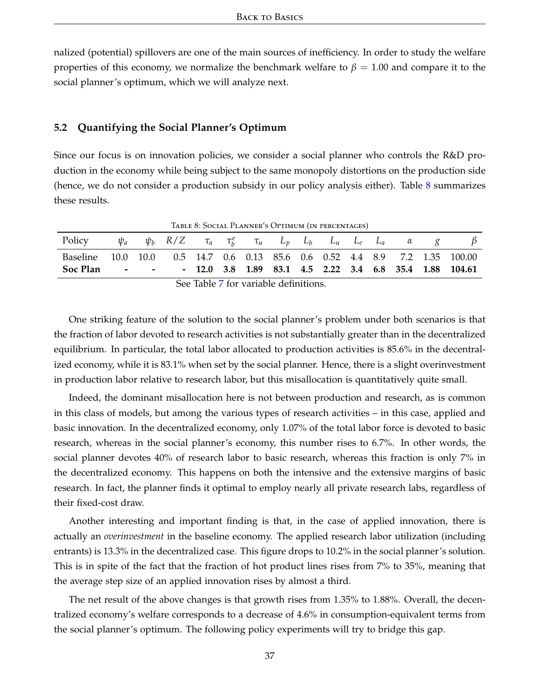nalized (potential) spillovers are one of the main sources of inefficiency. In order to study the welfare properties of this economy, we normalize the benchmark welfare to  $β = 1.00$  and compare it to the social planner's optimum, which we will analyze next.

#### <span id="page-37-0"></span>**5.2 Quantifying the Social Planner's Optimum**

Since our focus is on innovation policies, we consider a social planner who controls the R&D production in the economy while being subject to the same monopoly distortions on the production side (hence, we do not consider a production subsidy in our policy analysis either). Table [8](#page-37-2) summarizes these results.

<span id="page-37-2"></span>

| TABLE 8: SOCIAL PLANNER'S OPTIMUM (IN PERCENTAGES) |  |                                   |                                                                                               |  |  |  |  |  |  |  |  |  |  |                                                                   |
|----------------------------------------------------|--|-----------------------------------|-----------------------------------------------------------------------------------------------|--|--|--|--|--|--|--|--|--|--|-------------------------------------------------------------------|
| Policy                                             |  |                                   | $\psi_a$ $\psi_b$ R/Z $\tau_a$ $\tau_b^e$ $\tau_u$ $L_p$ $L_b$ $L_u$ $L_e$ $L_a$ $\alpha$ $g$ |  |  |  |  |  |  |  |  |  |  |                                                                   |
| Baseline                                           |  |                                   |                                                                                               |  |  |  |  |  |  |  |  |  |  | 10.0 10.0 0.5 14.7 0.6 0.13 85.6 0.6 0.52 4.4 8.9 7.2 1.35 100.00 |
| Soc Plan                                           |  | the control of the control of the |                                                                                               |  |  |  |  |  |  |  |  |  |  | $-12.0$ 3.8 1.89 83.1 4.5 2.22 3.4 6.8 35.4 1.88 104.61           |
|                                                    |  |                                   |                                                                                               |  |  |  |  |  |  |  |  |  |  |                                                                   |

See Table [7](#page-36-2) for variable definitions.

One striking feature of the solution to the social planner's problem under both scenarios is that the fraction of labor devoted to research activities is not substantially greater than in the decentralized equilibrium. In particular, the total labor allocated to production activities is 85.6% in the decentralized economy, while it is 83.1% when set by the social planner. Hence, there is a slight overinvestment in production labor relative to research labor, but this misallocation is quantitatively quite small.

Indeed, the dominant misallocation here is not between production and research, as is common in this class of models, but among the various types of research activities – in this case, applied and basic innovation. In the decentralized economy, only 1.07% of the total labor force is devoted to basic research, whereas in the social planner's economy, this number rises to 6.7%. In other words, the social planner devotes 40% of research labor to basic research, whereas this fraction is only 7% in the decentralized economy. This happens on both the intensive and the extensive margins of basic research. In fact, the planner finds it optimal to employ nearly all private research labs, regardless of their fixed-cost draw.

Another interesting and important finding is that, in the case of applied innovation, there is actually an *overinvestment* in the baseline economy. The applied research labor utilization (including entrants) is 13.3% in the decentralized case. This figure drops to 10.2% in the social planner's solution. This is in spite of the fact that the fraction of hot product lines rises from 7% to 35%, meaning that the average step size of an applied innovation rises by almost a third.

<span id="page-37-1"></span>The net result of the above changes is that growth rises from 1.35% to 1.88%. Overall, the decentralized economy's welfare corresponds to a decrease of 4.6% in consumption-equivalent terms from the social planner's optimum. The following policy experiments will try to bridge this gap.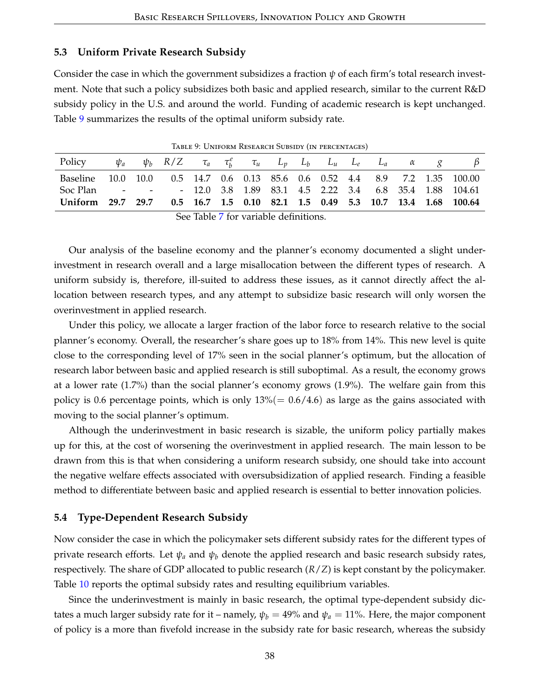#### **5.3 Uniform Private Research Subsidy**

Consider the case in which the government subsidizes a fraction *ψ* of each firm's total research investment. Note that such a policy subsidizes both basic and applied research, similar to the current R&D subsidy policy in the U.S. and around the world. Funding of academic research is kept unchanged. Table [9](#page-38-1) summarizes the results of the optimal uniform subsidy rate.

<span id="page-38-1"></span>

|          | TABLE 7. UNIFURM RESEARCH JUBSIDI (IN FERCENTAGES) |                               |                                                                         |  |  |  |  |  |  |  |          |                                                           |
|----------|----------------------------------------------------|-------------------------------|-------------------------------------------------------------------------|--|--|--|--|--|--|--|----------|-----------------------------------------------------------|
| Policy   | $\psi_a$                                           |                               | $\psi_b$ R/Z $\tau_a$ $\tau_b^e$ $\tau_u$ $L_p$ $L_b$ $L_u$ $L_e$ $L_a$ |  |  |  |  |  |  |  | $\alpha$ |                                                           |
| Baseline |                                                    | 10.0 10.0                     |                                                                         |  |  |  |  |  |  |  |          | 0.5 14.7 0.6 0.13 85.6 0.6 0.52 4.4 8.9 7.2 1.35 100.00   |
| Soc Plan |                                                    | the control of the control of |                                                                         |  |  |  |  |  |  |  |          | $-12.0$ 3.8 1.89 83.1 4.5 2.22 3.4 6.8 35.4 1.88 104.61   |
| Uniform  | 29.7 29.7                                          |                               |                                                                         |  |  |  |  |  |  |  |          | 0.5 16.7 1.5 0.10 82.1 1.5 0.49 5.3 10.7 13.4 1.68 100.64 |

Table 0: Uniform Research Subsidiers (per

Our analysis of the baseline economy and the planner's economy documented a slight underinvestment in research overall and a large misallocation between the different types of research. A uniform subsidy is, therefore, ill-suited to address these issues, as it cannot directly affect the allocation between research types, and any attempt to subsidize basic research will only worsen the overinvestment in applied research.

Under this policy, we allocate a larger fraction of the labor force to research relative to the social planner's economy. Overall, the researcher's share goes up to 18% from 14%. This new level is quite close to the corresponding level of 17% seen in the social planner's optimum, but the allocation of research labor between basic and applied research is still suboptimal. As a result, the economy grows at a lower rate (1.7%) than the social planner's economy grows (1.9%). The welfare gain from this policy is 0.6 percentage points, which is only  $13\% (= 0.6/4.6)$  as large as the gains associated with moving to the social planner's optimum.

Although the underinvestment in basic research is sizable, the uniform policy partially makes up for this, at the cost of worsening the overinvestment in applied research. The main lesson to be drawn from this is that when considering a uniform research subsidy, one should take into account the negative welfare effects associated with oversubsidization of applied research. Finding a feasible method to differentiate between basic and applied research is essential to better innovation policies.

#### <span id="page-38-0"></span>**5.4 Type-Dependent Research Subsidy**

Now consider the case in which the policymaker sets different subsidy rates for the different types of private research efforts. Let  $\psi_a$  and  $\psi_b$  denote the applied research and basic research subsidy rates, respectively. The share of GDP allocated to public research (*R*/*Z*) is kept constant by the policymaker. Table [10](#page-39-1) reports the optimal subsidy rates and resulting equilibrium variables.

Since the underinvestment is mainly in basic research, the optimal type-dependent subsidy dictates a much larger subsidy rate for it – namely,  $\psi_b = 49\%$  and  $\psi_a = 11\%$ . Here, the major component of policy is a more than fivefold increase in the subsidy rate for basic research, whereas the subsidy

See Table [7](#page-36-2) for variable definitions.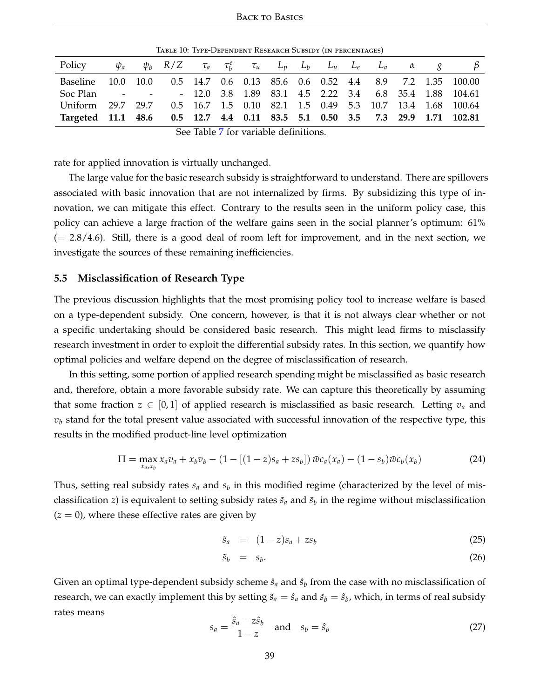<span id="page-39-1"></span>

| Policy                                                                      |  | $\psi_a$ $\psi_b$ R/Z $\tau_a$ $\tau_b^e$ $\tau_u$ $L_p$ $L_b$ $L_u$ $L_e$ $L_a$ |  |  |  |  | $\alpha \qquad g$ |                                                                   |
|-----------------------------------------------------------------------------|--|----------------------------------------------------------------------------------|--|--|--|--|-------------------|-------------------------------------------------------------------|
| Baseline                                                                    |  |                                                                                  |  |  |  |  |                   | 10.0 10.0 0.5 14.7 0.6 0.13 85.6 0.6 0.52 4.4 8.9 7.2 1.35 100.00 |
| Soc Plan $\qquad$ - $\qquad$ -                                              |  |                                                                                  |  |  |  |  |                   | $-12.0$ 3.8 1.89 83.1 4.5 2.22 3.4 6.8 35.4 1.88 104.61           |
| Uniform 29.7 29.7 0.5 16.7 1.5 0.10 82.1 1.5 0.49 5.3 10.7 13.4 1.68 100.64 |  |                                                                                  |  |  |  |  |                   |                                                                   |
| Targeted 11.1 48.6 0.5 12.7 4.4 0.11 83.5 5.1 0.50 3.5 7.3 29.9 1.71 102.81 |  |                                                                                  |  |  |  |  |                   |                                                                   |

Table 10: Type-Dependent Research Subsidy (in percentages)

See Table [7](#page-36-2) for variable definitions.

rate for applied innovation is virtually unchanged.

The large value for the basic research subsidy is straightforward to understand. There are spillovers associated with basic innovation that are not internalized by firms. By subsidizing this type of innovation, we can mitigate this effect. Contrary to the results seen in the uniform policy case, this policy can achieve a large fraction of the welfare gains seen in the social planner's optimum: 61%  $(= 2.8/4.6)$ . Still, there is a good deal of room left for improvement, and in the next section, we investigate the sources of these remaining inefficiencies.

#### <span id="page-39-0"></span>**5.5 Misclassification of Research Type**

The previous discussion highlights that the most promising policy tool to increase welfare is based on a type-dependent subsidy. One concern, however, is that it is not always clear whether or not a specific undertaking should be considered basic research. This might lead firms to misclassify research investment in order to exploit the differential subsidy rates. In this section, we quantify how optimal policies and welfare depend on the degree of misclassification of research.

In this setting, some portion of applied research spending might be misclassified as basic research and, therefore, obtain a more favorable subsidy rate. We can capture this theoretically by assuming that some fraction  $z \in [0,1]$  of applied research is misclassified as basic research. Letting  $v_a$  and  $v<sub>b</sub>$  stand for the total present value associated with successful innovation of the respective type, this results in the modified product-line level optimization

$$
\Pi = \max_{x_a, x_b} x_a v_a + x_b v_b - (1 - [(1 - z)s_a + zs_b]) \tilde{w}c_a(x_a) - (1 - s_b)\tilde{w}c_b(x_b)
$$
\n(24)

Thus, setting real subsidy rates  $s_a$  and  $s_b$  in this modified regime (characterized by the level of misclassification *z*) is equivalent to setting subsidy rates  $\tilde{s}_a$  and  $\tilde{s}_b$  in the regime without misclassification  $(z = 0)$ , where these effective rates are given by

$$
\tilde{s}_a = (1-z)s_a + zs_b \tag{25}
$$

$$
\tilde{s}_b = s_b. \tag{26}
$$

Given an optimal type-dependent subsidy scheme  $\hat{s}_a$  and  $\hat{s}_b$  from the case with no misclassification of research, we can exactly implement this by setting  $\tilde{s}_a = \hat{s}_a$  and  $\tilde{s}_b = \hat{s}_b$ , which, in terms of real subsidy rates means

$$
s_a = \frac{\hat{s}_a - z\hat{s}_b}{1 - z} \quad \text{and} \quad s_b = \hat{s}_b \tag{27}
$$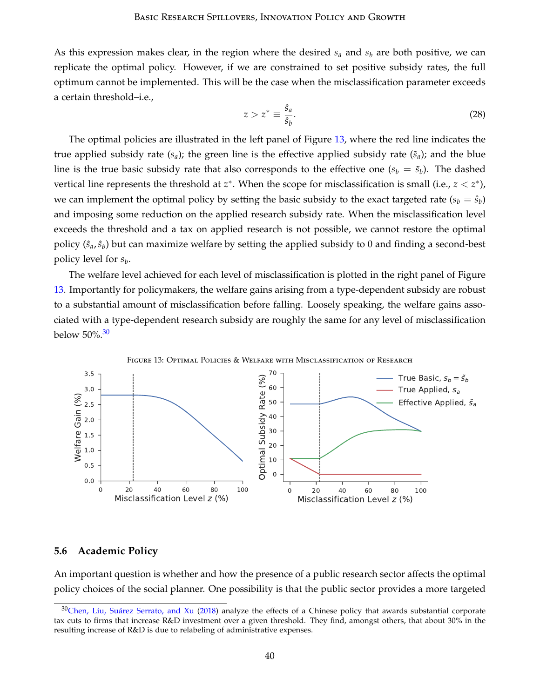As this expression makes clear, in the region where the desired *s<sup>a</sup>* and *s<sup>b</sup>* are both positive, we can replicate the optimal policy. However, if we are constrained to set positive subsidy rates, the full optimum cannot be implemented. This will be the case when the misclassification parameter exceeds a certain threshold–i.e.,

$$
z > z^* \equiv \frac{\hat{s}_a}{\hat{s}_b}.\tag{28}
$$

The optimal policies are illustrated in the left panel of Figure [13,](#page-40-1) where the red line indicates the true applied subsidy rate  $(s_a)$ ; the green line is the effective applied subsidy rate  $(\tilde{s}_a)$ ; and the blue line is the true basic subsidy rate that also corresponds to the effective one ( $s_b = \tilde{s}_b$ ). The dashed vertical line represents the threshold at *z*<sup>\*</sup>. When the scope for misclassification is small (i.e., *z* < *z*<sup>\*</sup>), we can implement the optimal policy by setting the basic subsidy to the exact targeted rate  $(s_b = \hat{s}_b)$ and imposing some reduction on the applied research subsidy rate. When the misclassification level exceeds the threshold and a tax on applied research is not possible, we cannot restore the optimal policy (*s*ˆ*a*,*s*ˆ*<sup>b</sup>* ) but can maximize welfare by setting the applied subsidy to 0 and finding a second-best policy level for *s<sup>b</sup>* .

The welfare level achieved for each level of misclassification is plotted in the right panel of Figure [13.](#page-40-1) Importantly for policymakers, the welfare gains arising from a type-dependent subsidy are robust to a substantial amount of misclassification before falling. Loosely speaking, the welfare gains associated with a type-dependent research subsidy are roughly the same for any level of misclassification below 50%.<sup>[30](#page-40-2)</sup>

<span id="page-40-1"></span>



### <span id="page-40-0"></span>**5.6 Academic Policy**

An important question is whether and how the presence of a public research sector affects the optimal policy choices of the social planner. One possibility is that the public sector provides a more targeted

<span id="page-40-2"></span><sup>&</sup>lt;sup>30</sup>[Chen, Liu, Suárez Serrato, and Xu](#page-45-0) [\(2018\)](#page-45-0) analyze the effects of a Chinese policy that awards substantial corporate tax cuts to firms that increase R&D investment over a given threshold. They find, amongst others, that about 30% in the resulting increase of R&D is due to relabeling of administrative expenses.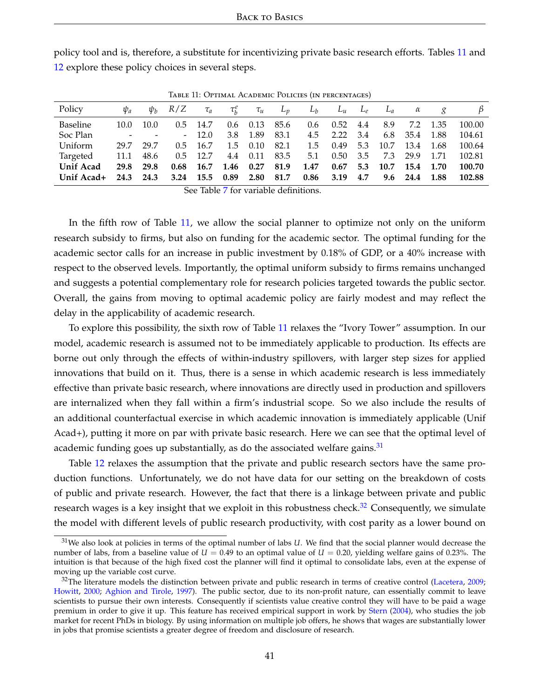<span id="page-41-0"></span>

| TABLE 11: OPTIMAL ACADEMIC POLICIES (IN PERCENTAGES) |          |          |                          |          |            |          |          |       |       |            |       |          |      |        |
|------------------------------------------------------|----------|----------|--------------------------|----------|------------|----------|----------|-------|-------|------------|-------|----------|------|--------|
| Policy                                               | $\psi_a$ | $\psi_b$ | R/Z                      | $\tau_a$ | $\tau_h^e$ | $\tau_u$ | $\n  -p$ | $L_b$ | $L_u$ | $L_{\ell}$ | $L_a$ | $\alpha$ | g    | B      |
| <b>Baseline</b>                                      | 10.0     | 10.0     | 0.5                      | 14.7     | 0.6        | 0.13     | 85.6     | 0.6   | 0.52  | 4.4        | 8.9   | 7.2      | 1.35 | 100.00 |
| Soc Plan                                             |          |          | $\overline{\phantom{a}}$ | 12.0     | 3.8        | 1.89     | 83.1     | 4.5   | 2.22  | 3.4        | 6.8   | 35.4     | 1.88 | 104.61 |
| Uniform                                              | 29.7     | 29.7     | 0.5                      | 16.7     | 1.5        | 0.10     | 82.1     | 1.5   | 0.49  | 5.3        | 10.7  | 13.4     | 1.68 | 100.64 |
| Targeted                                             | 11.1     | 48.6     | 0.5                      | 12.7     | 4.4        | 0.11     | 83.5     | 5.1   | 0.50  | 3.5        | 7.3   | 29.9     | 1.71 | 102.81 |
| Unif Acad                                            | 29.8     | 29.8     | 0.68                     | 16.7     | 1.46       | 0.27     | 81.9     | 1.47  | 0.67  | 5.3        | 10.7  | 15.4     | 1.70 | 100.70 |
| Unif Acad+                                           | 24.3     | 24.3     | 3.24                     | 15.5     | 0.89       | 2.80     | 81.7     | 0.86  | 3.19  | 4.7        | 9.6   | 24.4     | 1.88 | 102.88 |

policy tool and is, therefore, a substitute for incentivizing private basic research efforts. Tables [11](#page-41-0) and [12](#page-42-1) explore these policy choices in several steps.

See Table [7](#page-36-2) for variable definitions.

In the fifth row of Table [11,](#page-41-0) we allow the social planner to optimize not only on the uniform research subsidy to firms, but also on funding for the academic sector. The optimal funding for the academic sector calls for an increase in public investment by 0.18% of GDP, or a 40% increase with respect to the observed levels. Importantly, the optimal uniform subsidy to firms remains unchanged and suggests a potential complementary role for research policies targeted towards the public sector. Overall, the gains from moving to optimal academic policy are fairly modest and may reflect the delay in the applicability of academic research.

To explore this possibility, the sixth row of Table [11](#page-41-0) relaxes the "Ivory Tower" assumption. In our model, academic research is assumed not to be immediately applicable to production. Its effects are borne out only through the effects of within-industry spillovers, with larger step sizes for applied innovations that build on it. Thus, there is a sense in which academic research is less immediately effective than private basic research, where innovations are directly used in production and spillovers are internalized when they fall within a firm's industrial scope. So we also include the results of an additional counterfactual exercise in which academic innovation is immediately applicable (Unif Acad+), putting it more on par with private basic research. Here we can see that the optimal level of academic funding goes up substantially, as do the associated welfare gains.<sup>[31](#page-41-1)</sup>

Table [12](#page-42-1) relaxes the assumption that the private and public research sectors have the same production functions. Unfortunately, we do not have data for our setting on the breakdown of costs of public and private research. However, the fact that there is a linkage between private and public research wages is a key insight that we exploit in this robustness check.<sup>[32](#page-41-2)</sup> Consequently, we simulate the model with different levels of public research productivity, with cost parity as a lower bound on

<span id="page-41-1"></span><sup>31</sup>We also look at policies in terms of the optimal number of labs *U*. We find that the social planner would decrease the number of labs, from a baseline value of  $U = 0.49$  to an optimal value of  $U = 0.20$ , yielding welfare gains of 0.23%. The intuition is that because of the high fixed cost the planner will find it optimal to consolidate labs, even at the expense of moving up the variable cost curve.

<span id="page-41-2"></span> $32$ The literature models the distinction between private and public research in terms of creative control [\(Lacetera,](#page-47-0) [2009;](#page-47-0) [Howitt,](#page-46-0) [2000;](#page-46-0) [Aghion and Tirole,](#page-45-1) [1997\)](#page-45-1). The public sector, due to its non-profit nature, can essentially commit to leave scientists to pursue their own interests. Consequently if scientists value creative control they will have to be paid a wage premium in order to give it up. This feature has received empirical support in work by [Stern](#page-47-1) [\(2004\)](#page-47-1), who studies the job market for recent PhDs in biology. By using information on multiple job offers, he shows that wages are substantially lower in jobs that promise scientists a greater degree of freedom and disclosure of research.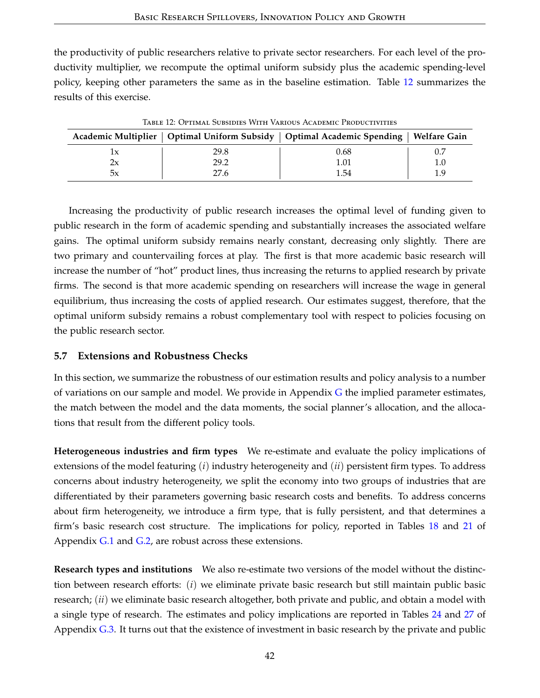the productivity of public researchers relative to private sector researchers. For each level of the productivity multiplier, we recompute the optimal uniform subsidy plus the academic spending-level policy, keeping other parameters the same as in the baseline estimation. Table [12](#page-42-1) summarizes the results of this exercise.

<span id="page-42-1"></span>

| TABLE 14. OF HIMAL DUBSIDIES WITH VANIOUS ACADEMIC I NODUCTIVITIES |      |                                                                                          |     |  |  |  |  |  |  |  |
|--------------------------------------------------------------------|------|------------------------------------------------------------------------------------------|-----|--|--|--|--|--|--|--|
|                                                                    |      | Academic Multiplier   Optimal Uniform Subsidy   Optimal Academic Spending   Welfare Gain |     |  |  |  |  |  |  |  |
|                                                                    | 29.8 | 0.68                                                                                     |     |  |  |  |  |  |  |  |
| 2x                                                                 | 29.2 | 1.01                                                                                     | 1.0 |  |  |  |  |  |  |  |
| 5х                                                                 | 27.6 | 1.54                                                                                     | 1.9 |  |  |  |  |  |  |  |

Table 12: Optimal Subsidies With Various Academic Production

Increasing the productivity of public research increases the optimal level of funding given to public research in the form of academic spending and substantially increases the associated welfare gains. The optimal uniform subsidy remains nearly constant, decreasing only slightly. There are two primary and countervailing forces at play. The first is that more academic basic research will increase the number of "hot" product lines, thus increasing the returns to applied research by private firms. The second is that more academic spending on researchers will increase the wage in general equilibrium, thus increasing the costs of applied research. Our estimates suggest, therefore, that the optimal uniform subsidy remains a robust complementary tool with respect to policies focusing on the public research sector.

### <span id="page-42-0"></span>**5.7 Extensions and Robustness Checks**

In this section, we summarize the robustness of our estimation results and policy analysis to a number of variations on our sample and model. We provide in Appendix  $G$  the implied parameter estimates, the match between the model and the data moments, the social planner's allocation, and the allocations that result from the different policy tools.

**Heterogeneous industries and firm types** We re-estimate and evaluate the policy implications of extensions of the model featuring (*i*) industry heterogeneity and (*ii*) persistent firm types. To address concerns about industry heterogeneity, we split the economy into two groups of industries that are differentiated by their parameters governing basic research costs and benefits. To address concerns about firm heterogeneity, we introduce a firm type, that is fully persistent, and that determines a firm's basic research cost structure. The implications for policy, reported in Tables [18](#page-66-0) and [21](#page-69-0) of Appendix [G.1](#page-65-1) and [G.2,](#page-68-0) are robust across these extensions.

**Research types and institutions** We also re-estimate two versions of the model without the distinction between research efforts: (*i*) we eliminate private basic research but still maintain public basic research; (*ii*) we eliminate basic research altogether, both private and public, and obtain a model with a single type of research. The estimates and policy implications are reported in Tables [24](#page-71-0) and [27](#page-72-0) of Appendix [G.3.](#page-71-1) It turns out that the existence of investment in basic research by the private and public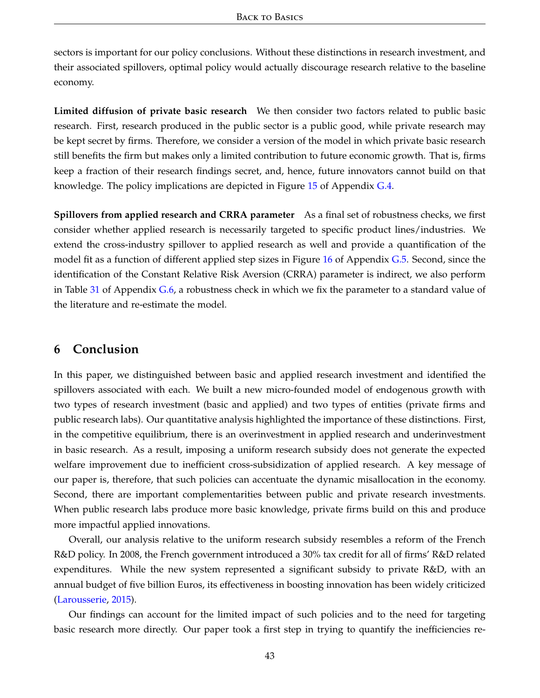sectors is important for our policy conclusions. Without these distinctions in research investment, and their associated spillovers, optimal policy would actually discourage research relative to the baseline economy.

**Limited diffusion of private basic research** We then consider two factors related to public basic research. First, research produced in the public sector is a public good, while private research may be kept secret by firms. Therefore, we consider a version of the model in which private basic research still benefits the firm but makes only a limited contribution to future economic growth. That is, firms keep a fraction of their research findings secret, and, hence, future innovators cannot build on that knowledge. The policy implications are depicted in Figure [15](#page-74-0) of Appendix [G.4.](#page-74-1)

**Spillovers from applied research and CRRA parameter** As a final set of robustness checks, we first consider whether applied research is necessarily targeted to specific product lines/industries. We extend the cross-industry spillover to applied research as well and provide a quantification of the model fit as a function of different applied step sizes in Figure [16](#page-76-0) of Appendix [G.5.](#page-75-0) Second, since the identification of the Constant Relative Risk Aversion (CRRA) parameter is indirect, we also perform in Table [31](#page-77-0) of Appendix  $G.6$ , a robustness check in which we fix the parameter to a standard value of the literature and re-estimate the model.

### **6 Conclusion**

In this paper, we distinguished between basic and applied research investment and identified the spillovers associated with each. We built a new micro-founded model of endogenous growth with two types of research investment (basic and applied) and two types of entities (private firms and public research labs). Our quantitative analysis highlighted the importance of these distinctions. First, in the competitive equilibrium, there is an overinvestment in applied research and underinvestment in basic research. As a result, imposing a uniform research subsidy does not generate the expected welfare improvement due to inefficient cross-subsidization of applied research. A key message of our paper is, therefore, that such policies can accentuate the dynamic misallocation in the economy. Second, there are important complementarities between public and private research investments. When public research labs produce more basic knowledge, private firms build on this and produce more impactful applied innovations.

Overall, our analysis relative to the uniform research subsidy resembles a reform of the French R&D policy. In 2008, the French government introduced a 30% tax credit for all of firms' R&D related expenditures. While the new system represented a significant subsidy to private R&D, with an annual budget of five billion Euros, its effectiveness in boosting innovation has been widely criticized [\(Larousserie,](#page-47-2) [2015\)](#page-47-2).

Our findings can account for the limited impact of such policies and to the need for targeting basic research more directly. Our paper took a first step in trying to quantify the inefficiencies re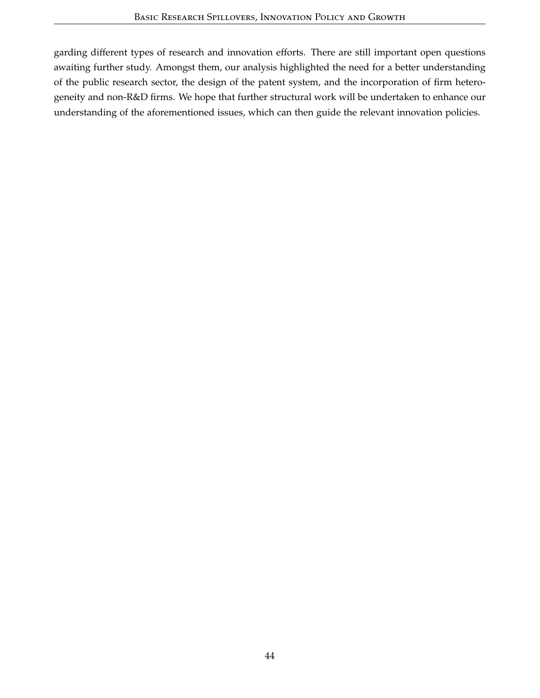garding different types of research and innovation efforts. There are still important open questions awaiting further study. Amongst them, our analysis highlighted the need for a better understanding of the public research sector, the design of the patent system, and the incorporation of firm heterogeneity and non-R&D firms. We hope that further structural work will be undertaken to enhance our understanding of the aforementioned issues, which can then guide the relevant innovation policies.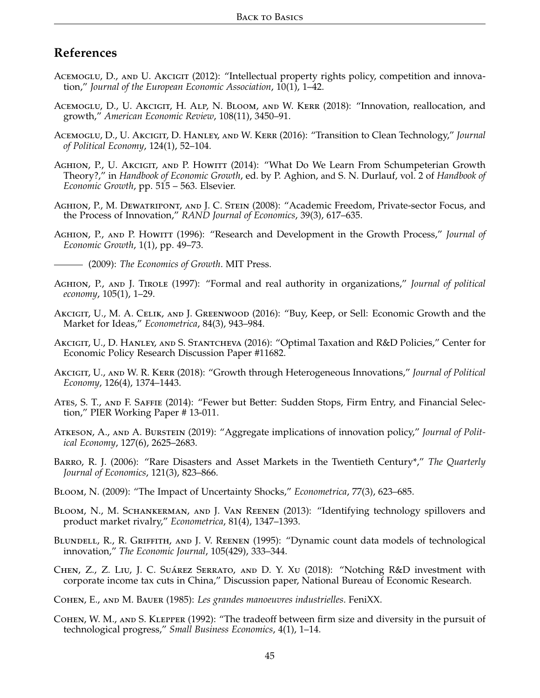# **References**

- Acemoglu, D., and U. Akcigit (2012): "Intellectual property rights policy, competition and innovation," *Journal of the European Economic Association*, 10(1), 1–42.
- Acemoglu, D., U. Akcigit, H. Alp, N. Bloom, and W. Kerr (2018): "Innovation, reallocation, and growth," *American Economic Review*, 108(11), 3450–91.
- Acemoglu, D., U. Akcigit, D. Hanley, and W. Kerr (2016): "Transition to Clean Technology," *Journal of Political Economy*, 124(1), 52–104.
- <span id="page-45-2"></span>AGHION, P., U. AKCIGIT, AND P. HOWITT (2014): "What Do We Learn From Schumpeterian Growth Theory?," in *Handbook of Economic Growth*, ed. by P. Aghion, and S. N. Durlauf, vol. 2 of *Handbook of Economic Growth*, pp. 515 – 563. Elsevier.
- Aghion, P., M. Dewatripont, and J. C. Stein (2008): "Academic Freedom, Private-sector Focus, and the Process of Innovation," *RAND Journal of Economics*, 39(3), 617–635.
- Aghion, P., and P. Howitt (1996): "Research and Development in the Growth Process," *Journal of Economic Growth*, 1(1), pp. 49–73.
- (2009): *The Economics of Growth*. MIT Press.
- <span id="page-45-1"></span>Aghion, P., and J. Tirole (1997): "Formal and real authority in organizations," *Journal of political economy*, 105(1), 1–29.
- Akcigit, U., M. A. Celik, and J. Greenwood (2016): "Buy, Keep, or Sell: Economic Growth and the Market for Ideas," *Econometrica*, 84(3), 943–984.
- Akcigit, U., D. Hanley, and S. Stantcheva (2016): "Optimal Taxation and R&D Policies," Center for Economic Policy Research Discussion Paper #11682.
- Akcigit, U., and W. R. Kerr (2018): "Growth through Heterogeneous Innovations," *Journal of Political Economy*, 126(4), 1374–1443.
- Ates, S. T., and F. Saffie (2014): "Fewer but Better: Sudden Stops, Firm Entry, and Financial Selection," PIER Working Paper # 13-011.
- Atkeson, A., and A. Burstein (2019): "Aggregate implications of innovation policy," *Journal of Political Economy*, 127(6), 2625–2683.
- Barro, R. J. (2006): "Rare Disasters and Asset Markets in the Twentieth Century\*," *The Quarterly Journal of Economics*, 121(3), 823–866.
- Bloom, N. (2009): "The Impact of Uncertainty Shocks," *Econometrica*, 77(3), 623–685.
- Bloom, N., M. Schankerman, and J. Van Reenen (2013): "Identifying technology spillovers and product market rivalry," *Econometrica*, 81(4), 1347–1393.
- Blundell, R., R. Griffith, and J. V. Reenen (1995): "Dynamic count data models of technological innovation," *The Economic Journal*, 105(429), 333–344.
- <span id="page-45-0"></span>Chen, Z., Z. Liu, J. C. Suárez Serrato, and D. Y. Xu (2018): "Notching R&D investment with corporate income tax cuts in China," Discussion paper, National Bureau of Economic Research.
- Cohen, E., and M. Bauer (1985): *Les grandes manoeuvres industrielles*. FeniXX.
- COHEN, W. M., AND S. KLEPPER (1992): "The tradeoff between firm size and diversity in the pursuit of technological progress," *Small Business Economics*, 4(1), 1–14.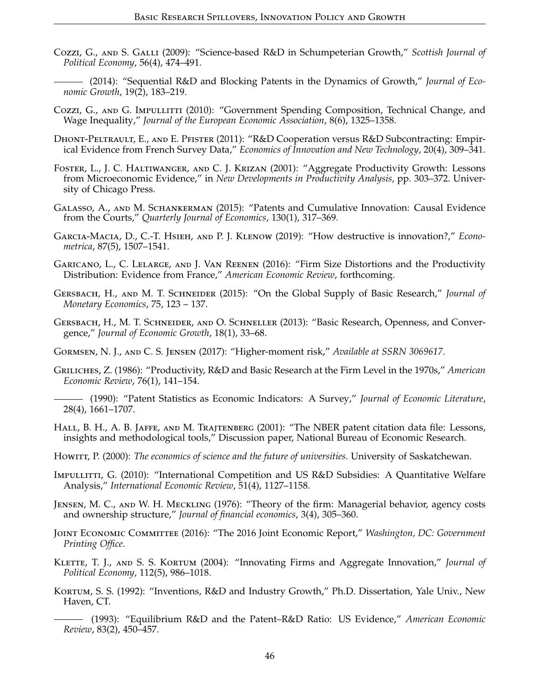- Cozzi, G., and S. Galli (2009): "Science-based R&D in Schumpeterian Growth," *Scottish Journal of Political Economy*, 56(4), 474–491.
- (2014): "Sequential R&D and Blocking Patents in the Dynamics of Growth," *Journal of Economic Growth*, 19(2), 183–219.
- Cozzi, G., and G. Impullitti (2010): "Government Spending Composition, Technical Change, and Wage Inequality," *Journal of the European Economic Association*, 8(6), 1325–1358.
- <span id="page-46-1"></span>Dhont-Peltrault, E., and E. Pfister (2011): "R&D Cooperation versus R&D Subcontracting: Empirical Evidence from French Survey Data," *Economics of Innovation and New Technology*, 20(4), 309–341.
- <span id="page-46-2"></span>Foster, L., J. C. Haltiwanger, and C. J. Krizan (2001): "Aggregate Productivity Growth: Lessons from Microeconomic Evidence," in *New Developments in Productivity Analysis*, pp. 303–372. University of Chicago Press.
- Galasso, A., and M. Schankerman (2015): "Patents and Cumulative Innovation: Causal Evidence from the Courts," *Quarterly Journal of Economics*, 130(1), 317–369.
- Garcia-Macia, D., C.-T. Hsieh, and P. J. Klenow (2019): "How destructive is innovation?," *Econometrica*, 87(5), 1507–1541.
- Garicano, L., C. Lelarge, and J. Van Reenen (2016): "Firm Size Distortions and the Productivity Distribution: Evidence from France," *American Economic Review*, forthcoming.
- Gersbach, H., and M. T. Schneider (2015): "On the Global Supply of Basic Research," *Journal of Monetary Economics*, 75, 123 – 137.
- Gersbach, H., M. T. Schneider, and O. Schneller (2013): "Basic Research, Openness, and Convergence," *Journal of Economic Growth*, 18(1), 33–68.
- Gormsen, N. J., and C. S. Jensen (2017): "Higher-moment risk," *Available at SSRN 3069617*.
- Griliches, Z. (1986): "Productivity, R&D and Basic Research at the Firm Level in the 1970s," *American Economic Review*, 76(1), 141–154.
- (1990): "Patent Statistics as Economic Indicators: A Survey," *Journal of Economic Literature*, 28(4), 1661–1707.
- HALL, B. H., A. B. JAFFE, AND M. TRAJTENBERG (2001): "The NBER patent citation data file: Lessons, insights and methodological tools," Discussion paper, National Bureau of Economic Research.
- <span id="page-46-0"></span>Howitt, P. (2000): *The economics of science and the future of universities*. University of Saskatchewan.
- IMPULLITTI, G. (2010): "International Competition and US R&D Subsidies: A Quantitative Welfare Analysis," *International Economic Review*, 51(4), 1127–1158.
- Jensen, M. C., and W. H. Meckling (1976): "Theory of the firm: Managerial behavior, agency costs and ownership structure," *Journal of financial economics*, 3(4), 305–360.
- Joint Economic Committee (2016): "The 2016 Joint Economic Report," *Washington, DC: Government Printing Office*.
- Klette, T. J., and S. S. Kortum (2004): "Innovating Firms and Aggregate Innovation," *Journal of Political Economy*, 112(5), 986–1018.
- KORTUM, S. S. (1992): "Inventions, R&D and Industry Growth," Ph.D. Dissertation, Yale Univ., New Haven, CT.
	- (1993): "Equilibrium R&D and the Patent–R&D Ratio: US Evidence," *American Economic Review*, 83(2), 450–457.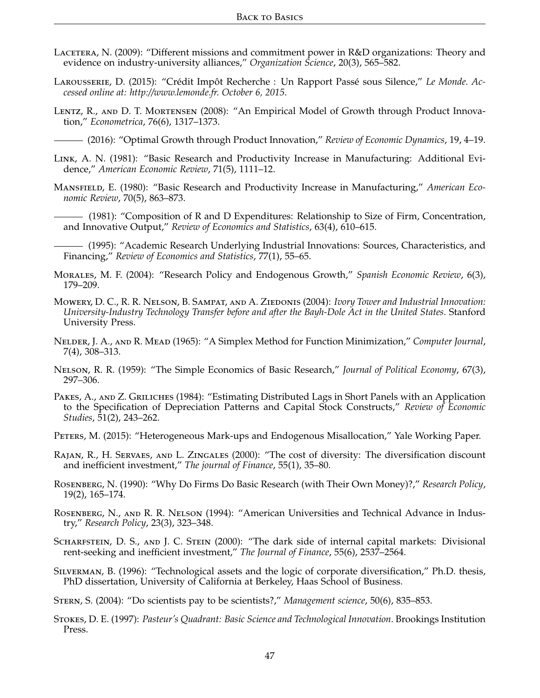- <span id="page-47-0"></span>LACETERA, N. (2009): "Different missions and commitment power in R&D organizations: Theory and evidence on industry-university alliances," *Organization Science*, 20(3), 565–582.
- <span id="page-47-2"></span>Larousserie, D. (2015): "Crédit Impôt Recherche : Un Rapport Passé sous Silence," *Le Monde. Accessed online at: http://www.lemonde.fr. October 6, 2015*.
- LENTZ, R., AND D. T. MORTENSEN (2008): "An Empirical Model of Growth through Product Innovation," *Econometrica*, 76(6), 1317–1373.

(2016): "Optimal Growth through Product Innovation," *Review of Economic Dynamics*, 19, 4–19.

- Link, A. N. (1981): "Basic Research and Productivity Increase in Manufacturing: Additional Evidence," *American Economic Review*, 71(5), 1111–12.
- Mansfield, E. (1980): "Basic Research and Productivity Increase in Manufacturing," *American Economic Review*, 70(5), 863–873.

(1981): "Composition of R and D Expenditures: Relationship to Size of Firm, Concentration, and Innovative Output," *Review of Economics and Statistics*, 63(4), 610–615.

(1995): "Academic Research Underlying Industrial Innovations: Sources, Characteristics, and Financing," *Review of Economics and Statistics*, 77(1), 55–65.

- Morales, M. F. (2004): "Research Policy and Endogenous Growth," *Spanish Economic Review*, 6(3), 179–209.
- Mowery, D. C., R. R. Nelson, B. Sampat, and A. Ziedonis (2004): *Ivory Tower and Industrial Innovation: University-Industry Technology Transfer before and after the Bayh-Dole Act in the United States*. Stanford University Press.
- <span id="page-47-3"></span>Nelder, J. A., and R. Mead (1965): "A Simplex Method for Function Minimization," *Computer Journal*, 7(4), 308–313.
- Nelson, R. R. (1959): "The Simple Economics of Basic Research," *Journal of Political Economy*, 67(3), 297–306.
- PAKES, A., AND Z. GRILICHES (1984): "Estimating Distributed Lags in Short Panels with an Application to the Specification of Depreciation Patterns and Capital Stock Constructs," *Review of Economic Studies*, 51(2), 243–262.
- Peters, M. (2015): "Heterogeneous Mark-ups and Endogenous Misallocation," Yale Working Paper.
- RAJAN, R., H. SERVAES, AND L. ZINGALES (2000): "The cost of diversity: The diversification discount and inefficient investment," *The journal of Finance*, 55(1), 35–80.
- Rosenberg, N. (1990): "Why Do Firms Do Basic Research (with Their Own Money)?," *Research Policy*, 19(2), 165–174.
- Rosenberg, N., and R. R. Nelson (1994): "American Universities and Technical Advance in Industry," *Research Policy*, 23(3), 323–348.
- SCHARFSTEIN, D. S., AND J. C. STEIN (2000): "The dark side of internal capital markets: Divisional rent-seeking and inefficient investment," *The Journal of Finance*, 55(6), 2537–2564.
- Silverman, B. (1996): "Technological assets and the logic of corporate diversification," Ph.D. thesis, PhD dissertation, University of California at Berkeley, Haas School of Business.

<span id="page-47-1"></span>Stern, S. (2004): "Do scientists pay to be scientists?," *Management science*, 50(6), 835–853.

Stokes, D. E. (1997): *Pasteur's Quadrant: Basic Science and Technological Innovation*. Brookings Institution Press.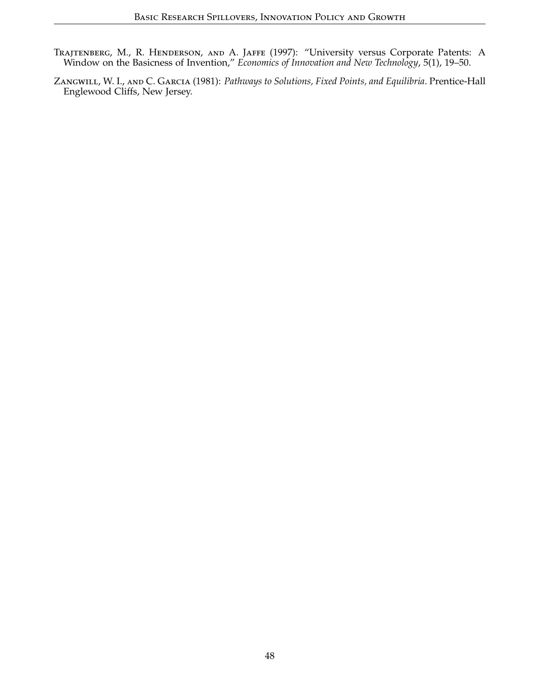- Trajtenberg, M., R. Henderson, and A. Jaffe (1997): "University versus Corporate Patents: A Window on the Basicness of Invention," *Economics of Innovation and New Technology*, 5(1), 19–50.
- <span id="page-48-0"></span>Zangwill, W. I., and C. Garcia (1981): *Pathways to Solutions, Fixed Points, and Equilibria*. Prentice-Hall Englewood Cliffs, New Jersey.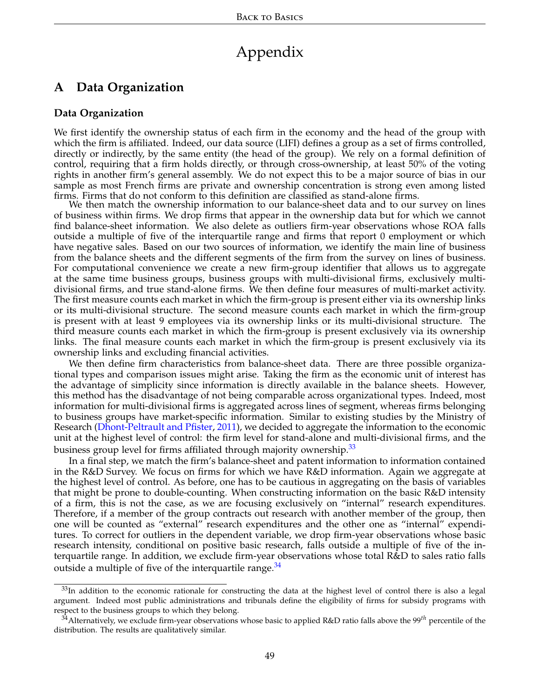# Appendix

# **A Data Organization**

### **Data Organization**

We first identify the ownership status of each firm in the economy and the head of the group with which the firm is affiliated. Indeed, our data source (LIFI) defines a group as a set of firms controlled, directly or indirectly, by the same entity (the head of the group). We rely on a formal definition of control, requiring that a firm holds directly, or through cross-ownership, at least 50% of the voting rights in another firm's general assembly. We do not expect this to be a major source of bias in our sample as most French firms are private and ownership concentration is strong even among listed firms. Firms that do not conform to this definition are classified as stand-alone firms.

We then match the ownership information to our balance-sheet data and to our survey on lines of business within firms. We drop firms that appear in the ownership data but for which we cannot find balance-sheet information. We also delete as outliers firm-year observations whose ROA falls outside a multiple of five of the interquartile range and firms that report 0 employment or which have negative sales. Based on our two sources of information, we identify the main line of business from the balance sheets and the different segments of the firm from the survey on lines of business. For computational convenience we create a new firm-group identifier that allows us to aggregate at the same time business groups, business groups with multi-divisional firms, exclusively multidivisional firms, and true stand-alone firms. We then define four measures of multi-market activity. The first measure counts each market in which the firm-group is present either via its ownership links or its multi-divisional structure. The second measure counts each market in which the firm-group is present with at least 9 employees via its ownership links or its multi-divisional structure. The third measure counts each market in which the firm-group is present exclusively via its ownership links. The final measure counts each market in which the firm-group is present exclusively via its ownership links and excluding financial activities.

We then define firm characteristics from balance-sheet data. There are three possible organizational types and comparison issues might arise. Taking the firm as the economic unit of interest has the advantage of simplicity since information is directly available in the balance sheets. However, this method has the disadvantage of not being comparable across organizational types. Indeed, most information for multi-divisional firms is aggregated across lines of segment, whereas firms belonging to business groups have market-specific information. Similar to existing studies by the Ministry of Research [\(Dhont-Peltrault and Pfister,](#page-46-1) [2011\)](#page-46-1), we decided to aggregate the information to the economic unit at the highest level of control: the firm level for stand-alone and multi-divisional firms, and the business group level for firms affiliated through majority ownership.<sup>[33](#page-49-0)</sup>

In a final step, we match the firm's balance-sheet and patent information to information contained in the R&D Survey. We focus on firms for which we have R&D information. Again we aggregate at the highest level of control. As before, one has to be cautious in aggregating on the basis of variables that might be prone to double-counting. When constructing information on the basic R&D intensity of a firm, this is not the case, as we are focusing exclusively on "internal" research expenditures. Therefore, if a member of the group contracts out research with another member of the group, then one will be counted as "external" research expenditures and the other one as "internal" expenditures. To correct for outliers in the dependent variable, we drop firm-year observations whose basic research intensity, conditional on positive basic research, falls outside a multiple of five of the interquartile range. In addition, we exclude firm-year observations whose total R&D to sales ratio falls outside a multiple of five of the interquartile range.  $34$ 

<span id="page-49-0"></span> $33$ In addition to the economic rationale for constructing the data at the highest level of control there is also a legal argument. Indeed most public administrations and tribunals define the eligibility of firms for subsidy programs with respect to the business groups to which they belong.

<span id="page-49-1"></span><sup>34</sup>Alternatively, we exclude firm-year observations whose basic to applied R&D ratio falls above the 99*th* percentile of the distribution. The results are qualitatively similar.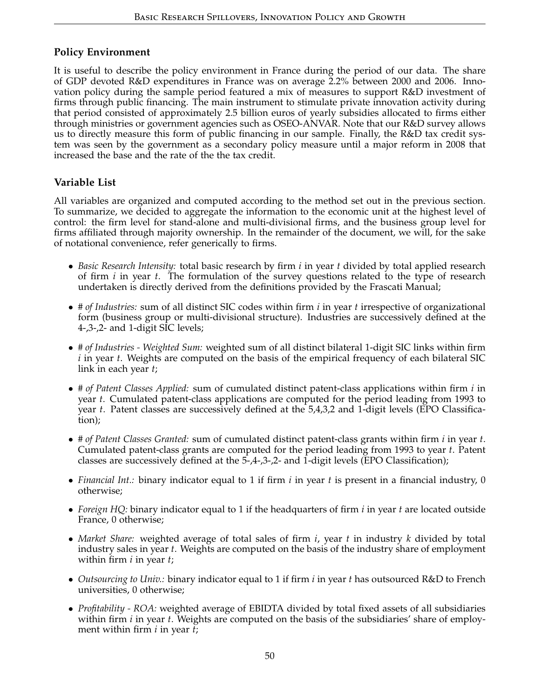## **Policy Environment**

It is useful to describe the policy environment in France during the period of our data. The share of GDP devoted R&D expenditures in France was on average 2.2% between 2000 and 2006. Innovation policy during the sample period featured a mix of measures to support R&D investment of firms through public financing. The main instrument to stimulate private innovation activity during that period consisted of approximately 2.5 billion euros of yearly subsidies allocated to firms either through ministries or government agencies such as OSEO-ANVAR. Note that our R&D survey allows us to directly measure this form of public financing in our sample. Finally, the R&D tax credit system was seen by the government as a secondary policy measure until a major reform in 2008 that increased the base and the rate of the the tax credit.

# **Variable List**

All variables are organized and computed according to the method set out in the previous section. To summarize, we decided to aggregate the information to the economic unit at the highest level of control: the firm level for stand-alone and multi-divisional firms, and the business group level for firms affiliated through majority ownership. In the remainder of the document, we will, for the sake of notational convenience, refer generically to firms.

- *Basic Research Intensity:* total basic research by firm *i* in year *t* divided by total applied research of firm *i* in year *t*. The formulation of the survey questions related to the type of research undertaken is directly derived from the definitions provided by the Frascati Manual;
- *# of Industries:* sum of all distinct SIC codes within firm *i* in year *t* irrespective of organizational form (business group or multi-divisional structure). Industries are successively defined at the 4-,3-,2- and 1-digit SIC levels;
- *# of Industries Weighted Sum:* weighted sum of all distinct bilateral 1-digit SIC links within firm *i* in year *t*. Weights are computed on the basis of the empirical frequency of each bilateral SIC link in each year *t*;
- *# of Patent Classes Applied:* sum of cumulated distinct patent-class applications within firm *i* in year *t*. Cumulated patent-class applications are computed for the period leading from 1993 to year *t*. Patent classes are successively defined at the 5,4,3,2 and 1-digit levels (EPO Classification);
- *# of Patent Classes Granted:* sum of cumulated distinct patent-class grants within firm *i* in year *t*. Cumulated patent-class grants are computed for the period leading from 1993 to year *t*. Patent classes are successively defined at the 5-,4-,3-,2- and 1-digit levels (EPO Classification);
- *Financial Int.:* binary indicator equal to 1 if firm *i* in year *t* is present in a financial industry, 0 otherwise;
- *Foreign HQ:* binary indicator equal to 1 if the headquarters of firm *i* in year *t* are located outside France, 0 otherwise;
- *Market Share:* weighted average of total sales of firm *i*, year *t* in industry *k* divided by total industry sales in year *t*. Weights are computed on the basis of the industry share of employment within firm *i* in year *t*;
- *Outsourcing to Univ.:* binary indicator equal to 1 if firm *i* in year *t* has outsourced R&D to French universities, 0 otherwise;
- *Profitability ROA:* weighted average of EBIDTA divided by total fixed assets of all subsidiaries within firm *i* in year *t*. Weights are computed on the basis of the subsidiaries' share of employment within firm *i* in year *t*;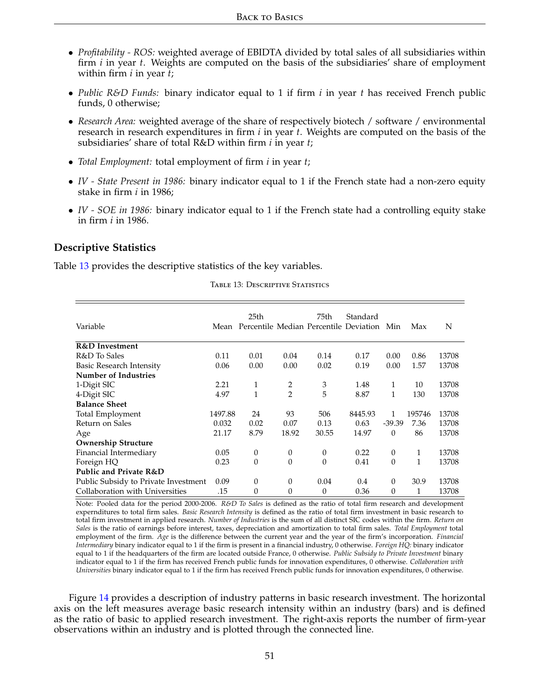- *Profitability ROS:* weighted average of EBIDTA divided by total sales of all subsidiaries within firm *i* in year *t*. Weights are computed on the basis of the subsidiaries' share of employment within firm *i* in year *t*;
- *Public R&D Funds:* binary indicator equal to 1 if firm *i* in year *t* has received French public funds, 0 otherwise;
- *Research Area:* weighted average of the share of respectively biotech / software / environmental research in research expenditures in firm *i* in year *t*. Weights are computed on the basis of the subsidiaries' share of total R&D within firm *i* in year *t*;
- *Total Employment:* total employment of firm *i* in year *t*;
- *IV State Present in 1986:* binary indicator equal to 1 if the French state had a non-zero equity stake in firm *i* in 1986;
- *IV SOE in 1986:* binary indicator equal to 1 if the French state had a controlling equity stake in firm *i* in 1986.

### **Descriptive Statistics**

<span id="page-51-0"></span>Table [13](#page-51-0) provides the descriptive statistics of the key variables.

|         | 25 <sub>th</sub>                     |                | 75th             | Standard |              | Max                                             | N     |
|---------|--------------------------------------|----------------|------------------|----------|--------------|-------------------------------------------------|-------|
|         |                                      |                |                  |          |              |                                                 |       |
| 0.11    | 0.01                                 | 0.04           | 0.14             | 0.17     | 0.00         | 0.86                                            | 13708 |
| 0.06    | 0.00                                 | 0.00           | 0.02             | 0.19     | 0.00         | 1.57                                            | 13708 |
|         |                                      |                |                  |          |              |                                                 |       |
| 2.21    | 1                                    | 2              | 3                | 1.48     | 1            | 10                                              | 13708 |
| 4.97    | 1                                    | $\overline{2}$ | 5                | 8.87     | 1            | 130                                             | 13708 |
|         |                                      |                |                  |          |              |                                                 |       |
| 1497.88 | 24                                   | 93             | 506              | 8445.93  | $\mathbf{1}$ | 195746                                          | 13708 |
| 0.032   | 0.02                                 | 0.07           | 0.13             | 0.63     | $-39.39$     | 7.36                                            | 13708 |
| 21.17   | 8.79                                 | 18.92          | 30.55            | 14.97    | $\Omega$     | 86                                              | 13708 |
|         |                                      |                |                  |          |              |                                                 |       |
| 0.05    | $\boldsymbol{0}$                     | 0              | $\boldsymbol{0}$ | 0.22     | $\theta$     | 1                                               | 13708 |
| 0.23    | $\theta$                             | $\theta$       | $\Omega$         | 0.41     | $\theta$     | 1                                               | 13708 |
|         |                                      |                |                  |          |              |                                                 |       |
| 0.09    | 0                                    | $\theta$       | 0.04             | 0.4      | $\Omega$     | 30.9                                            | 13708 |
| .15     | $\boldsymbol{0}$                     | 0              | $\boldsymbol{0}$ | 0.36     | 0            |                                                 | 13708 |
|         | Public Subsidy to Private Investment |                |                  |          |              | Mean Percentile Median Percentile Deviation Min |       |

Table 13: Descriptive Statistics

Note: Pooled data for the period 2000-2006. *R&D To Sales* is defined as the ratio of total firm research and development expernditures to total firm sales. *Basic Research Intensity* is defined as the ratio of total firm investment in basic research to total firm investment in applied research. *Number of Industries* is the sum of all distinct SIC codes within the firm. *Return on Sales* is the ratio of earnings before interest, taxes, depreciation and amortization to total firm sales. *Total Employment* total employment of the firm. *Age* is the difference between the current year and the year of the firm's incorporation. *Financial Intermediary* binary indicator equal to 1 if the firm is present in a financial industry, 0 otherwise. *Foreign HQ:* binary indicator equal to 1 if the headquarters of the firm are located outside France, 0 otherwise. *Public Subsidy to Private Investment* binary indicator equal to 1 if the firm has received French public funds for innovation expenditures, 0 otherwise. *Collaboration with Universities* binary indicator equal to 1 if the firm has received French public funds for innovation expenditures, 0 otherwise.

Figure [14](#page-52-0) provides a description of industry patterns in basic research investment. The horizontal axis on the left measures average basic research intensity within an industry (bars) and is defined as the ratio of basic to applied research investment. The right-axis reports the number of firm-year observations within an industry and is plotted through the connected line.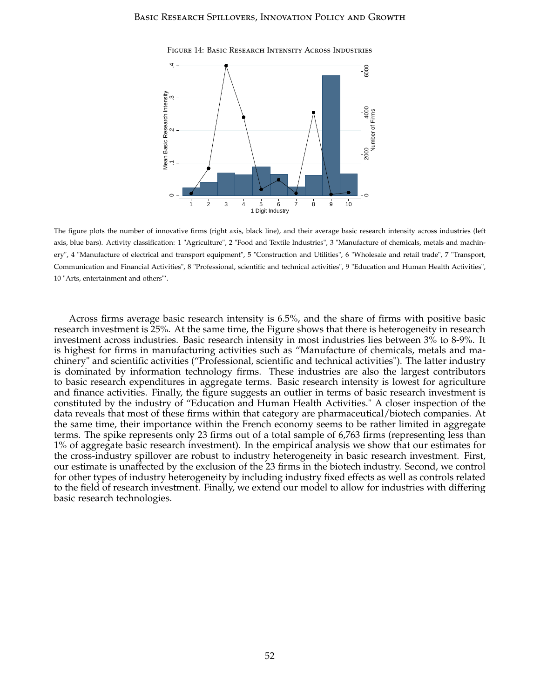

<span id="page-52-0"></span>

The figure plots the number of innovative firms (right axis, black line), and their average basic research intensity across industries (left axis, blue bars). Activity classification: 1 "Agriculture", 2 "Food and Textile Industries", 3 "Manufacture of chemicals, metals and machinery", 4 "Manufacture of electrical and transport equipment", 5 "Construction and Utilities", 6 "Wholesale and retail trade", 7 "Transport, Communication and Financial Activities", 8 "Professional, scientific and technical activities", 9 "Education and Human Health Activities", 10 "Arts, entertainment and others"'.

Across firms average basic research intensity is 6.5%, and the share of firms with positive basic research investment is 25%. At the same time, the Figure shows that there is heterogeneity in research investment across industries. Basic research intensity in most industries lies between 3% to 8-9%. It is highest for firms in manufacturing activities such as "Manufacture of chemicals, metals and machinery" and scientific activities ("Professional, scientific and technical activities"). The latter industry is dominated by information technology firms. These industries are also the largest contributors to basic research expenditures in aggregate terms. Basic research intensity is lowest for agriculture and finance activities. Finally, the figure suggests an outlier in terms of basic research investment is constituted by the industry of "Education and Human Health Activities." A closer inspection of the data reveals that most of these firms within that category are pharmaceutical/biotech companies. At the same time, their importance within the French economy seems to be rather limited in aggregate terms. The spike represents only 23 firms out of a total sample of 6,763 firms (representing less than 1% of aggregate basic research investment). In the empirical analysis we show that our estimates for the cross-industry spillover are robust to industry heterogeneity in basic research investment. First, our estimate is unaffected by the exclusion of the 23 firms in the biotech industry. Second, we control for other types of industry heterogeneity by including industry fixed effects as well as controls related to the field of research investment. Finally, we extend our model to allow for industries with differing basic research technologies.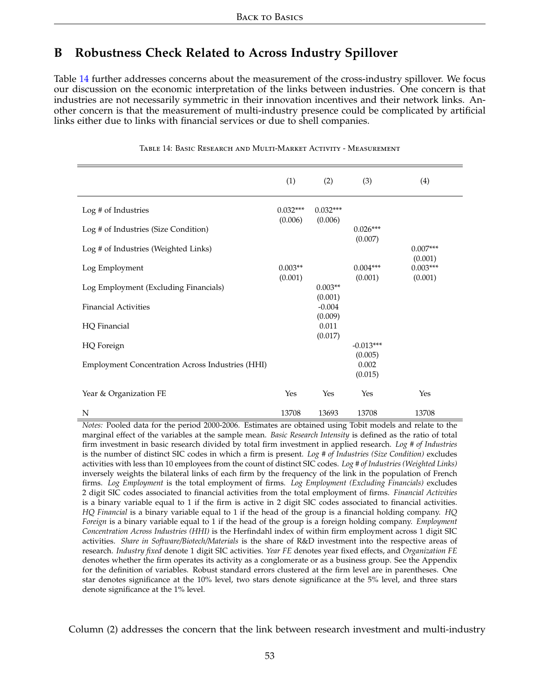# **B Robustness Check Related to Across Industry Spillover**

Table [14](#page-53-0) further addresses concerns about the measurement of the cross-industry spillover. We focus our discussion on the economic interpretation of the links between industries. One concern is that industries are not necessarily symmetric in their innovation incentives and their network links. Another concern is that the measurement of multi-industry presence could be complicated by artificial links either due to links with financial services or due to shell companies.

<span id="page-53-0"></span>

|                                                         | (1)                   | (2)                         | (3)                         | (4)                   |
|---------------------------------------------------------|-----------------------|-----------------------------|-----------------------------|-----------------------|
| Log # of Industries                                     | $0.032***$<br>(0.006) | $0.032***$<br>(0.006)       |                             |                       |
| Log # of Industries (Size Condition)                    |                       |                             | $0.026***$                  |                       |
| Log # of Industries (Weighted Links)                    |                       |                             | (0.007)                     | $0.007***$<br>(0.001) |
| Log Employment                                          | $0.003**$             |                             | $0.004***$                  | $0.003***$            |
| Log Employment (Excluding Financials)                   | (0.001)               | $0.003**$<br>(0.001)        | (0.001)                     | (0.001)               |
| <b>Financial Activities</b>                             |                       | $-0.004$                    |                             |                       |
| HQ Financial                                            |                       | (0.009)<br>0.011<br>(0.017) |                             |                       |
| HQ Foreign                                              |                       |                             | $-0.013***$                 |                       |
| <b>Employment Concentration Across Industries (HHI)</b> |                       |                             | (0.005)<br>0.002<br>(0.015) |                       |
| Year & Organization FE                                  | Yes                   | Yes                         | Yes                         | Yes                   |
| N                                                       | 13708                 | 13693                       | 13708                       | 13708                 |

Table 14: Basic Research and Multi-Market Activity - Measurement

*Notes:* Pooled data for the period 2000-2006. Estimates are obtained using Tobit models and relate to the marginal effect of the variables at the sample mean. *Basic Research Intensity* is defined as the ratio of total firm investment in basic research divided by total firm investment in applied research. *Log # of Industries* is the number of distinct SIC codes in which a firm is present. *Log # of Industries (Size Condition)* excludes activities with less than 10 employees from the count of distinct SIC codes. *Log # of Industries (Weighted Links)* inversely weights the bilateral links of each firm by the frequency of the link in the population of French firms. *Log Employment* is the total employment of firms. *Log Employment (Excluding Financials)* excludes 2 digit SIC codes associated to financial activities from the total employment of firms. *Financial Activities* is a binary variable equal to 1 if the firm is active in 2 digit SIC codes associated to financial activities. *HQ Financial* is a binary variable equal to 1 if the head of the group is a financial holding company. *HQ Foreign* is a binary variable equal to 1 if the head of the group is a foreign holding company. *Employment Concentration Across Industries (HHI)* is the Herfindahl index of within firm employment across 1 digit SIC activities. *Share in Software/Biotech/Materials* is the share of R&D investment into the respective areas of research. *Industry fixed* denote 1 digit SIC activities. *Year FE* denotes year fixed effects, and *Organization FE* denotes whether the firm operates its activity as a conglomerate or as a business group. See the Appendix for the definition of variables. Robust standard errors clustered at the firm level are in parentheses. One star denotes significance at the 10% level, two stars denote significance at the 5% level, and three stars denote significance at the 1% level.

Column (2) addresses the concern that the link between research investment and multi-industry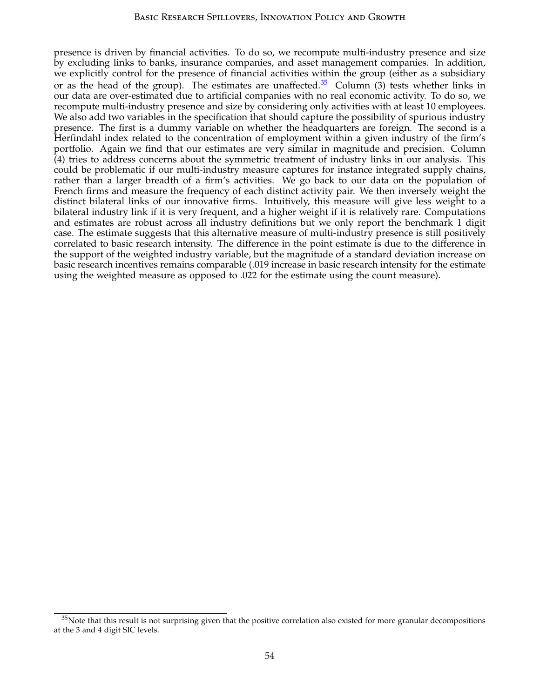presence is driven by financial activities. To do so, we recompute multi-industry presence and size by excluding links to banks, insurance companies, and asset management companies. In addition, we explicitly control for the presence of financial activities within the group (either as a subsidiary or as the head of the group). The estimates are unaffected.<sup>[35](#page-54-0)</sup> Column (3) tests whether links in our data are over-estimated due to artificial companies with no real economic activity. To do so, we recompute multi-industry presence and size by considering only activities with at least 10 employees. We also add two variables in the specification that should capture the possibility of spurious industry presence. The first is a dummy variable on whether the headquarters are foreign. The second is a Herfindahl index related to the concentration of employment within a given industry of the firm's portfolio. Again we find that our estimates are very similar in magnitude and precision. Column (4) tries to address concerns about the symmetric treatment of industry links in our analysis. This could be problematic if our multi-industry measure captures for instance integrated supply chains, rather than a larger breadth of a firm's activities. We go back to our data on the population of French firms and measure the frequency of each distinct activity pair. We then inversely weight the distinct bilateral links of our innovative firms. Intuitively, this measure will give less weight to a bilateral industry link if it is very frequent, and a higher weight if it is relatively rare. Computations and estimates are robust across all industry definitions but we only report the benchmark 1 digit case. The estimate suggests that this alternative measure of multi-industry presence is still positively correlated to basic research intensity. The difference in the point estimate is due to the difference in the support of the weighted industry variable, but the magnitude of a standard deviation increase on basic research incentives remains comparable (.019 increase in basic research intensity for the estimate using the weighted measure as opposed to .022 for the estimate using the count measure).

<span id="page-54-0"></span> $35$ Note that this result is not surprising given that the positive correlation also existed for more granular decompositions at the 3 and 4 digit SIC levels.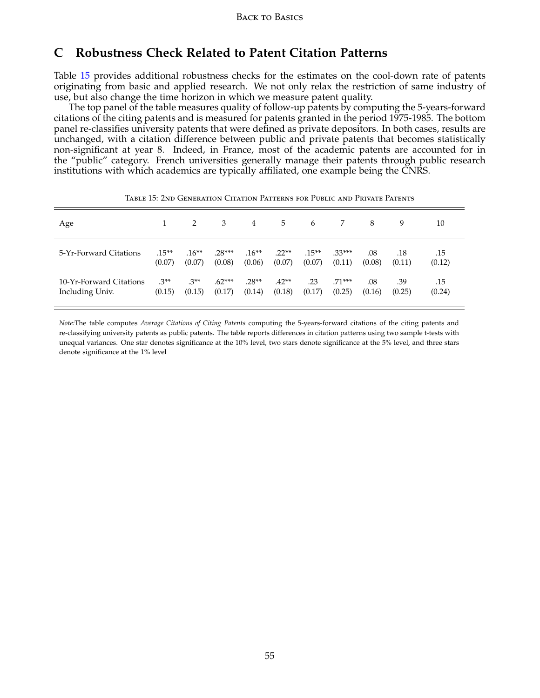# **C Robustness Check Related to Patent Citation Patterns**

Table [15](#page-55-0) provides additional robustness checks for the estimates on the cool-down rate of patents originating from basic and applied research. We not only relax the restriction of same industry of use, but also change the time horizon in which we measure patent quality.

The top panel of the table measures quality of follow-up patents by computing the 5-years-forward citations of the citing patents and is measured for patents granted in the period 1975-1985. The bottom panel re-classifies university patents that were defined as private depositors. In both cases, results are unchanged, with a citation difference between public and private patents that becomes statistically non-significant at year 8. Indeed, in France, most of the academic patents are accounted for in the "public" category. French universities generally manage their patents through public research institutions with which academics are typically affiliated, one example being the CNRS.

<span id="page-55-0"></span>

| Age                     |          | 2       | 3        | 4       | 5       | 6       | 7        | 8      | 9      | 10     |
|-------------------------|----------|---------|----------|---------|---------|---------|----------|--------|--------|--------|
| 5-Yr-Forward Citations  | $.15***$ | $.16**$ | $.28***$ | $.16**$ | $.22**$ | $.15**$ | $.33***$ | .08    | .18    | .15    |
|                         | (0.07)   | (0.07)  | (0.08)   | (0.06)  | (0.07)  | (0.07)  | (0.11)   | (0.08) | (0.11) | (0.12) |
| 10-Yr-Forward Citations | $.3**$   | $.3**$  | $.62***$ | $.28**$ | $.42**$ | .23     | $.71***$ | .08    | .39    | .15    |
| Including Univ.         | (0.15)   | (0.15)  | (0.17)   | (0.14)  | (0.18)  | (0.17)  | (0.25)   | (0.16) | (0.25) | (0.24) |

Table 15: 2nd Generation Citation Patterns for Public and Private Patents

*Note:*The table computes *Average Citations of Citing Patents* computing the 5-years-forward citations of the citing patents and re-classifying university patents as public patents. The table reports differences in citation patterns using two sample t-tests with unequal variances. One star denotes significance at the 10% level, two stars denote significance at the 5% level, and three stars denote significance at the 1% level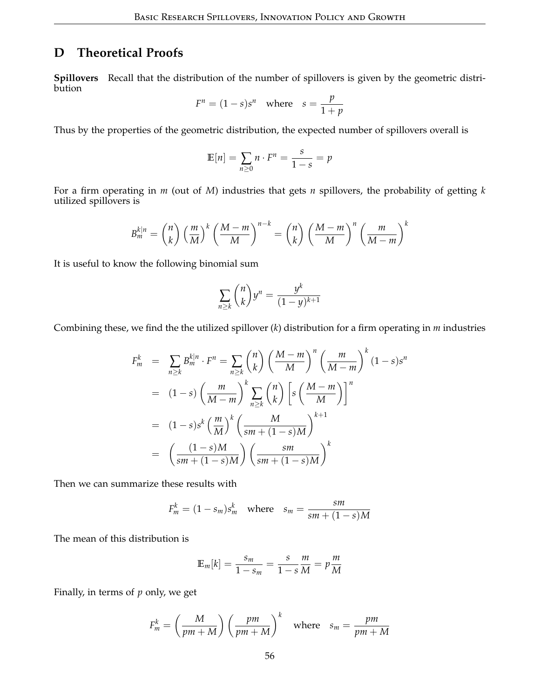# <span id="page-56-0"></span>**D Theoretical Proofs**

**Spillovers** Recall that the distribution of the number of spillovers is given by the geometric distribution

$$
F^n = (1 - s)s^n \quad \text{where} \quad s = \frac{p}{1 + p}
$$

Thus by the properties of the geometric distribution, the expected number of spillovers overall is

$$
\mathbb{E}[n] = \sum_{n\geq 0} n \cdot F^n = \frac{s}{1-s} = p
$$

For a firm operating in *m* (out of *M*) industries that gets *n* spillovers, the probability of getting *k* utilized spillovers is

$$
B_m^{k|n} = {n \choose k} \left(\frac{m}{M}\right)^k \left(\frac{M-m}{M}\right)^{n-k} = {n \choose k} \left(\frac{M-m}{M}\right)^n \left(\frac{m}{M-m}\right)^k
$$

It is useful to know the following binomial sum

$$
\sum_{n\geq k} \binom{n}{k} y^n = \frac{y^k}{(1-y)^{k+1}}
$$

Combining these, we find the the utilized spillover (*k*) distribution for a firm operating in *m* industries

$$
F_m^k = \sum_{n\geq k} B_m^{k|n} \cdot F^n = \sum_{n\geq k} {n \choose k} \left(\frac{M-m}{M}\right)^n \left(\frac{m}{M-m}\right)^k (1-s)s^n
$$
  

$$
= (1-s) \left(\frac{m}{M-m}\right)^k \sum_{n\geq k} {n \choose k} \left[s \left(\frac{M-m}{M}\right)\right]^n
$$
  

$$
= (1-s)s^k \left(\frac{m}{M}\right)^k \left(\frac{M}{sm + (1-s)M}\right)^{k+1}
$$
  

$$
= \left(\frac{(1-s)M}{sm + (1-s)M}\right) \left(\frac{sm}{sm + (1-s)M}\right)^k
$$

Then we can summarize these results with

$$
F_m^k = (1 - s_m)s_m^k \quad \text{where} \quad s_m = \frac{sm}{sm + (1 - s)M}
$$

The mean of this distribution is

$$
\mathbb{E}_m[k] = \frac{s_m}{1 - s_m} = \frac{s}{1 - s} \frac{m}{M} = p \frac{m}{M}
$$

Finally, in terms of *p* only, we get

$$
F_m^k = \left(\frac{M}{pm + M}\right) \left(\frac{pm}{pm + M}\right)^k \quad \text{where} \quad s_m = \frac{pm}{pm + M}
$$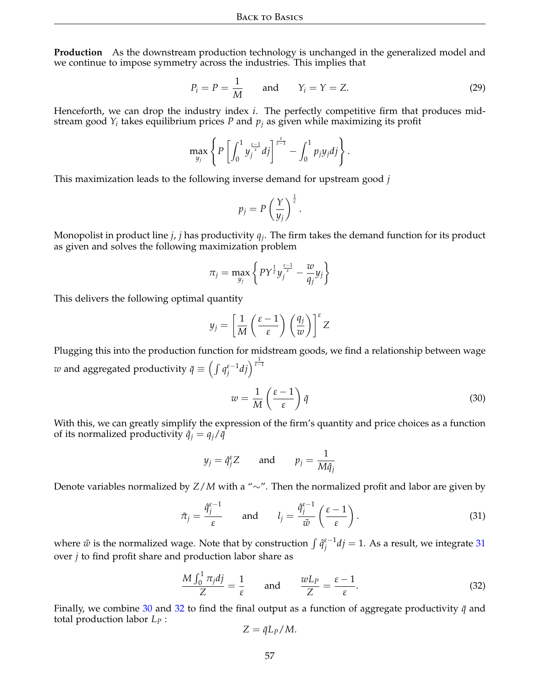**Production** As the downstream production technology is unchanged in the generalized model and we continue to impose symmetry across the industries. This implies that

$$
P_i = P = \frac{1}{M} \quad \text{and} \quad Y_i = Y = Z. \tag{29}
$$

Henceforth, we can drop the industry index *i*. The perfectly competitive firm that produces midstream good *Y<sup>i</sup>* takes equilibrium prices *P* and *p<sup>j</sup>* as given while maximizing its profit

$$
\max_{y_j} \left\{ P\left[\int_0^1 y_j^{\frac{\varepsilon-1}{\varepsilon}} dj\right]^{\frac{\varepsilon}{\varepsilon-1}} - \int_0^1 p_j y_j dj \right\}.
$$

This maximization leads to the following inverse demand for upstream good *j*

$$
p_j = P\left(\frac{\Upsilon}{y_j}\right)^{\frac{1}{\varepsilon}}.
$$

Monopolist in product line *j*, *j* has productivity *q<sup>j</sup>* . The firm takes the demand function for its product as given and solves the following maximization problem

$$
\pi_j = \max_{y_j} \left\{ PY^{\frac{1}{\varepsilon}} y_j^{\frac{\varepsilon - 1}{\varepsilon}} - \frac{w}{q_j} y_j \right\}
$$

This delivers the following optimal quantity

$$
y_j = \left[\frac{1}{M}\left(\frac{\varepsilon - 1}{\varepsilon}\right)\left(\frac{q_j}{w}\right)\right]^\varepsilon Z
$$

Plugging this into the production function for midstream goods, we find a relationship between wage *w* and aggregated productivity  $\bar{q} \equiv \left(\int q_j^{\varepsilon-1}dj\right)^{\frac{1}{\varepsilon-1}}$ 

<span id="page-57-1"></span>
$$
w = \frac{1}{M} \left( \frac{\varepsilon - 1}{\varepsilon} \right) \bar{q}
$$
\n(30)

With this, we can greatly simplify the expression of the firm's quantity and price choices as a function of its normalized productivity  $\hat{q}_j = q_j/\bar{q}$ 

$$
y_j = \hat{q}_j^{\varepsilon} Z
$$
 and  $p_j = \frac{1}{M\hat{q}_j}$ 

Denote variables normalized by *Z*/*M* with a "∼". Then the normalized profit and labor are given by

<span id="page-57-0"></span>
$$
\tilde{\pi}_j = \frac{\hat{\eta}_j^{\varepsilon - 1}}{\varepsilon} \quad \text{and} \quad l_j = \frac{\hat{\eta}_j^{\varepsilon - 1}}{\tilde{w}} \left( \frac{\varepsilon - 1}{\varepsilon} \right). \tag{31}
$$

where  $\tilde{w}$  is the normalized wage. Note that by construction  $\int \hat{q}^{c-1}_j d j = 1$ . As a result, we integrate [31](#page-57-0) over *j* to find profit share and production labor share as

<span id="page-57-2"></span>
$$
\frac{M\int_0^1 \pi_j dj}{Z} = \frac{1}{\varepsilon} \quad \text{and} \quad \frac{wL_P}{Z} = \frac{\varepsilon - 1}{\varepsilon}.
$$
 (32)

Finally, we combine [30](#page-57-1) and [32](#page-57-2) to find the final output as a function of aggregate productivity  $\bar{q}$  and total production labor *L<sup>P</sup>* :

$$
Z=\bar{q}L_P/M.
$$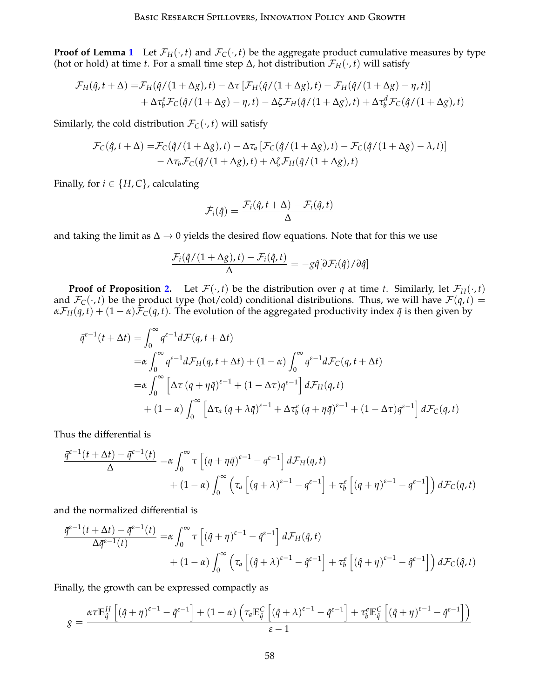**Proof of Lemma [1](#page-17-0)** Let  $\mathcal{F}_H(\cdot,t)$  and  $\mathcal{F}_C(\cdot,t)$  be the aggregate product cumulative measures by type (hot or hold) at time *t*. For a small time step  $\Delta$ , hot distribution  $\mathcal{F}_H(\cdot,t)$  will satisfy

$$
\mathcal{F}_H(\hat{q}, t + \Delta) = \mathcal{F}_H(\hat{q}/(1 + \Delta g), t) - \Delta \tau \left[ \mathcal{F}_H(\hat{q}/(1 + \Delta g), t) - \mathcal{F}_H(\hat{q}/(1 + \Delta g) - \eta, t) \right] + \Delta \tau_b^e \mathcal{F}_C(\hat{q}/(1 + \Delta g) - \eta, t) - \Delta \zeta \mathcal{F}_H(\hat{q}/(1 + \Delta g), t) + \Delta \tau_b^d \mathcal{F}_C(\hat{q}/(1 + \Delta g), t)
$$

Similarly, the cold distribution  $\mathcal{F}_C(\cdot,t)$  will satisfy

$$
\mathcal{F}_C(\hat{q}, t + \Delta) = \mathcal{F}_C(\hat{q}/(1 + \Delta g), t) - \Delta \tau_a \left[ \mathcal{F}_C(\hat{q}/(1 + \Delta g), t) - \mathcal{F}_C(\hat{q}/(1 + \Delta g) - \lambda, t) \right] - \Delta \tau_b \mathcal{F}_C(\hat{q}/(1 + \Delta g), t) + \Delta \zeta \mathcal{F}_H(\hat{q}/(1 + \Delta g), t)
$$

Finally, for  $i \in \{H, C\}$ , calculating

$$
\dot{\mathcal{F}}_i(\hat{q}) = \frac{\mathcal{F}_i(\hat{q}, t + \Delta) - \mathcal{F}_i(\hat{q}, t)}{\Delta}
$$

and taking the limit as  $\Delta \rightarrow 0$  yields the desired flow equations. Note that for this we use

$$
\frac{\mathcal{F}_i(\hat{q}/(1+\Delta g),t) - \mathcal{F}_i(\hat{q},t)}{\Delta} = -g\hat{q}[\partial \mathcal{F}_i(\hat{q})/\partial \hat{q}]
$$

**Proof of Proposition [2.](#page-17-1)** Let  $\mathcal{F}(\cdot,t)$  be the distribution over *q* at time *t*. Similarly, let  $\mathcal{F}_H(\cdot,t)$ and  $\mathcal{F}_C(\cdot,t)$  be the product type (hot/cold) conditional distributions. Thus, we will have  $\mathcal{F}(q,t)$  =  $\alpha \mathcal{F}_H(q,t) + (1-\alpha)\bar{\mathcal{F}}_C(q,t)$ . The evolution of the aggregated productivity index  $\bar{q}$  is then given by

$$
\bar{q}^{\varepsilon-1}(t + \Delta t) = \int_0^\infty q^{\varepsilon-1} d\mathcal{F}(q, t + \Delta t)
$$
  
\n
$$
= \alpha \int_0^\infty q^{\varepsilon-1} d\mathcal{F}_H(q, t + \Delta t) + (1 - \alpha) \int_0^\infty q^{\varepsilon-1} d\mathcal{F}_C(q, t + \Delta t)
$$
  
\n
$$
= \alpha \int_0^\infty \left[ \Delta \tau (q + \eta \bar{q})^{\varepsilon-1} + (1 - \Delta \tau) q^{\varepsilon-1} \right] d\mathcal{F}_H(q, t)
$$
  
\n
$$
+ (1 - \alpha) \int_0^\infty \left[ \Delta \tau_a (q + \lambda \bar{q})^{\varepsilon-1} + \Delta \tau_b^\varepsilon (q + \eta \bar{q})^{\varepsilon-1} + (1 - \Delta \tau) q^{\varepsilon-1} \right] d\mathcal{F}_C(q, t)
$$

Thus the differential is

$$
\frac{\bar{q}^{\varepsilon-1}(t+\Delta t)-\bar{q}^{\varepsilon-1}(t)}{\Delta}=\alpha\int_0^\infty\tau\left[(q+\eta\bar{q})^{\varepsilon-1}-q^{\varepsilon-1}\right]d\mathcal{F}_H(q,t)\\qquad \qquad +\left(1-\alpha\right)\int_0^\infty\left(\tau_a\left[(q+\lambda)^{\varepsilon-1}-q^{\varepsilon-1}\right]+\tau_b^{\varepsilon}\left[(q+\eta)^{\varepsilon-1}-q^{\varepsilon-1}\right]\right)d\mathcal{F}_C(q,t)
$$

and the normalized differential is

$$
\frac{\bar{q}^{\varepsilon-1}(t+\Delta t)-\bar{q}^{\varepsilon-1}(t)}{\Delta \bar{q}^{\varepsilon-1}(t)}=\alpha\int_0^\infty\tau\left[(\hat{q}+\eta)^{\varepsilon-1}-\hat{q}^{\varepsilon-1}\right]d\mathcal{F}_H(\hat{q},t) \n+\left(1-\alpha\right)\int_0^\infty\left(\tau_a\left[(\hat{q}+\lambda)^{\varepsilon-1}-\hat{q}^{\varepsilon-1}\right]+\tau_b^{\varepsilon}\left[(\hat{q}+\eta)^{\varepsilon-1}-\hat{q}^{\varepsilon-1}\right]\right)d\mathcal{F}_C(\hat{q},t)
$$

Finally, the growth can be expressed compactly as

$$
g = \frac{\alpha \tau \mathbb{E}_{\hat{q}}^H \left[ \left( \hat{q} + \eta \right)^{\varepsilon - 1} - \hat{q}^{\varepsilon - 1} \right] + (1 - \alpha) \left( \tau_a \mathbb{E}_{\hat{q}}^C \left[ \left( \hat{q} + \lambda \right)^{\varepsilon - 1} - \hat{q}^{\varepsilon - 1} \right] + \tau_b^{\varepsilon} \mathbb{E}_{\hat{q}}^C \left[ \left( \hat{q} + \eta \right)^{\varepsilon - 1} - \hat{q}^{\varepsilon - 1} \right] \right)}{\varepsilon - 1}
$$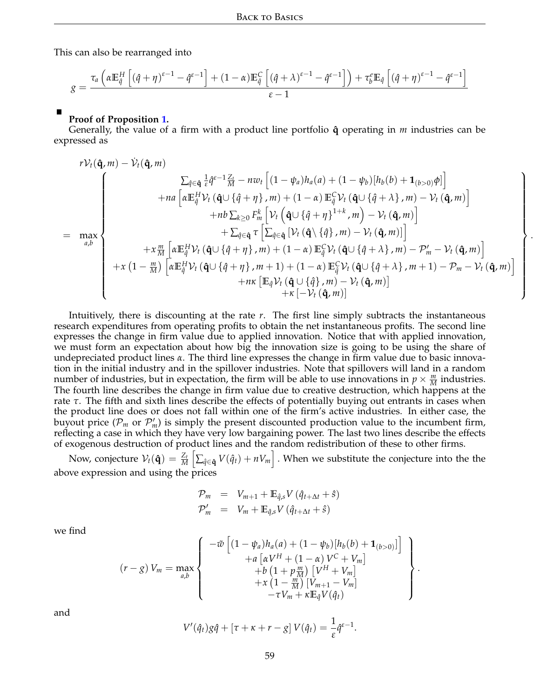This can also be rearranged into

$$
g = \frac{\tau_a \left(\alpha \mathbb{E}_{\hat{q}}^H \left[ (\hat{q} + \eta)^{\epsilon - 1} - \hat{q}^{\epsilon - 1} \right] + (1 - \alpha) \mathbb{E}_{\hat{q}}^C \left[ (\hat{q} + \lambda)^{\epsilon - 1} - \hat{q}^{\epsilon - 1} \right] \right) + \tau_b^{\epsilon} \mathbb{E}_{\hat{q}} \left[ (\hat{q} + \eta)^{\epsilon - 1} - \hat{q}^{\epsilon - 1} \right]}{\epsilon - 1}
$$

#### **Proof of Proposition [1.](#page-15-0)**

Generally, the value of a firm with a product line portfolio  $\hat{q}$  operating in *m* industries can be expressed as

$$
rV_t(\hat{\mathbf{q}}, m) - V_t(\hat{\mathbf{q}}, m)
$$
\n
$$
+ na \left[ \alpha \mathbb{E}_{\hat{q}}^H V_t(\hat{\mathbf{q}} \cup \{\hat{q} + \eta\}, m) + (1 - \alpha) \mathbb{E}_{\hat{q}}^C V_t(\hat{\mathbf{q}} \cup \{\hat{q} + \lambda\}, m) - V_t(\hat{\mathbf{q}}, m) \right]
$$
\n
$$
+ n b \sum_{k \geq 0} F_m^k \left[ V_t(\hat{\mathbf{q}} \cup \{\hat{q} + \eta\}, m) + (1 - \alpha) \mathbb{E}_{\hat{q}}^C V_t(\hat{\mathbf{q}} \cup \{\hat{q} + \lambda\}, m) - V_t(\hat{\mathbf{q}}, m) \right]
$$
\n
$$
+ nb \sum_{k \geq 0} F_m^k \left[ V_t(\hat{\mathbf{q}} \cup \{\hat{q} + \eta\}^{1+k}, m) - V_t(\hat{\mathbf{q}}, m) \right]
$$
\n
$$
+ \sum_{\hat{q} \in \hat{\mathbf{q}}} \tau \left[ \sum_{\hat{q} \in \hat{\mathbf{q}}} \left[ V_t(\hat{\mathbf{q}} \cup \{\hat{q} + \eta\}^{1+k}, m) - V_t(\hat{\mathbf{q}}, m) \right] \right]
$$
\n
$$
+ x \frac{m}{M} \left[ \alpha \mathbb{E}_{\hat{q}}^H V_t(\hat{\mathbf{q}} \cup \{\hat{q} + \eta\}, m) + (1 - \alpha) \mathbb{E}_{\hat{q}}^C V_t(\hat{\mathbf{q}} \cup \{\hat{q} + \lambda\}, m) - P_m' - V_t(\hat{\mathbf{q}}, m) \right]
$$
\n
$$
+ x \left(1 - \frac{m}{M}\right) \left[ \alpha \mathbb{E}_{\hat{q}}^H V_t(\hat{\mathbf{q}} \cup \{\hat{q} + \eta\}, m + 1) + (1 - \alpha) \mathbb{E}_{\hat{q}}^C V_t(\hat{\mathbf{q}} \cup \{\hat{q} + \lambda\}, m + 1) - P_m - V_t(\hat{\mathbf{q}}, m) \right]
$$
\n
$$
+ n \left[ \mathbb{E}_{\hat{q}} V_t(\hat{\mathbf{q}} \cup \{\hat{q}\}, m) - V_t(\hat{\mathbf{q}}, m) \right]
$$
\

 $\mathcal{L}$ 

 $\begin{array}{c} \hline \end{array}$ 

.

 $\begin{array}{c} \hline \end{array}$ 

Intuitively, there is discounting at the rate *r*. The first line simply subtracts the instantaneous research expenditures from operating profits to obtain the net instantaneous profits. The second line expresses the change in firm value due to applied innovation. Notice that with applied innovation, we must form an expectation about how big the innovation size is going to be using the share of undepreciated product lines *α*. The third line expresses the change in firm value due to basic innovation in the initial industry and in the spillover industries. Note that spillovers will land in a random number of industries, but in expectation, the firm will be able to use innovations in  $p \times \frac{m}{M}$  industries. The fourth line describes the change in firm value due to creative destruction, which happens at the rate *τ*. The fifth and sixth lines describe the effects of potentially buying out entrants in cases when the product line does or does not fall within one of the firm's active industries. In either case, the buyout price  $(\mathcal{P}_m$  or  $\mathcal{P}'_m$ ) is simply the present discounted production value to the incumbent firm, reflecting a case in which they have very low bargaining power. The last two lines describe the effects of exogenous destruction of product lines and the random redistribution of these to other firms.

Now, conjecture  $\mathcal{V}_t(\mathbf{\hat{q}})=\frac{Z_t}{M}\left[\sum_{\widehat{q}\in\mathbf{\hat{q}}}V(\widehat{q}_t)+nV_m\right]$  . When we substitute the conjecture into the the above expression and using the prices

$$
\mathcal{P}_m = V_{m+1} + \mathbb{E}_{\hat{q},s} V (\hat{q}_{t+\Delta t} + \hat{s})
$$
  

$$
\mathcal{P}_m' = V_m + \mathbb{E}_{\hat{q},s} V (\hat{q}_{t+\Delta t} + \hat{s})
$$

we find

$$
(r-g) V_m = \max_{a,b} \left\{ \begin{array}{c} -\tilde{w} \left[ (1-\psi_a) h_a(a) + (1-\psi_b) [h_b(b) + \mathbf{1}_{(b>0)}] \right] \\ +a \left[ \alpha V^H + (1-\alpha) V^C + V_m \right] \\ +b \left( 1 + p \frac{m}{M} \right) \left[ V^H + V_m \right] \\ +x \left( 1 - \frac{m}{M} \right) \left[ V_{m+1} - V_m \right] \\ -\tau V_m + \kappa \mathbb{E}_{\tilde{q}} V(\hat{q}_t) \end{array} \right\}.
$$

and

$$
V'(\hat{q}_t)g\hat{q} + [\tau + \kappa + r - g]V(\hat{q}_t) = \frac{1}{\varepsilon}\hat{q}^{\varepsilon-1}.
$$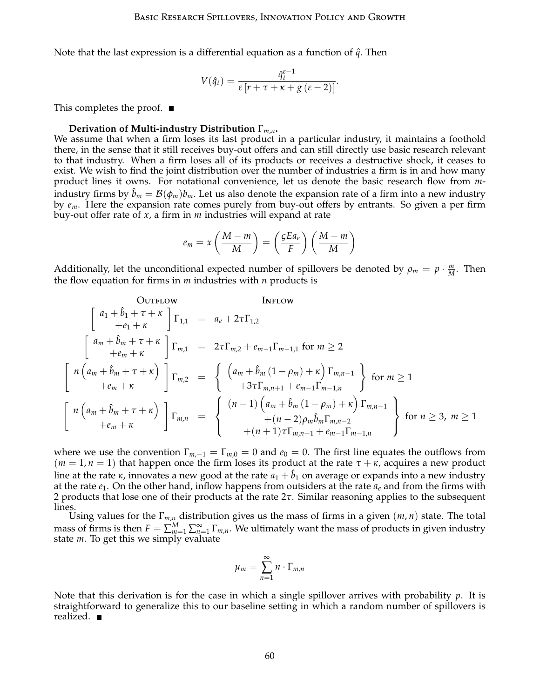Note that the last expression is a differential equation as a function of *q*ˆ. Then

$$
V(\hat{q}_t) = \frac{\hat{q}_t^{\varepsilon-1}}{\varepsilon [r + \tau + \kappa + g(\varepsilon-2)]}.
$$

This completes the proof.  $\blacksquare$ 

#### **Derivation of Multi-industry Distribution** Γ*m*,*n***.**

We assume that when a firm loses its last product in a particular industry, it maintains a foothold there, in the sense that it still receives buy-out offers and can still directly use basic research relevant to that industry. When a firm loses all of its products or receives a destructive shock, it ceases to exist. We wish to find the joint distribution over the number of industries a firm is in and how many product lines it owns. For notational convenience, let us denote the basic research flow from *m*industry firms by  $\hat{b}_m = \mathcal{B}(\phi_m) b_m$ . Let us also denote the expansion rate of a firm into a new industry by *em*. Here the expansion rate comes purely from buy-out offers by entrants. So given a per firm buy-out offer rate of *x*, a firm in *m* industries will expand at rate

$$
e_m = x \left(\frac{M-m}{M}\right) = \left(\frac{\varsigma E a_e}{F}\right) \left(\frac{M-m}{M}\right)
$$

Additionally, let the unconditional expected number of spillovers be denoted by  $\rho_m = p \cdot \frac{m}{M}$  $\frac{m}{M}$ . Then the flow equation for firms in *m* industries with *n* products is

OUTFlow

\nINFLOW

\n
$$
\begin{bmatrix}\na_1 + \hat{b}_1 + \tau + \kappa \\
+ e_1 + \kappa\n\end{bmatrix} \Gamma_{1,1} = a_e + 2\tau \Gamma_{1,2}
$$
\n
$$
\begin{bmatrix}\na_m + \hat{b}_m + \tau + \kappa \\
+ e_m + \kappa\n\end{bmatrix} \Gamma_{m,1} = 2\tau \Gamma_{m,2} + e_{m-1} \Gamma_{m-1,1} \text{ for } m \ge 2
$$
\n
$$
\begin{bmatrix}\nn\left(a_m + \hat{b}_m + \tau + \kappa\right) \\
+ e_m + \kappa\n\end{bmatrix} \Gamma_{m,2} = \begin{Bmatrix}\n\left(a_m + \hat{b}_m (1 - \rho_m) + \kappa\right) \Gamma_{m,n-1} \\
+ 3\tau \Gamma_{m,n+1} + e_{m-1} \Gamma_{m-1,n} \\
+ 4\tau \Gamma_{m,n+1} + e_{m-1} \Gamma_{m-1,n}\n\end{Bmatrix} \text{ for } m \ge 1
$$
\n
$$
\begin{bmatrix}\nn\left(a_m + \hat{b}_m + \tau + \kappa\right) \\
+ e_m + \kappa\n\end{bmatrix} \Gamma_{m,n} = \begin{Bmatrix}\n(n-1)\left(a_m + \hat{b}_m (1 - \rho_m) + \kappa\right) \Gamma_{m,n-1} \\
+(n-2)\rho_m \hat{b}_m \Gamma_{m,n-2} \\
+(n+1)\tau \Gamma_{m,n+1} + e_{m-1} \Gamma_{m-1,n}\n\end{Bmatrix} \text{ for } n \ge 3, m \ge 1
$$

where we use the convention  $\Gamma_{m-1} = \Gamma_{m,0} = 0$  and  $e_0 = 0$ . The first line equates the outflows from  $(m = 1, n = 1)$  that happen once the firm loses its product at the rate  $\tau + \kappa$ , acquires a new product line at the rate *κ*, innovates a new good at the rate  $a_1 + b_1$  on average or expands into a new industry at the rate *e*1. On the other hand, inflow happens from outsiders at the rate *a<sup>e</sup>* and from the firms with 2 products that lose one of their products at the rate 2*τ*. Similar reasoning applies to the subsequent lines.

Using values for the Γ*m*,*<sup>n</sup>* distribution gives us the mass of firms in a given (*m*, *n*) state. The total mass of firms is then  $F = \sum_{m=1}^{M} \sum_{n=1}^{\infty} \Gamma_{m,n}$ . We ultimately want the mass of products in given industry state *m*. To get this we simply evaluate

$$
\mu_m = \sum_{n=1}^{\infty} n \cdot \Gamma_{m,n}
$$

Note that this derivation is for the case in which a single spillover arrives with probability *p*. It is straightforward to generalize this to our baseline setting in which a random number of spillovers is realized.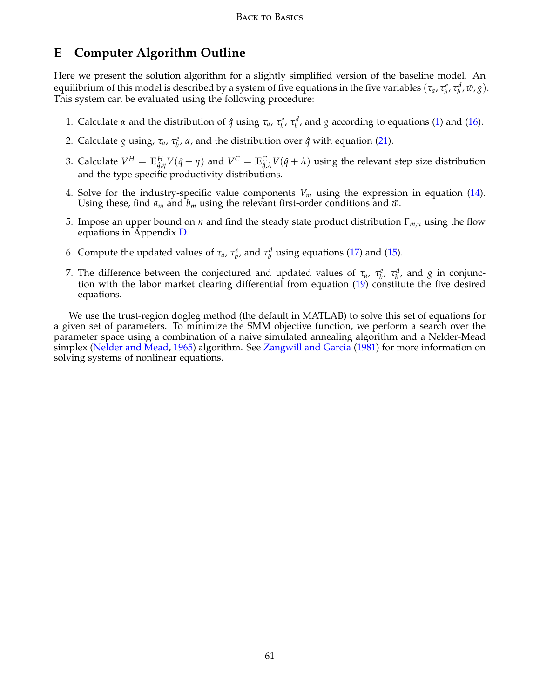# **E Computer Algorithm Outline**

Here we present the solution algorithm for a slightly simplified version of the baseline model. An equilibrium of this model is described by a system of five equations in the five variables  $(\tau_a, \tau_b^e, \tau_b^d, \tilde{w}, g)$ . This system can be evaluated using the following procedure:

- 1. Calculate *α* and the distribution of  $\hat{q}$  using  $\tau_a$ ,  $\tau_b^e$ ,  $\tau_b^d$ , and *g* according to equations [\(1\)](#page-17-0) and [\(16\)](#page-16-0).
- 2. Calculate *g* using,  $\tau_a$ ,  $\tau_b^e$ ,  $\alpha$ , and the distribution over  $\hat{q}$  with equation [\(21\)](#page-17-2).
- 3. Calculate  $V^H = \mathbb{E}^H_{\hat{q},\eta}V(\hat{q}+\eta)$  and  $V^C = \mathbb{E}^C_{\hat{q},\lambda}V(\hat{q}+\lambda)$  using the relevant step size distribution and the type-specific productivity distributions.
- 4. Solve for the industry-specific value components  $V_m$  using the expression in equation [\(14\)](#page-15-1). Using these, find  $a_m$  and  $b_m$  using the relevant first-order conditions and  $\tilde{w}$ .
- 5. Impose an upper bound on *n* and find the steady state product distribution Γ*m*,*<sup>n</sup>* using the flow equations in Appendix [D.](#page-56-0)
- 6. Compute the updated values of  $\tau_a$ ,  $\tau_b^e$ , and  $\tau_b^d$  using equations [\(17\)](#page-16-1) and [\(15\)](#page-16-2).
- 7. The difference between the conjectured and updated values of  $\tau_a$ ,  $\tau_b^e$ ,  $\tau_a^d$ , and *g* in conjunction with the labor market clearing differential from equation [\(19\)](#page-17-3) constitute the five desired equations.

We use the trust-region dogleg method (the default in MATLAB) to solve this set of equations for a given set of parameters. To minimize the SMM objective function, we perform a search over the parameter space using a combination of a naive simulated annealing algorithm and a Nelder-Mead simplex [\(Nelder and Mead,](#page-47-3) [1965\)](#page-47-3) algorithm. See [Zangwill and Garcia](#page-48-0) [\(1981\)](#page-48-0) for more information on solving systems of nonlinear equations.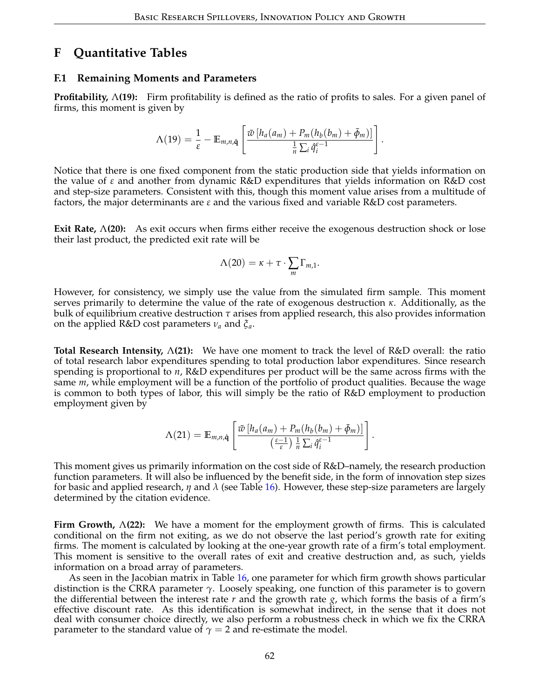# **F Quantitative Tables**

### **F.1 Remaining Moments and Parameters**

**Profitability,** Λ**(19):** Firm profitability is defined as the ratio of profits to sales. For a given panel of firms, this moment is given by

$$
\Lambda(19) = \frac{1}{\varepsilon} - \mathbb{E}_{m,n,\hat{\mathbf{q}}}\left[\frac{\tilde{w}\left[h_a(a_m) + P_m(h_b(b_m) + \bar{\phi}_m)\right]}{\frac{1}{n}\sum_i \hat{q}_i^{\varepsilon-1}}\right].
$$

Notice that there is one fixed component from the static production side that yields information on the value of *ε* and another from dynamic R&D expenditures that yields information on R&D cost and step-size parameters. Consistent with this, though this moment value arises from a multitude of factors, the major determinants are *ε* and the various fixed and variable R&D cost parameters.

**Exit Rate,** Λ**(20):** As exit occurs when firms either receive the exogenous destruction shock or lose their last product, the predicted exit rate will be

$$
\Lambda(20) = \kappa + \tau \cdot \sum_{m} \Gamma_{m,1}.
$$

However, for consistency, we simply use the value from the simulated firm sample. This moment serves primarily to determine the value of the rate of exogenous destruction *κ*. Additionally, as the bulk of equilibrium creative destruction *τ* arises from applied research, this also provides information on the applied R&D cost parameters *ν<sup>a</sup>* and *ξa*.

**Total Research Intensity,** Λ**(21):** We have one moment to track the level of R&D overall: the ratio of total research labor expenditures spending to total production labor expenditures. Since research spending is proportional to *n*, R&D expenditures per product will be the same across firms with the same *m*, while employment will be a function of the portfolio of product qualities. Because the wage is common to both types of labor, this will simply be the ratio of R&D employment to production employment given by

$$
\Lambda(21) = \mathbb{E}_{m,n,\hat{\mathbf{q}}}\left[\frac{\tilde{w}\left[h_a(a_m) + P_m(h_b(b_m) + \bar{\phi}_m)\right]}{\left(\frac{\varepsilon-1}{\varepsilon}\right)\frac{1}{n}\sum_i \hat{q}_i^{\varepsilon-1}}\right].
$$

This moment gives us primarily information on the cost side of R&D–namely, the research production function parameters. It will also be influenced by the benefit side, in the form of innovation step sizes for basic and applied research, *η* and *λ* (see Table [16\)](#page-63-0). However, these step-size parameters are largely determined by the citation evidence.

**Firm Growth,** Λ**(22):** We have a moment for the employment growth of firms. This is calculated conditional on the firm not exiting, as we do not observe the last period's growth rate for exiting firms. The moment is calculated by looking at the one-year growth rate of a firm's total employment. This moment is sensitive to the overall rates of exit and creative destruction and, as such, yields information on a broad array of parameters.

As seen in the Jacobian matrix in Table [16,](#page-63-0) one parameter for which firm growth shows particular distinction is the CRRA parameter *γ*. Loosely speaking, one function of this parameter is to govern the differential between the interest rate  $r$  and the growth rate  $g$ , which forms the basis of a firm's effective discount rate. As this identification is somewhat indirect, in the sense that it does not deal with consumer choice directly, we also perform a robustness check in which we fix the CRRA parameter to the standard value of  $\gamma = 2$  and re-estimate the model.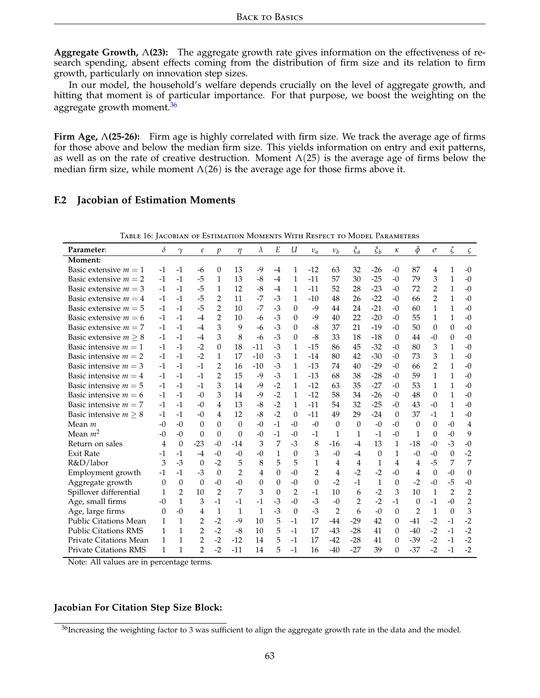**Aggregate Growth,** Λ**(23):** The aggregate growth rate gives information on the effectiveness of research spending, absent effects coming from the distribution of firm size and its relation to firm growth, particularly on innovation step sizes.

In our model, the household's welfare depends crucially on the level of aggregate growth, and hitting that moment is of particular importance. For that purpose, we boost the weighting on the aggregate growth moment.<sup>[36](#page-63-1)</sup>

**Firm Age,** Λ**(25-26):** Firm age is highly correlated with firm size. We track the average age of firms for those above and below the median firm size. This yields information on entry and exit patterns, as well as on the rate of creative destruction. Moment  $\Lambda(25)$  is the average age of firms below the median firm size, while moment  $\Lambda(26)$  is the average age for those firms above it.

### **F.2 Jacobian of Estimation Moments**

<span id="page-63-0"></span>

| Parameter:                    | δ            | $\gamma$       | ε              | p              | η              | $\lambda$    | E        | U              | $\nu_a$        | $\nu_h$        | $\zeta_a$      | $\xi_b$      | к              | $\bar{\phi}$   | $\sigma$       | ζ              | ς              |
|-------------------------------|--------------|----------------|----------------|----------------|----------------|--------------|----------|----------------|----------------|----------------|----------------|--------------|----------------|----------------|----------------|----------------|----------------|
| Moment:                       |              |                |                |                |                |              |          |                |                |                |                |              |                |                |                |                |                |
| Basic extensive $m = 1$       | $-1$         | $-1$           | -6             | $\theta$       | 13             | $-9$         | $-4$     | 1              | $-12$          | 63             | 32             | $-26$        | $-0$           | 87             | 4              | 1              | $-0$           |
| Basic extensive $m = 2$       | $-1$         | $-1$           | $-5$           | $\mathbf{1}$   | 13             | $-8$         | $-4$     | 1              | $-11$          | 57             | 30             | $-25$        | $-0$           | 79             | 3              | 1              | $-()$          |
| Basic extensive $m = 3$       | $-1$         | $-1$           | $-5$           | $\mathbf{1}$   | 12             | $-8$         | $-4$     | $\mathbf{1}$   | $-11$          | 52             | 28             | $-23$        | $-0$           | 72             | $\overline{2}$ | $\mathbf{1}$   | $-0$           |
| Basic extensive $m = 4$       | $-1$         | $-1$           | $-5$           | $\overline{2}$ | 11             | $-7$         | $-3$     | $\mathbf{1}$   | $-10$          | 48             | 26             | $-22$        | $-0$           | 66             | $\overline{2}$ | $\mathbf{1}$   | $-0$           |
| Basic extensive $m = 5$       | $-1$         | $-1$           | $-5$           | $\overline{2}$ | 10             | $-7$         | $-3$     | $\mathbf{0}$   | $-9$           | 44             | 24             | $-21$        | $-0$           | 60             | $\mathbf{1}$   | $\mathbf{1}$   | $-0$           |
| Basic extensive $m = 6$       | $-1$         | $-1$           | $-4$           | $\overline{2}$ | 10             | -6           | $-3$     | $\overline{0}$ | $-9$           | 40             | 22             | $-20$        | $-0$           | 55             | 1              | $\mathbf{1}$   | $-0$           |
| Basic extensive $m = 7$       | $-1$         | $-1$           | $-4$           | 3              | 9              | $-6$         | $-3$     | $\Omega$       | $-8$           | 37             | 21             | $-19$        | $-0$           | 50             | $\Omega$       | $\Omega$       | $-()$          |
| Basic extensive $m \geq 8$    | $-1$         | $-1$           | $-4$           | 3              | 8              | -6           | $-3$     | $\theta$       | $-8$           | 33             | 18             | $-18$        | $\theta$       | 44             | $-0$           | $\mathbf{0}$   | $-0$           |
| Basic intensive $m = 1$       | $-1$         | $-1$           | $-2$           | $\mathbf{0}$   | 18             | $-11$        | $-3$     | $\mathbf{1}$   | $-15$          | 86             | 45             | $-32$        | $-0$           | 80             | 3              | $\mathbf{1}$   | $-0$           |
| Basic intensive $m = 2$       | $-1$         | $-1$           | $-2$           | 1              | 17             | $-10$        | $-3$     | 1              | $-14$          | 80             | 42             | $-30$        | $-0$           | 73             | 3              | 1              | $-()$          |
| Basic intensive $m = 3$       | $-1$         | $-1$           | $-1$           | $\overline{2}$ | 16             | $-10$        | $-3$     | 1              | $-13$          | 74             | 40             | $-29$        | $-0$           | 66             | $\overline{2}$ | $\mathbf{1}$   | $-()$          |
| Basic intensive $m = 4$       | $-1$         | $-1$           | $-1$           | $\overline{2}$ | 15             | $-9$         | $-3$     | $\mathbf{1}$   | $-13$          | 68             | 38             | $-28$        | $-0$           | 59             | $\mathbf{1}$   | $\mathbf{1}$   | $-0$           |
| Basic intensive $m = 5$       | $-1$         | $-1$           | $-1$           | 3              | 14             | $-9$         | $-2$     | 1              | $-12$          | 63             | 35             | $-27$        | $-0$           | 53             | 1              | $\mathbf{1}$   | $-0$           |
| Basic intensive $m = 6$       | $-1$         | $-1$           | $-()$          | 3              | 14             | $-9$         | $-2$     | 1              | $-12$          | 58             | 34             | $-26$        | $-0$           | 48             | $\Omega$       | 1              | $-()$          |
| Basic intensive $m = 7$       | $-1$         | $-1$           | $-0$           | 4              | 13             | $-8$         | $-2$     | 1              | $-11$          | 54             | 32             | $-25$        | $-0$           | 43             | $-()$          | $\mathbf{1}$   | $-0$           |
| Basic intensive $m \geq 8$    | $-1$         | $-1$           | $-()$          | 4              | 12             | $-8$         | $-2$     | $\theta$       | $-11$          | 49             | 29             | $-24$        | $\mathbf{0}$   | 37             | $-1$           | $\mathbf{1}$   | $-0$           |
| Mean $m$                      | $-0$         | $-0$           | $\Omega$       | $\Omega$       | $\theta$       | $-0$         | $-1$     | $-0$           | $-0$           | $\Omega$       | $\Omega$       | $-()$        | $-0$           | $\theta$       | $\Omega$       | $-0$           | 4              |
| Mean $m2$                     | $-()$        | $-()$          | $\Omega$       | $\theta$       | $\theta$       | $-()$        | $-1$     | $-0$           | $-1$           | $\mathbf{1}$   | $\mathbf{1}$   | $-1$         | $-0$           | 1              | $\theta$       | $-0$           | 9              |
| Return on sales               | 4            | $\theta$       | $-23$          | $-0$           | $-14$          | 3            | 7        | $-3$           | 8              | $-16$          | $-4$           | 13           | $\mathbf{1}$   | $-18$          | $-0$           | $-3$           | $-0$           |
| <b>Exit Rate</b>              | $-1$         | $-1$           | $-4$           | $-0$           | $-0$           | -0           | 1        | $\mathbf{0}$   | 3              | $-0$           | $-4$           | $\theta$     | $\mathbf{1}$   | $-0$           | $-0$           | $\theta$       | $-2$           |
| R&D/labor                     | 3            | $-3$           | $\Omega$       | $-2$           | 5              | 8            | 5        | 5              | $\mathbf{1}$   | 4              | 4              | 1            | $\overline{4}$ | $\overline{4}$ | $-5$           | 7              | 7              |
| Employment growth             | $-1$         | $-1$           | $-3$           | $\mathbf{0}$   | $\overline{2}$ | 4            | $\Omega$ | $-0$           | $\overline{2}$ | 4              | $-2$           | $-2$         | $-0$           | 4              | $\Omega$       | $-0$           | $\Omega$       |
| Aggregate growth              | $\Omega$     | $\Omega$       | $\Omega$       | $-0$           | $-0$           | $\Omega$     | 0        | $-0$           | $\Omega$       | $-2$           | $-1$           | $\mathbf{1}$ | $\Omega$       | $-2$           | $-0$           | $-5$           | $-()$          |
| Spillover differential        | 1            | $\overline{2}$ | 10             | $\overline{2}$ | 7              | 3            | $\theta$ | $\overline{2}$ | $-1$           | 10             | 6              | $-2$         | 3              | 10             | 1              | $\overline{2}$ | $\overline{2}$ |
| Age, small firms              | $-0$         | $\mathbf{1}$   | 3              | $-1$           | $-1$           | $-1$         | $-3$     | $-0$           | $-3$           | $-()$          | $\overline{2}$ | $-2$         | $-1$           | $\theta$       | $-1$           | $-0$           | $\overline{2}$ |
| Age, large firms              | $\Omega$     | $-()$          | 4              | $\mathbf{1}$   | $\mathbf{1}$   | $\mathbf{1}$ | $-3$     | $\theta$       | $-3$           | $\overline{2}$ | 6              | $-0$         | $\Omega$       | $\overline{2}$ | $\mathbf{1}$   | $\Omega$       | 3              |
| <b>Public Citations Mean</b>  | $\mathbf{1}$ | 1              | $\overline{2}$ | $-2$           | $-9$           | 10           | 5        | $-1$           | 17             | $-44$          | $-29$          | 42           | $\Omega$       | $-41$          | $-2$           | $-1$           | $-2$           |
| <b>Public Citations RMS</b>   | $\mathbf{1}$ | 1              | $\overline{2}$ | $-2$           | $-8$           | 10           | 5        | $-1$           | 17             | $-43$          | $-28$          | 41           | $\theta$       | $-40$          | $-2$           | $-1$           | $-2$           |
| <b>Private Citations Mean</b> | 1            | 1              | 2              | $-2$           | $-12$          | 14           | 5        | $-1$           | 17             | $-42$          | $-28$          | 41           | $\theta$       | $-39$          | $-2$           | $-1$           | $-2$           |
| <b>Private Citations RMS</b>  | $\mathbf{1}$ | 1              | $\overline{2}$ | $-2$           | $-11$          | 14           | 5        | $-1$           | 16             | $-40$          | $-27$          | 39           | $\theta$       | $-37$          | $-2$           | $-1$           | $-2$           |

Table 16: Jacobian of Estimation Moments With Respect to Model Parameters

Note: All values are in percentage terms.

#### **Jacobian For Citation Step Size Block:**

<span id="page-63-1"></span><sup>&</sup>lt;sup>36</sup> Increasing the weighting factor to 3 was sufficient to align the aggregate growth rate in the data and the model.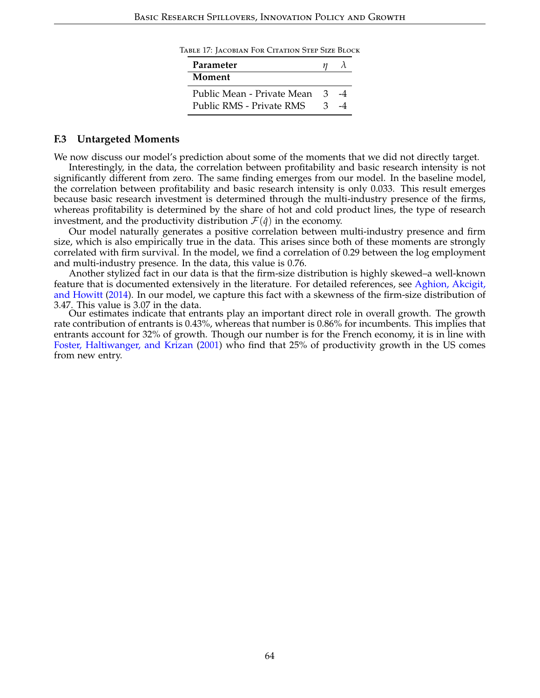| TABLE 17: JACOBIAN FOR CITATION STEP SIZE BLOCK |  |
|-------------------------------------------------|--|
|-------------------------------------------------|--|

| Parameter                  |               |    |
|----------------------------|---------------|----|
| Moment                     |               |    |
| Public Mean - Private Mean | 3             | -4 |
| Public RMS - Private RMS   | $\mathcal{L}$ |    |

### **F.3 Untargeted Moments**

We now discuss our model's prediction about some of the moments that we did not directly target.

Interestingly, in the data, the correlation between profitability and basic research intensity is not significantly different from zero. The same finding emerges from our model. In the baseline model, the correlation between profitability and basic research intensity is only 0.033. This result emerges because basic research investment is determined through the multi-industry presence of the firms, whereas profitability is determined by the share of hot and cold product lines, the type of research investment, and the productivity distribution  $\mathcal{F}(\hat{q})$  in the economy.

Our model naturally generates a positive correlation between multi-industry presence and firm size, which is also empirically true in the data. This arises since both of these moments are strongly correlated with firm survival. In the model, we find a correlation of 0.29 between the log employment and multi-industry presence. In the data, this value is 0.76.

Another stylized fact in our data is that the firm-size distribution is highly skewed–a well-known feature that is documented extensively in the literature. For detailed references, see [Aghion, Akcigit,](#page-45-2) [and Howitt](#page-45-2) [\(2014\)](#page-45-2). In our model, we capture this fact with a skewness of the firm-size distribution of 3.47. This value is 3.07 in the data.

Our estimates indicate that entrants play an important direct role in overall growth. The growth rate contribution of entrants is 0.43%, whereas that number is 0.86% for incumbents. This implies that entrants account for 32% of growth. Though our number is for the French economy, it is in line with [Foster, Haltiwanger, and Krizan](#page-46-2) [\(2001\)](#page-46-2) who find that 25% of productivity growth in the US comes from new entry.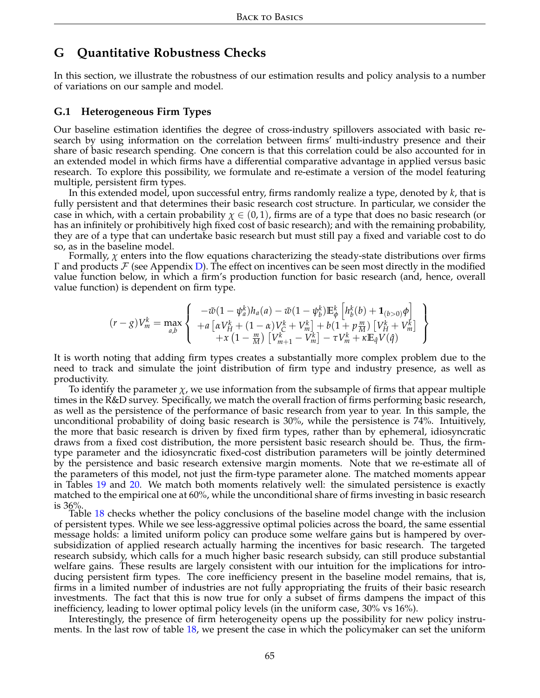### <span id="page-65-0"></span>**G Quantitative Robustness Checks**

In this section, we illustrate the robustness of our estimation results and policy analysis to a number of variations on our sample and model.

#### <span id="page-65-1"></span>**G.1 Heterogeneous Firm Types**

Our baseline estimation identifies the degree of cross-industry spillovers associated with basic research by using information on the correlation between firms' multi-industry presence and their share of basic research spending. One concern is that this correlation could be also accounted for in an extended model in which firms have a differential comparative advantage in applied versus basic research. To explore this possibility, we formulate and re-estimate a version of the model featuring multiple, persistent firm types.

In this extended model, upon successful entry, firms randomly realize a type, denoted by *k*, that is fully persistent and that determines their basic research cost structure. In particular, we consider the case in which, with a certain probability  $\chi \in (0,1)$ , firms are of a type that does no basic research (or has an infinitely or prohibitively high fixed cost of basic research); and with the remaining probability, they are of a type that can undertake basic research but must still pay a fixed and variable cost to do so, as in the baseline model.

Formally,  $\chi$  enters into the flow equations characterizing the steady-state distributions over firms  $Γ$  and products  $F$  (see Appendix [D\)](#page-56-0). The effect on incentives can be seen most directly in the modified value function below, in which a firm's production function for basic research (and, hence, overall value function) is dependent on firm type.

$$
(r-g)V_m^k = \max_{a,b} \left\{ \begin{array}{l} -\tilde{w}(1-\psi_a^k)h_a(a) - \tilde{w}(1-\psi_b^k)\mathbb{E}_{\phi}^k \left[h_b^k(b) + \mathbf{1}_{(b>0)}\phi\right] \\ +a\left[\alpha V_H^k + (1-\alpha)V_C^k + V_m^k\right] + b(1+p\frac{m}{M})\left[V_H^k + V_m^k\right] \\ +x\left(1-\frac{m}{M}\right)\left[V_{m+1}^k - V_m^k\right] - \tau V_m^k + \kappa \mathbb{E}_{\hat{q}}V(\hat{q}) \end{array} \right\}
$$

It is worth noting that adding firm types creates a substantially more complex problem due to the need to track and simulate the joint distribution of firm type and industry presence, as well as productivity.

To identify the parameter  $\chi$ , we use information from the subsample of firms that appear multiple times in the R&D survey. Specifically, we match the overall fraction of firms performing basic research, as well as the persistence of the performance of basic research from year to year. In this sample, the unconditional probability of doing basic research is 30%, while the persistence is 74%. Intuitively, the more that basic research is driven by fixed firm types, rather than by ephemeral, idiosyncratic draws from a fixed cost distribution, the more persistent basic research should be. Thus, the firmtype parameter and the idiosyncratic fixed-cost distribution parameters will be jointly determined by the persistence and basic research extensive margin moments. Note that we re-estimate all of the parameters of this model, not just the firm-type parameter alone. The matched moments appear in Tables [19](#page-66-1) and [20.](#page-67-0) We match both moments relatively well: the simulated persistence is exactly matched to the empirical one at 60%, while the unconditional share of firms investing in basic research is 36%.

Table [18](#page-66-0) checks whether the policy conclusions of the baseline model change with the inclusion of persistent types. While we see less-aggressive optimal policies across the board, the same essential message holds: a limited uniform policy can produce some welfare gains but is hampered by oversubsidization of applied research actually harming the incentives for basic research. The targeted research subsidy, which calls for a much higher basic research subsidy, can still produce substantial welfare gains. These results are largely consistent with our intuition for the implications for introducing persistent firm types. The core inefficiency present in the baseline model remains, that is, firms in a limited number of industries are not fully appropriating the fruits of their basic research investments. The fact that this is now true for only a subset of firms dampens the impact of this inefficiency, leading to lower optimal policy levels (in the uniform case, 30% vs 16%).

Interestingly, the presence of firm heterogeneity opens up the possibility for new policy instruments. In the last row of table [18,](#page-66-0) we present the case in which the policymaker can set the uniform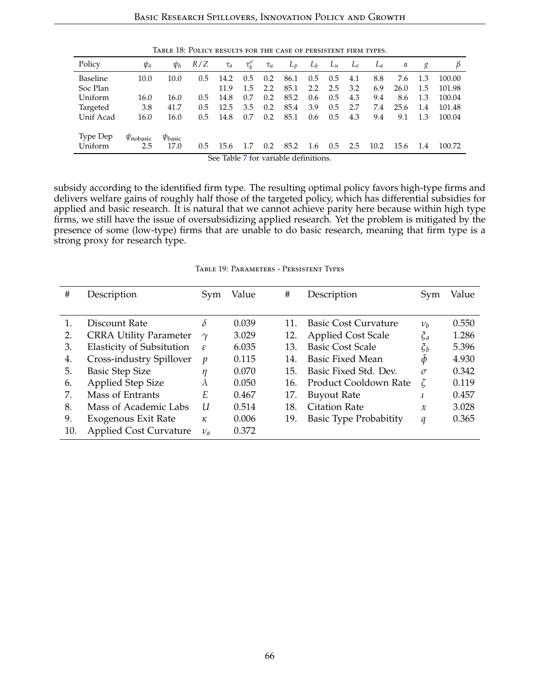<span id="page-66-0"></span>

| Policy    | $\psi_a$                              | $\psi_b$              | R/Z           | $\tau_a$ | $\tau_h^e$ | $\tau_u$ | $L_p$ | $L_b$ | $L_u$         | $L_e$ | $L_a$ | α    | g    | β      |
|-----------|---------------------------------------|-----------------------|---------------|----------|------------|----------|-------|-------|---------------|-------|-------|------|------|--------|
| Baseline  | 10.0                                  | 10.0                  | 0.5           | 14.2     | 0.5        | 0.2      | 86.1  | 0.5   | 0.5           | 4.1   | 8.8   | 7.6  | 1.3  | 100.00 |
| Soc Plan  |                                       |                       |               | 11.9     | 1.5        | 2.2      | 85.1  | 2.2   | 2.5           | 3.2   | 6.9   | 26.0 | 1.5  | 101.98 |
| Uniform   | 16.0                                  | 16.0                  | 0.5           | 14.8     | 0.7        | 0.2      | 85.2  | 0.6   | 0.5           | 4.3   | 9.4   | 8.6  | 1.3  | 100.04 |
| Targeted  | 3.8                                   | 41.7                  | 0.5           | 12.5     | 3.5        | 0.2      | 85.4  | 3.9   | 0.5           | 2.7   | 7.4   | 25.6 | 1.4  | 101.48 |
| Unif Acad | 16.0                                  | 16.0                  | 0.5           | 14.8     | 0.7        | 0.2      | 85.1  | 0.6   | 0.5           | 4.3   | 9.4   | 9.1  | 1.3  | 100.04 |
|           |                                       |                       |               |          |            |          |       |       |               |       |       |      |      |        |
| Type Dep  | $\psi_{\text{nobasic}}$               | $\psi_{\text{basic}}$ |               |          |            |          |       |       |               |       |       |      |      |        |
| Uniform   | 2.5                                   | 17.0                  | $0.5^{\circ}$ | 15.6     | 1.7        | 0.2      | 85.2  | 1.6   | $0.5^{\circ}$ | 2.5   | 10.2  | 15.6 | -1.4 | 100.72 |
|           | See Table 7 for variable definitions. |                       |               |          |            |          |       |       |               |       |       |      |      |        |

Table 18: Policy results for the case of persistent firm types.

subsidy according to the identified firm type. The resulting optimal policy favors high-type firms and delivers welfare gains of roughly half those of the targeted policy, which has differential subsidies for applied and basic research. It is natural that we cannot achieve parity here because within high type firms, we still have the issue of oversubsidizing applied research. Yet the problem is mitigated by the presence of some (low-type) firms that are unable to do basic research, meaning that firm type is a strong proxy for research type.

<span id="page-66-1"></span>

| #   | Description                      | Sym           | Value | #               | Description                 | Sym               | Value |
|-----|----------------------------------|---------------|-------|-----------------|-----------------------------|-------------------|-------|
|     |                                  |               |       |                 |                             |                   |       |
|     | Discount Rate                    | δ             | 0.039 | 11 <sub>1</sub> | <b>Basic Cost Curvature</b> | $\nu_h$           | 0.550 |
| 2.  | <b>CRRA Utility Parameter</b>    | $\gamma$      | 3.029 | 12.             | <b>Applied Cost Scale</b>   | $\tilde{\zeta}_a$ | 1.286 |
| 3.  | <b>Elasticity of Subsitution</b> | ε             | 6.035 | 13.             | <b>Basic Cost Scale</b>     | $\mathfrak{F}_b$  | 5.396 |
| 4.  | Cross-industry Spillover         | $\mathcal{D}$ | 0.115 | 14.             | Basic Fixed Mean            | Φ                 | 4.930 |
| 5.  | <b>Basic Step Size</b>           | п             | 0.070 | 15.             | Basic Fixed Std. Dev.       | $\sigma$          | 0.342 |
| 6.  | <b>Applied Step Size</b>         | $\Lambda$     | 0.050 | 16.             | Product Cooldown Rate       |                   | 0.119 |
| 7.  | Mass of Entrants                 | E             | 0.467 | 17.             | <b>Buyout Rate</b>          |                   | 0.457 |
| 8.  | Mass of Academic Labs            | U             | 0.514 | 18.             | <b>Citation Rate</b>        | $\chi$            | 3.028 |
| 9.  | Exogenous Exit Rate              | к             | 0.006 | 19.             | Basic Type Probabitity      | q                 | 0.365 |
| 10. | <b>Applied Cost Curvature</b>    | $\nu_a$       | 0.372 |                 |                             |                   |       |

Table 19: Parameters - Persistent Types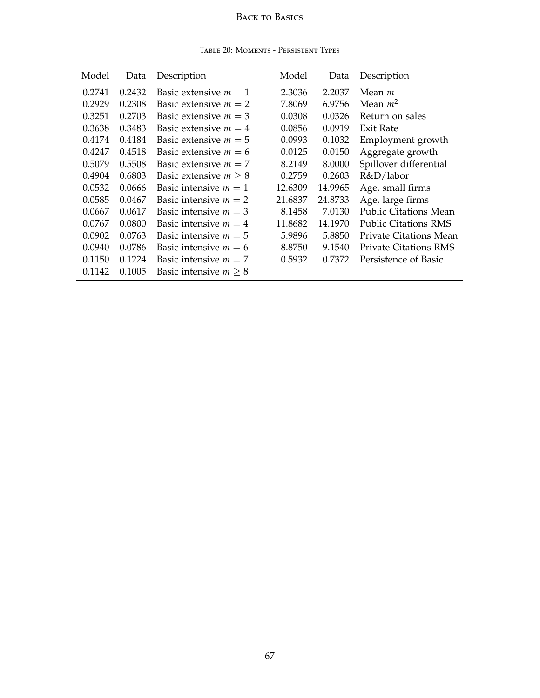<span id="page-67-0"></span>

| Model  | Data   | Description                | Model   | Data    | Description                   |
|--------|--------|----------------------------|---------|---------|-------------------------------|
| 0.2741 | 0.2432 | Basic extensive $m = 1$    | 2.3036  | 2.2037  | Mean <i>m</i>                 |
| 0.2929 | 0.2308 | Basic extensive $m = 2$    | 7.8069  | 6.9756  | Mean $m^2$                    |
| 0.3251 | 0.2703 | Basic extensive $m = 3$    | 0.0308  | 0.0326  | Return on sales               |
| 0.3638 | 0.3483 | Basic extensive $m = 4$    | 0.0856  | 0.0919  | Exit Rate                     |
| 0.4174 | 0.4184 | Basic extensive $m = 5$    | 0.0993  | 0.1032  | Employment growth             |
| 0.4247 | 0.4518 | Basic extensive $m = 6$    | 0.0125  | 0.0150  | Aggregate growth              |
| 0.5079 | 0.5508 | Basic extensive $m = 7$    | 8.2149  | 8.0000  | Spillover differential        |
| 0.4904 | 0.6803 | Basic extensive $m \geq 8$ | 0.2759  | 0.2603  | R&D/labor                     |
| 0.0532 | 0.0666 | Basic intensive $m = 1$    | 12.6309 | 14.9965 | Age, small firms              |
| 0.0585 | 0.0467 | Basic intensive $m = 2$    | 21.6837 | 24.8733 | Age, large firms              |
| 0.0667 | 0.0617 | Basic intensive $m = 3$    | 8.1458  | 7.0130  | <b>Public Citations Mean</b>  |
| 0.0767 | 0.0800 | Basic intensive $m = 4$    | 11.8682 | 14.1970 | <b>Public Citations RMS</b>   |
| 0.0902 | 0.0763 | Basic intensive $m = 5$    | 5.9896  | 5.8850  | <b>Private Citations Mean</b> |
| 0.0940 | 0.0786 | Basic intensive $m = 6$    | 8.8750  | 9.1540  | <b>Private Citations RMS</b>  |
| 0.1150 | 0.1224 | Basic intensive $m = 7$    | 0.5932  | 0.7372  | Persistence of Basic          |
| 0.1142 | 0.1005 | Basic intensive $m \geq 8$ |         |         |                               |

Table 20: Moments - Persistent Types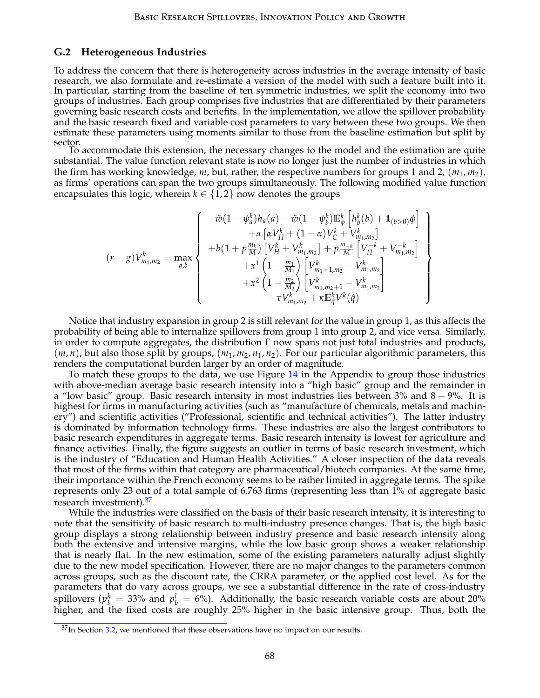### <span id="page-68-0"></span>**G.2 Heterogeneous Industries**

To address the concern that there is heterogeneity across industries in the average intensity of basic research, we also formulate and re-estimate a version of the model with such a feature built into it. In particular, starting from the baseline of ten symmetric industries, we split the economy into two groups of industries. Each group comprises five industries that are differentiated by their parameters governing basic research costs and benefits. In the implementation, we allow the spillover probability and the basic research fixed and variable cost parameters to vary between these two groups. We then estimate these parameters using moments similar to those from the baseline estimation but split by sector.

To accommodate this extension, the necessary changes to the model and the estimation are quite substantial. The value function relevant state is now no longer just the number of industries in which the firm has working knowledge, *m*, but, rather, the respective numbers for groups 1 and 2, (*m*1, *m*2), as firms' operations can span the two groups simultaneously. The following modified value function encapsulates this logic, wherein  $k \in \{1, 2\}$  now denotes the groups

$$
(r-g)V_{m_1,m_2}^k = \max_{a,b} \left\{\begin{array}{c} -\tilde{w}(1-\psi_a^k)h_a(a)-\tilde{w}(1-\psi_b^k)\mathbb{E}_{\phi}^k \left[h_b^k(b)+\mathbf{1}_{(b>0)}\phi\right] \\ +a\left[\alpha V_H^k+(1-\alpha)V_C^k+V_{m_1,m_2}^k\right] \\ +b(1+p\frac{m_k}{M})\left[V_H^k+V_{m_1,m_2}^k\right]+p\frac{m_{-k}}{M}\left[V_H^{-k}+V_{m_1,m_2}\right] \\ +x^1\left(1-\frac{m_1}{M_1}\right)\left[V_{m_1+1,m_2}^k-V_{m_1,m_2}^k\right] \\ +x^2\left(1-\frac{m_2}{M_2}\right)\left[V_{m_1,m_2+1}^k-V_{m_1,m_2}^k\right] \\ -\tau V_{m_1,m_2}^k+\kappa \mathbb{E}_{\hat{q}}^k V^k(\hat{q}) \end{array}\right\}
$$

Notice that industry expansion in group 2 is still relevant for the value in group 1, as this affects the probability of being able to internalize spillovers from group 1 into group 2, and vice versa. Similarly, in order to compute aggregates, the distribution  $\Gamma$  now spans not just total industries and products,  $(m, n)$ , but also those split by groups,  $(m_1, m_2, n_1, n_2)$ . For our particular algorithmic parameters, this renders the computational burden larger by an order of magnitude.

To match these groups to the data, we use Figure [14](#page-52-0) in the Appendix to group those industries with above-median average basic research intensity into a "high basic" group and the remainder in a "low basic" group. Basic research intensity in most industries lies between 3% and 8 − 9%. It is highest for firms in manufacturing activities (such as "manufacture of chemicals, metals and machinery") and scientific activities ("Professional, scientific and technical activities"). The latter industry is dominated by information technology firms. These industries are also the largest contributors to basic research expenditures in aggregate terms. Basic research intensity is lowest for agriculture and finance activities. Finally, the figure suggests an outlier in terms of basic research investment, which is the industry of "Education and Human Health Activities." A closer inspection of the data reveals that most of the firms within that category are pharmaceutical/biotech companies. At the same time, their importance within the French economy seems to be rather limited in aggregate terms. The spike represents only 23 out of a total sample of 6,763 firms (representing less than 1% of aggregate basic research investment).  $37$ 

While the industries were classified on the basis of their basic research intensity, it is interesting to note that the sensitivity of basic research to multi-industry presence changes. That is, the high basic group displays a strong relationship between industry presence and basic research intensity along both the extensive and intensive margins, while the low basic group shows a weaker relationship that is nearly flat. In the new estimation, some of the existing parameters naturally adjust slightly due to the new model specification. However, there are no major changes to the parameters common across groups, such as the discount rate, the CRRA parameter, or the applied cost level. As for the parameters that do vary across groups, we see a substantial difference in the rate of cross-industry spillovers ( $p_b^h = 33\%$  and  $p_b^l = 6\%$ ). Additionally, the basic research variable costs are about 20% higher, and the fixed costs are roughly 25% higher in the basic intensive group. Thus, both the

<span id="page-68-1"></span> $37$ In Section [3.2,](#page-23-0) we mentioned that these observations have no impact on our results.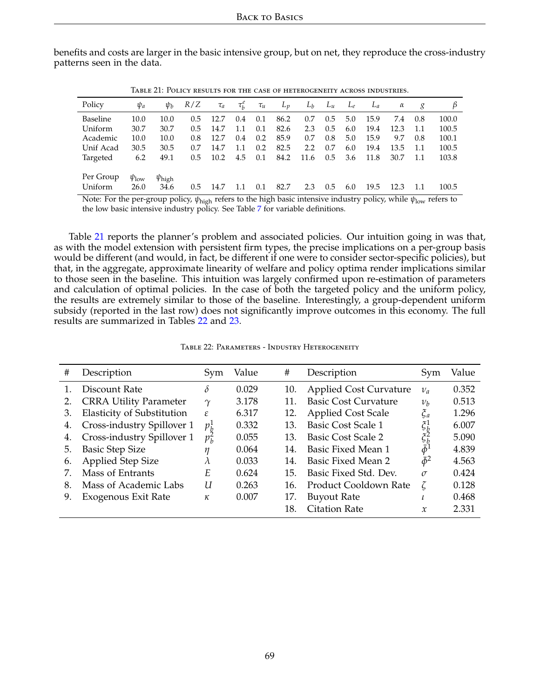benefits and costs are larger in the basic intensive group, but on net, they reproduce the cross-industry patterns seen in the data.

<span id="page-69-0"></span>

| Policy                                                                                                                                                                                                                            | $\psi_a$            | $\psi_b$             | R/Z           | $\tau_a$ | $\tau_h^e$ | $\tau_u$ | $L_p$ | $L_b$ | $L_u$ | $L_{\ell}$ | $L_a$ | α    | g    | β                    |
|-----------------------------------------------------------------------------------------------------------------------------------------------------------------------------------------------------------------------------------|---------------------|----------------------|---------------|----------|------------|----------|-------|-------|-------|------------|-------|------|------|----------------------|
| <b>Baseline</b>                                                                                                                                                                                                                   | 10.0                | 10.0                 | $0.5^{\circ}$ | 12.7     | 0.4        | 0.1      | 86.2  | 0.7   | 0.5   | 5.0        | 15.9  | 7.4  | 0.8  | 100.0                |
| Uniform                                                                                                                                                                                                                           | 30.7                | 30.7                 | 0.5           | 14.7     | 1.1        | 0.1      | 82.6  | 2.3   | 0.5   | 6.0        | 19.4  | 12.3 | 1.1  | 100.5                |
| Academic                                                                                                                                                                                                                          | 10.0                | 10.0                 | 0.8           | 12.7     | 0.4        | 0.2      | 85.9  | 0.7   | 0.8   | 5.0        | 15.9  | 9.7  | 0.8  | 100.1                |
| Unif Acad                                                                                                                                                                                                                         | 30.5                | 30.5                 | 0.7           | 14.7     | 1.1        | 0.2      | 82.5  | 2.2   | 0.7   | 6.0        | 19.4  | 13.5 | -1.1 | 100.5                |
| Targeted                                                                                                                                                                                                                          | 6.2                 | 49.1                 | 0.5           | 10.2     | 4.5        | 0.1      | 84.2  | 11.6  | 0.5   | 3.6        | 11.8  | 30.7 | 1.1  | 103.8                |
|                                                                                                                                                                                                                                   |                     |                      |               |          |            |          |       |       |       |            |       |      |      |                      |
| Per Group                                                                                                                                                                                                                         | $\psi_{\text{low}}$ | $\psi_{\text{high}}$ |               |          |            |          |       |       |       |            |       |      |      |                      |
| Uniform                                                                                                                                                                                                                           | 26.0                | 34.6                 | $0.5^{\circ}$ | 14.7     | 1.1        | 0.1      | 82.7  | 2.3   | 0.5   | 6.0        | 19.5  | 12.3 | 1.1  | 100.5                |
| $\mathbf{M}$ , and the state of the state of the state of the state of the state of the state of the state of the state of the state of the state of the state of the state of the state of the state of the state of the state o |                     |                      |               |          |            |          |       |       |       |            |       |      |      | $\sim$ $\sim$ $\sim$ |

Table 21: Policy results for the case of heterogeneity across industries.

Note: For the per-group policy, *ψ*high refers to the high basic intensive industry policy, while *ψ*low refers to the low basic intensive industry policy. See Table [7](#page-36-2) for variable definitions.

Table [21](#page-69-0) reports the planner's problem and associated policies. Our intuition going in was that, as with the model extension with persistent firm types, the precise implications on a per-group basis would be different (and would, in fact, be different if one were to consider sector-specific policies), but that, in the aggregate, approximate linearity of welfare and policy optima render implications similar to those seen in the baseline. This intuition was largely confirmed upon re-estimation of parameters and calculation of optimal policies. In the case of both the targeted policy and the uniform policy, the results are extremely similar to those of the baseline. Interestingly, a group-dependent uniform subsidy (reported in the last row) does not significantly improve outcomes in this economy. The full results are summarized in Tables [22](#page-69-1) and [23.](#page-70-0)

| TABLE 22: PARAMETERS - INDUSTRY HETEROGENEITY |  |
|-----------------------------------------------|--|
|                                               |  |

<span id="page-69-1"></span>

| #  | Description                       | Sym      | Value | #   | Description                   | Sym                 | Value |
|----|-----------------------------------|----------|-------|-----|-------------------------------|---------------------|-------|
|    | Discount Rate                     | $\delta$ | 0.029 | 10. | <b>Applied Cost Curvature</b> | $v_a$               | 0.352 |
| 2. | <b>CRRA Utility Parameter</b>     | $\gamma$ | 3.178 | 11. | <b>Basic Cost Curvature</b>   | $\nu_h$             | 0.513 |
| 3. | <b>Elasticity of Substitution</b> | ε        | 6.317 | 12. | <b>Applied Cost Scale</b>     | $\xi_a$             | 1.296 |
| 4. | Cross-industry Spillover 1        | $p_b$    | 0.332 | 13. | Basic Cost Scale 1            | $\tilde{\zeta}_h^1$ | 6.007 |
| 4. | Cross-industry Spillover 1        | $p_h^2$  | 0.055 | 13. | <b>Basic Cost Scale 2</b>     |                     | 5.090 |
| 5. | <b>Basic Step Size</b>            | п        | 0.064 | 14. | Basic Fixed Mean 1            |                     | 4.839 |
| 6. | <b>Applied Step Size</b>          | λ        | 0.033 | 14. | Basic Fixed Mean 2            | $\bar{\phi}^2$      | 4.563 |
|    | Mass of Entrants                  | E        | 0.624 | 15. | Basic Fixed Std. Dev.         | $\sigma$            | 0.424 |
| 8. | Mass of Academic Labs             | U        | 0.263 | 16. | Product Cooldown Rate         |                     | 0.128 |
| 9. | Exogenous Exit Rate               | κ        | 0.007 | 17. | <b>Buyout Rate</b>            |                     | 0.468 |
|    |                                   |          |       | 18. | <b>Citation Rate</b>          | $\chi$              | 2.331 |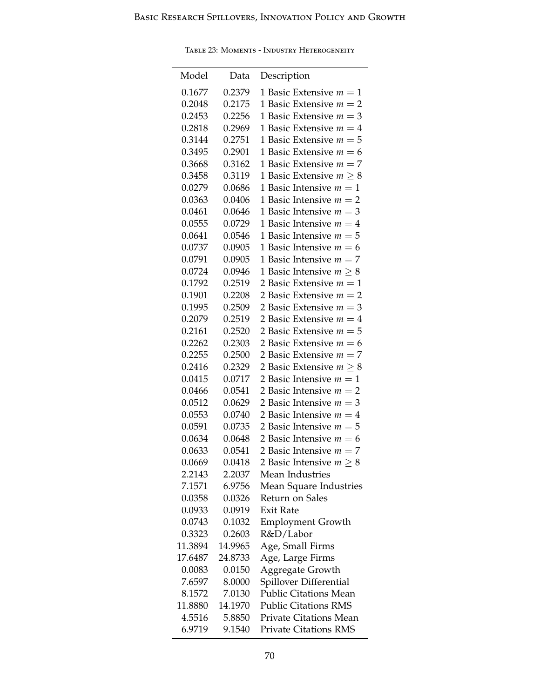<span id="page-70-0"></span>

| Model              | Data               | Description                      |
|--------------------|--------------------|----------------------------------|
| 0.1677             | 0.2379             | 1 Basic Extensive $m = 1$        |
| 0.2048             | 0.2175             | 1 Basic Extensive $m = 2$        |
| 0.2453             | 0.2256             | 1 Basic Extensive $m = 3$        |
| 0.2818             | 0.2969             | 1 Basic Extensive $m = 4$        |
| 0.3144             | 0.2751             | 1 Basic Extensive $m = 5$        |
| 0.3495             | 0.2901             | 1 Basic Extensive $m = 6$        |
| 0.3668             | 0.3162             | 1 Basic Extensive $m = 7$        |
| 0.3458             | 0.3119             | 1 Basic Extensive $m > 8$        |
| 0.0279             | 0.0686             | 1 Basic Intensive $m = 1$        |
| 0.0363             | 0.0406             | 1 Basic Intensive $m = 2$        |
| 0.0461             | 0.0646             | 1 Basic Intensive $m = 3$        |
| 0.0555             | 0.0729             | 1 Basic Intensive $m = 4$        |
| 0.0641             | 0.0546             | 1 Basic Intensive $m = 5$        |
| 0.0737             | 0.0905             | 1 Basic Intensive $m = 6$        |
| 0.0791             | 0.0905             | 1 Basic Intensive $m = 7$        |
| 0.0724             | 0.0946             | 1 Basic Intensive $m \geq$<br>-8 |
| 0.1792             | 0.2519             | 2 Basic Extensive $m = 1$        |
| 0.1901             | 0.2208             | 2 Basic Extensive $m = 2$        |
| 0.1995             | 0.2509             | 2 Basic Extensive $m = 3$        |
| 0.2079             | 0.2519             | 2 Basic Extensive $m = 4$        |
| 0.2161             | 0.2520             | 2 Basic Extensive $m = 5$        |
| 0.2262             | 0.2303             | 2 Basic Extensive $m = 6$        |
| 0.2255             | 0.2500             | 2 Basic Extensive $m = 7$        |
| 0.2416             | 0.2329             | 2 Basic Extensive $m >$<br>-8    |
| 0.0415             | 0.0717             | 2 Basic Intensive $m = 1$        |
| 0.0466             | 0.0541             | 2 Basic Intensive $m = 2$        |
| 0.0512             | 0.0629             | 2 Basic Intensive $m = 3$        |
| 0.0553             | 0.0740             | 2 Basic Intensive $m = 4$        |
| 0.0591             | 0.0735             | 2 Basic Intensive $m = 5$        |
| 0.0634             | 0.0648             | 2 Basic Intensive $m = 6$        |
| 0.0633             | 0.0541             | 2 Basic Intensive $m = 7$        |
| 0.0669             | 0.0418             | 2 Basic Intensive $m \geq 8$     |
| 2.2143             | 2.2037             | <b>Mean Industries</b>           |
| 7.1571             | 6.9756             | Mean Square Industries           |
| 0.0358             | 0.0326             | Return on Sales                  |
| 0.0933             | 0.0919             | <b>Exit Rate</b>                 |
| 0.0743             | 0.1032             | <b>Employment Growth</b>         |
| 0.3323             | 0.2603             | R&D/Labor                        |
|                    |                    |                                  |
| 11.3894<br>17.6487 | 14.9965<br>24.8733 | Age, Small Firms                 |
|                    |                    | Age, Large Firms                 |
| 0.0083             | 0.0150             | <b>Aggregate Growth</b>          |
| 7.6597             | 8.0000             | Spillover Differential           |
| 8.1572             | 7.0130             | <b>Public Citations Mean</b>     |
| 11.8880            | 14.1970            | <b>Public Citations RMS</b>      |
| 4.5516             | 5.8850             | <b>Private Citations Mean</b>    |
| 6.9719             | 9.1540             | <b>Private Citations RMS</b>     |

Table 23: Moments - Industry Heterogeneity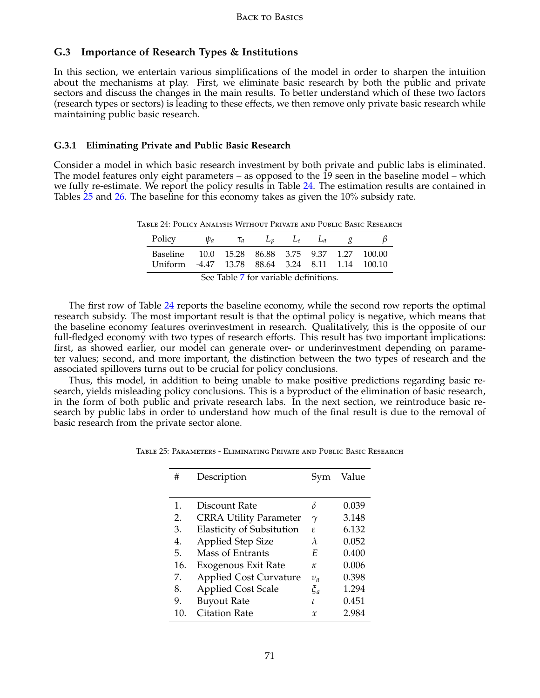### <span id="page-71-1"></span>**G.3 Importance of Research Types & Institutions**

In this section, we entertain various simplifications of the model in order to sharpen the intuition about the mechanisms at play. First, we eliminate basic research by both the public and private sectors and discuss the changes in the main results. To better understand which of these two factors (research types or sectors) is leading to these effects, we then remove only private basic research while maintaining public basic research.

#### **G.3.1 Eliminating Private and Public Basic Research**

<span id="page-71-0"></span>Consider a model in which basic research investment by both private and public labs is eliminated. The model features only eight parameters – as opposed to the 19 seen in the baseline model – which we fully re-estimate. We report the policy results in Table [24.](#page-71-0) The estimation results are contained in Tables [25](#page-71-2) and [26.](#page-72-1) The baseline for this economy takes as given the 10% subsidy rate.

|--|

| Policy                                          | $\psi_a$ | $\tau_a$ | $L_n$ | $L_{\rho}$ |  |  |
|-------------------------------------------------|----------|----------|-------|------------|--|--|
| Baseline 10.0 15.28 86.88 3.75 9.37 1.27 100.00 |          |          |       |            |  |  |
| Uniform -4.47 13.78 88.64 3.24 8.11 1.14 100.10 |          |          |       |            |  |  |

See Table [7](#page-36-2) for variable definitions.

The first row of Table [24](#page-71-0) reports the baseline economy, while the second row reports the optimal research subsidy. The most important result is that the optimal policy is negative, which means that the baseline economy features overinvestment in research. Qualitatively, this is the opposite of our full-fledged economy with two types of research efforts. This result has two important implications: first, as showed earlier, our model can generate over- or underinvestment depending on parameter values; second, and more important, the distinction between the two types of research and the associated spillovers turns out to be crucial for policy conclusions.

<span id="page-71-2"></span>Thus, this model, in addition to being unable to make positive predictions regarding basic research, yields misleading policy conclusions. This is a byproduct of the elimination of basic research, in the form of both public and private research labs. In the next section, we reintroduce basic research by public labs in order to understand how much of the final result is due to the removal of basic research from the private sector alone.

| #   | Description                      | Svm       | Value |
|-----|----------------------------------|-----------|-------|
|     |                                  |           |       |
| 1.  | Discount Rate                    | δ         | 0.039 |
| 2.  | <b>CRRA Utility Parameter</b>    | $\gamma$  | 3.148 |
| 3.  | <b>Elasticity of Subsitution</b> | £.        | 6.132 |
| 4.  | <b>Applied Step Size</b>         | $\lambda$ | 0.052 |
| 5.  | Mass of Entrants                 | E         | 0.400 |
| 16. | Exogenous Exit Rate              | ĸ         | 0.006 |
| 7.  | <b>Applied Cost Curvature</b>    | $v_a$     | 0.398 |
| 8.  | <b>Applied Cost Scale</b>        | $\zeta_a$ | 1.294 |
| 9.  | <b>Buyout Rate</b>               | L         | 0.451 |
| 10. | Citation Rate                    | $\chi$    | 2.984 |

Table 25: Parameters - Eliminating Private and Public Basic Research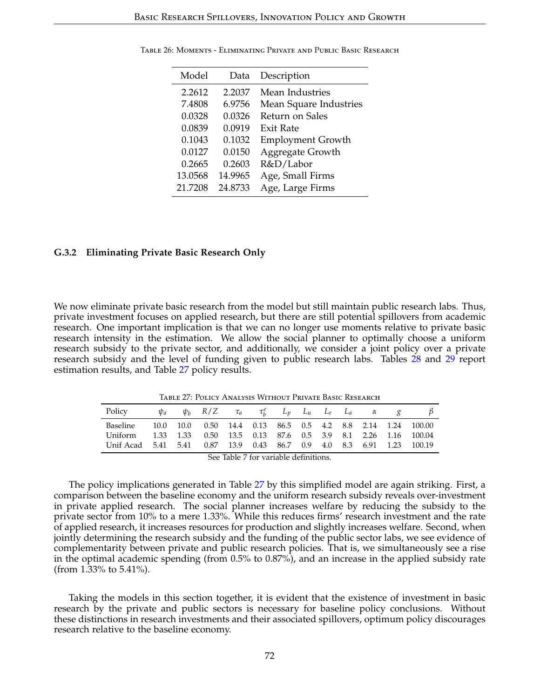| Model            | Data    | Description              |
|------------------|---------|--------------------------|
| 2.2612           | 2.2037  | Mean Industries          |
| 7.4808<br>6.9756 |         | Mean Square Industries   |
| 0.0328           | 0.0326  | Return on Sales          |
| 0.0839           | 0.0919  | Exit Rate                |
| 0.1043           | 0.1032  | <b>Employment Growth</b> |
| 0.0127           | 0.0150  | Aggregate Growth         |
| 0.2665           | 0.2603  | R&D/Labor                |
| 13.0568          | 14.9965 | Age, Small Firms         |
| 21.7208          | 24.8733 | Age, Large Firms         |

Table 26: Moments - Eliminating Private and Public Basic Research

### **G.3.2 Eliminating Private Basic Research Only**

We now eliminate private basic research from the model but still maintain public research labs. Thus, private investment focuses on applied research, but there are still potential spillovers from academic research. One important implication is that we can no longer use moments relative to private basic research intensity in the estimation. We allow the social planner to optimally choose a uniform research subsidy to the private sector, and additionally, we consider a joint policy over a private research subsidy and the level of funding given to public research labs. Tables [28](#page-73-0) and [29](#page-73-1) report estimation results, and Table [27](#page-72-0) policy results.

Table 27: Policy Analysis Without Private Basic Research

<span id="page-72-0"></span>

| Policy                                                               | $\psi_a$ | $\psi_b$ $R/Z$ $\tau_a$ |  | $\tau_h^e$ $L_p$ $L_u$ $L_e$ $L_a$ |  | $\alpha$ |                                                                                                                          |
|----------------------------------------------------------------------|----------|-------------------------|--|------------------------------------|--|----------|--------------------------------------------------------------------------------------------------------------------------|
| Baseline<br>Uniform                                                  |          |                         |  |                                    |  |          | 10.0 10.0 0.50 14.4 0.13 86.5 0.5 4.2 8.8 2.14 1.24 100.00<br>1.33 1.33 0.50 13.5 0.13 87.6 0.5 3.9 8.1 2.26 1.16 100.04 |
| Unif Acad 5.41 5.41 0.87 13.9 0.43 86.7 0.9 4.0 8.3 6.91 1.23 100.19 |          |                         |  |                                    |  |          |                                                                                                                          |

See Table [7](#page-36-0) for variable definitions.

The policy implications generated in Table [27](#page-72-0) by this simplified model are again striking. First, a comparison between the baseline economy and the uniform research subsidy reveals over-investment in private applied research. The social planner increases welfare by reducing the subsidy to the private sector from 10% to a mere 1.33%. While this reduces firms' research investment and the rate of applied research, it increases resources for production and slightly increases welfare. Second, when jointly determining the research subsidy and the funding of the public sector labs, we see evidence of complementarity between private and public research policies. That is, we simultaneously see a rise in the optimal academic spending (from 0.5% to 0.87%), and an increase in the applied subsidy rate (from 1.33% to 5.41%).

Taking the models in this section together, it is evident that the existence of investment in basic research by the private and public sectors is necessary for baseline policy conclusions. Without these distinctions in research investments and their associated spillovers, optimum policy discourages research relative to the baseline economy.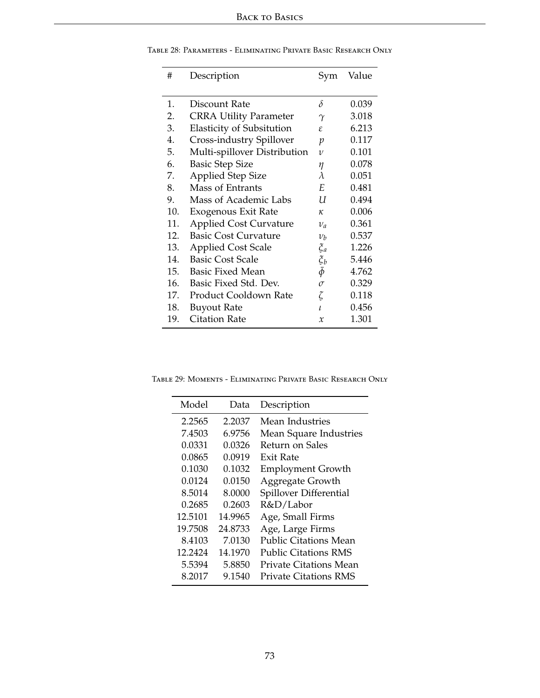| #   | Description                      | Sym           | Value |
|-----|----------------------------------|---------------|-------|
|     |                                  |               |       |
| 1.  | Discount Rate                    | $\delta$      | 0.039 |
| 2.  | <b>CRRA Utility Parameter</b>    | $\gamma$      | 3.018 |
| 3.  | <b>Elasticity of Subsitution</b> | £.            | 6.213 |
| 4.  | Cross-industry Spillover         | р             | 0.117 |
| 5.  | Multi-spillover Distribution     | $\mathcal{U}$ | 0.101 |
| 6.  | <b>Basic Step Size</b>           | η             | 0.078 |
| 7.  | <b>Applied Step Size</b>         | $\lambda$     | 0.051 |
| 8.  | Mass of Entrants                 | F.            | 0.481 |
| 9.  | Mass of Academic Labs            | U             | 0.494 |
| 10. | Exogenous Exit Rate              | κ             | 0.006 |
| 11. | <b>Applied Cost Curvature</b>    | $v_a$         | 0.361 |
| 12. | <b>Basic Cost Curvature</b>      | $\nu_h$       | 0.537 |
| 13. | <b>Applied Cost Scale</b>        | $\zeta_a$     | 1.226 |
| 14. | <b>Basic Cost Scale</b>          | $\xi_b$       | 5.446 |
| 15. | Basic Fixed Mean                 | $\bar{\phi}$  | 4.762 |
| 16. | Basic Fixed Std. Dev.            | $\sigma$      | 0.329 |
| 17. | Product Cooldown Rate            | ζ             | 0.118 |
| 18. | <b>Buyout Rate</b>               | $\iota$       | 0.456 |
| 19. | Citation Rate                    | $\mathcal{X}$ | 1.301 |

<span id="page-73-0"></span>Table 28: Parameters - Eliminating Private Basic Research Only

 $\overline{a}$ 

<span id="page-73-1"></span>

| Table 29: Moments - Eliminating Private Basic Research Only |  |  |  |
|-------------------------------------------------------------|--|--|--|
|                                                             |  |  |  |

| Model   | Data    | Description                  |
|---------|---------|------------------------------|
| 2.2565  | 2.2037  | Mean Industries              |
| 7.4503  | 6.9756  | Mean Square Industries       |
| 0.0331  | 0.0326  | Return on Sales              |
| 0.0865  | 0.0919  | Exit Rate                    |
| 0.1030  | 0.1032  | <b>Employment Growth</b>     |
| 0.0124  | 0.0150  | Aggregate Growth             |
| 8.5014  | 8.0000  | Spillover Differential       |
| 0.2685  | 0.2603  | R&D/Labor                    |
| 12.5101 | 14.9965 | Age, Small Firms             |
| 19.7508 | 24.8733 | Age, Large Firms             |
| 8.4103  | 7.0130  | Public Citations Mean        |
| 12.2424 | 14.1970 | <b>Public Citations RMS</b>  |
| 5.5394  | 5.8850  | Private Citations Mean       |
| 8.2017  | 9.1540  | <b>Private Citations RMS</b> |
|         |         |                              |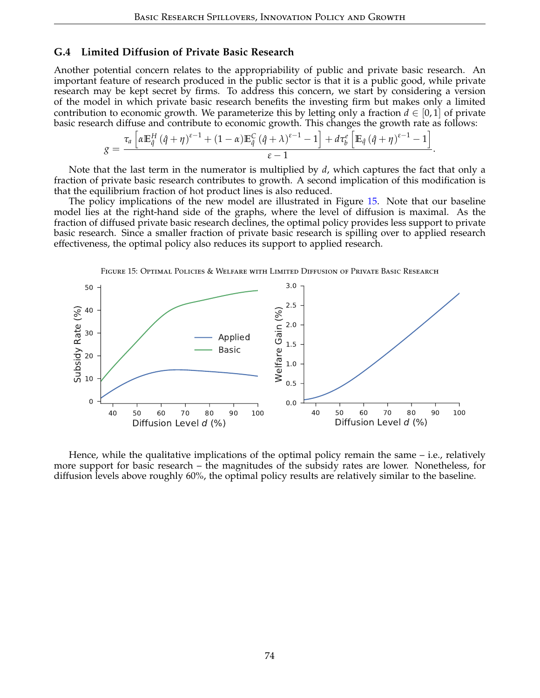## **G.4 Limited Diffusion of Private Basic Research**

Another potential concern relates to the appropriability of public and private basic research. An important feature of research produced in the public sector is that it is a public good, while private research may be kept secret by firms. To address this concern, we start by considering a version of the model in which private basic research benefits the investing firm but makes only a limited contribution to economic growth. We parameterize this by letting only a fraction  $d \in [0,1]$  of private basic research diffuse and contribute to economic growth. This changes the growth rate as follows:

$$
g = \frac{\tau_a \left[ \alpha \mathbb{E}_{\hat{q}}^H \left( \hat{q} + \eta \right)^{\varepsilon - 1} + (1 - \alpha) \mathbb{E}_{\hat{q}}^C \left( \hat{q} + \lambda \right)^{\varepsilon - 1} - 1 \right] + d\tau_b^e \left[ \mathbb{E}_{\hat{q}} \left( \hat{q} + \eta \right)^{\varepsilon - 1} - 1 \right]}{\varepsilon - 1}.
$$

Note that the last term in the numerator is multiplied by *d*, which captures the fact that only a fraction of private basic research contributes to growth. A second implication of this modification is that the equilibrium fraction of hot product lines is also reduced.

The policy implications of the new model are illustrated in Figure [15.](#page-74-0) Note that our baseline model lies at the right-hand side of the graphs, where the level of diffusion is maximal. As the fraction of diffused private basic research declines, the optimal policy provides less support to private basic research. Since a smaller fraction of private basic research is spilling over to applied research effectiveness, the optimal policy also reduces its support to applied research.

<span id="page-74-0"></span>

Figure 15: Optimal Policies & Welfare with Limited Diffusion of Private Basic Research

Hence, while the qualitative implications of the optimal policy remain the same – i.e., relatively more support for basic research – the magnitudes of the subsidy rates are lower. Nonetheless, for diffusion levels above roughly 60%, the optimal policy results are relatively similar to the baseline.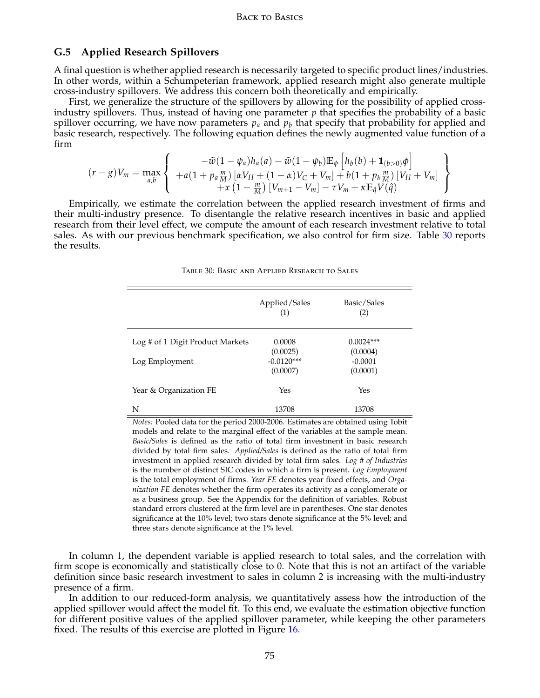## **G.5 Applied Research Spillovers**

A final question is whether applied research is necessarily targeted to specific product lines/industries. In other words, within a Schumpeterian framework, applied research might also generate multiple cross-industry spillovers. We address this concern both theoretically and empirically.

First, we generalize the structure of the spillovers by allowing for the possibility of applied crossindustry spillovers. Thus, instead of having one parameter  $p$  that specifies the probability of a basic spillover occurring, we have now parameters  $p_a$  and  $p_b$  that specify that probability for applied and basic research, respectively. The following equation defines the newly augmented value function of a firm

$$
(r-g)V_m = \max_{a,b} \left\{ \begin{array}{c} -\tilde{w}(1-\psi_a)h_a(a) - \tilde{w}(1-\psi_b) \mathbb{E}_{\phi} \left[ h_b(b) + \mathbf{1}_{(b>0)} \phi \right] \\ +a(1+p_a \frac{m}{M}) \left[ \alpha V_H + (1-\alpha) V_C + V_m \right] + b(1+p_b \frac{m}{M}) \left[ V_H + V_m \right] \\ +x \left(1-\frac{m}{M}\right) \left[ V_{m+1} - V_m \right] - \tau V_m + \kappa \mathbb{E}_{\hat{q}} V(\hat{q}) \end{array} \right\}
$$

<span id="page-75-0"></span>Empirically, we estimate the correlation between the applied research investment of firms and their multi-industry presence. To disentangle the relative research incentives in basic and applied research from their level effect, we compute the amount of each research investment relative to total sales. As with our previous benchmark specification, we also control for firm size. Table [30](#page-75-0) reports the results.

|                                  | Applied/Sales<br>(1) | Basic/Sales<br>(2) |
|----------------------------------|----------------------|--------------------|
| Log # of 1 Digit Product Markets | 0.0008               | $0.0024***$        |
|                                  | (0.0025)             | (0.0004)           |
| Log Employment                   | $-0.0120***$         | $-0.0001$          |
|                                  | (0.0007)             | (0.0001)           |
| Year & Organization FE           | Yes                  | Yes                |
| N                                | 13708                | 13708              |

Table 30: Basic and Applied Research to Sales

*Notes:* Pooled data for the period 2000-2006. Estimates are obtained using Tobit models and relate to the marginal effect of the variables at the sample mean. *Basic/Sales* is defined as the ratio of total firm investment in basic research divided by total firm sales. *Applied/Sales* is defined as the ratio of total firm investment in applied research divided by total firm sales. *Log # of Industries* is the number of distinct SIC codes in which a firm is present. *Log Employment* is the total employment of firms. *Year FE* denotes year fixed effects, and *Organization FE* denotes whether the firm operates its activity as a conglomerate or as a business group. See the Appendix for the definition of variables. Robust standard errors clustered at the firm level are in parentheses. One star denotes significance at the 10% level; two stars denote significance at the 5% level; and three stars denote significance at the 1% level.

In column 1, the dependent variable is applied research to total sales, and the correlation with firm scope is economically and statistically close to 0. Note that this is not an artifact of the variable definition since basic research investment to sales in column 2 is increasing with the multi-industry presence of a firm.

In addition to our reduced-form analysis, we quantitatively assess how the introduction of the applied spillover would affect the model fit. To this end, we evaluate the estimation objective function for different positive values of the applied spillover parameter, while keeping the other parameters fixed. The results of this exercise are plotted in Figure [16.](#page-76-0)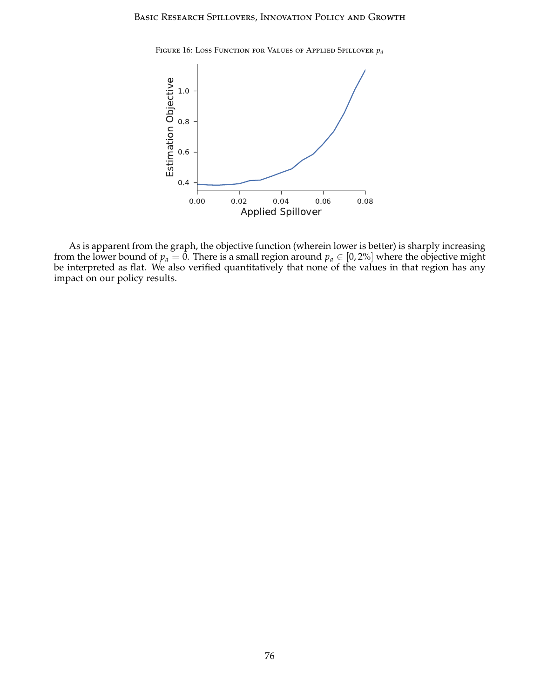<span id="page-76-0"></span>



As is apparent from the graph, the objective function (wherein lower is better) is sharply increasing from the lower bound of  $p_a=0$ . There is a small region around  $p_a\in[0,2\%]$  where the objective might be interpreted as flat. We also verified quantitatively that none of the values in that region has any impact on our policy results.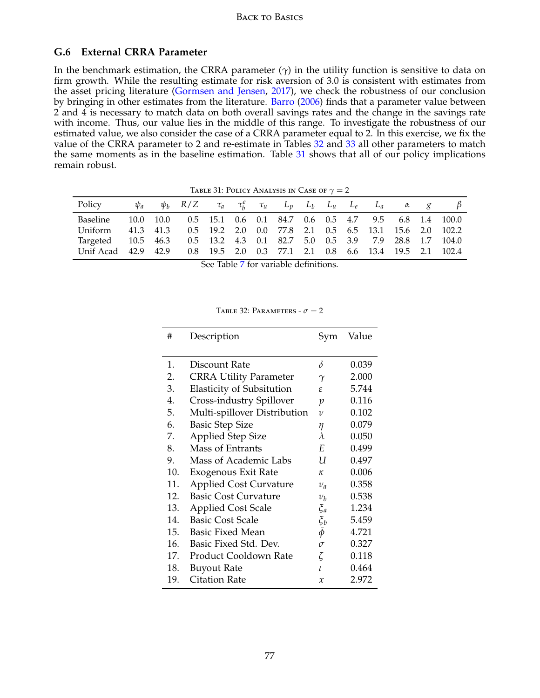# **G.6 External CRRA Parameter**

In the benchmark estimation, the CRRA parameter  $(\gamma)$  in the utility function is sensitive to data on firm growth. While the resulting estimate for risk aversion of 3.0 is consistent with estimates from the asset pricing literature [\(Gormsen and Jensen,](#page-46-0) [2017\)](#page-46-0), we check the robustness of our conclusion by bringing in other estimates from the literature. [Barro](#page-45-0) [\(2006\)](#page-45-0) finds that a parameter value between 2 and 4 is necessary to match data on both overall savings rates and the change in the savings rate with income. Thus, our value lies in the middle of this range. To investigate the robustness of our estimated value, we also consider the case of a CRRA parameter equal to 2. In this exercise, we fix the value of the CRRA parameter to 2 and re-estimate in Tables [32](#page-77-0) and [33](#page-78-0) all other parameters to match the same moments as in the baseline estimation. Table [31](#page-77-1) shows that all of our policy implications remain robust.

<span id="page-77-1"></span><span id="page-77-0"></span>

| Policy                                                                    |  | $\psi_a$ $\psi_b$ R/Z $\tau_a$ $\tau_b^e$ $\tau_u$ $L_p$ $L_b$ $L_u$ $L_e$ $L_a$ $\alpha$ $g$ |  |  |  |  |  |  |
|---------------------------------------------------------------------------|--|-----------------------------------------------------------------------------------------------|--|--|--|--|--|--|
| Baseline                                                                  |  | 10.0 10.0 0.5 15.1 0.6 0.1 84.7 0.6 0.5 4.7 9.5 6.8 1.4 100.0                                 |  |  |  |  |  |  |
| Uniform                                                                   |  | 41.3 41.3 0.5 19.2 2.0 0.0 77.8 2.1 0.5 6.5 13.1 15.6 2.0 102.2                               |  |  |  |  |  |  |
| Targeted 10.5 46.3 0.5 13.2 4.3 0.1 82.7 5.0 0.5 3.9 7.9 28.8 1.7 104.0   |  |                                                                                               |  |  |  |  |  |  |
| Unif Acad 42.9 42.9 0.8 19.5 2.0 0.3 77.1 2.1 0.8 6.6 13.4 19.5 2.1 102.4 |  |                                                                                               |  |  |  |  |  |  |
|                                                                           |  |                                                                                               |  |  |  |  |  |  |

Table 31: Policy Analysis in Case of  $\gamma = 2$ 

See Table [7](#page-36-0) for variable definitions.

#### Table 32: Parameters -  $\sigma = 2$

| #   | Description                      | Sym                            | Value |
|-----|----------------------------------|--------------------------------|-------|
|     |                                  |                                |       |
| 1.  | Discount Rate                    | δ                              | 0.039 |
| 2.  | <b>CRRA Utility Parameter</b>    | $\gamma$                       | 2.000 |
| 3.  | <b>Elasticity of Subsitution</b> | ε                              | 5.744 |
| 4.  | Cross-industry Spillover         | р                              | 0.116 |
| 5.  | Multi-spillover Distribution     | $\mathcal{U}$                  | 0.102 |
| 6.  | <b>Basic Step Size</b>           | η                              | 0.079 |
| 7.  | <b>Applied Step Size</b>         | $\lambda$                      | 0.050 |
| 8.  | Mass of Entrants                 | E                              | 0.499 |
| 9.  | Mass of Academic Labs            | U                              | 0.497 |
| 10. | Exogenous Exit Rate              | $\kappa$                       | 0.006 |
| 11. | <b>Applied Cost Curvature</b>    | $v_a$                          | 0.358 |
| 12. | <b>Basic Cost Curvature</b>      | $\nu_h$                        | 0.538 |
| 13. | <b>Applied Cost Scale</b>        | $\boldsymbol{\tilde{\zeta}}_a$ | 1.234 |
| 14. | <b>Basic Cost Scale</b>          | $\boldsymbol{\xi}_b$           | 5.459 |
| 15. | Basic Fixed Mean                 | $\bar{\phi}$                   | 4.721 |
| 16. | Basic Fixed Std. Dev.            | $\sigma$                       | 0.327 |
| 17. | Product Cooldown Rate            | ζ                              | 0.118 |
| 18. | <b>Buyout Rate</b>               | L                              | 0.464 |
| 19. | <b>Citation Rate</b>             | $\mathcal{X}$                  | 2.972 |